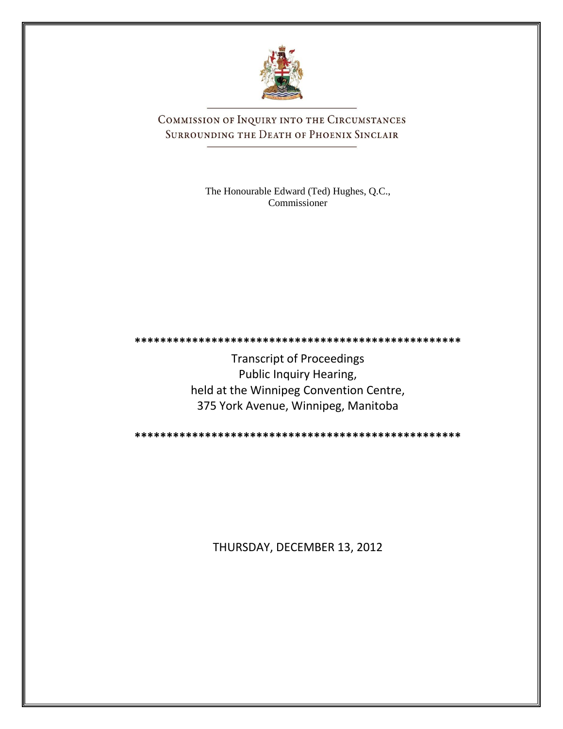

COMMISSION OF INQUIRY INTO THE CIRCUMSTANCES SURROUNDING THE DEATH OF PHOENIX SINCLAIR

> The Honourable Edward (Ted) Hughes, Q.C., Commissioner

Transcript of Proceedings Public Inquiry Hearing, held at the Winnipeg Convention Centre, 375 York Avenue, Winnipeg, Manitoba

**\*\*\*\*\*\*\*\*\*\*\*\*\*\*\*\*\*\*\*\*\*\*\*\*\*\*\*\*\*\*\*\*\*\*\*\*\*\*\*\*\*\*\*\*\*\*\*\*\*\*\***

**\*\*\*\*\*\*\*\*\*\*\*\*\*\*\*\*\*\*\*\*\*\*\*\*\*\*\*\*\*\*\*\*\*\*\*\*\*\*\*\*\*\*\*\*\*\*\*\*\*\*\***

THURSDAY, DECEMBER 13, 2012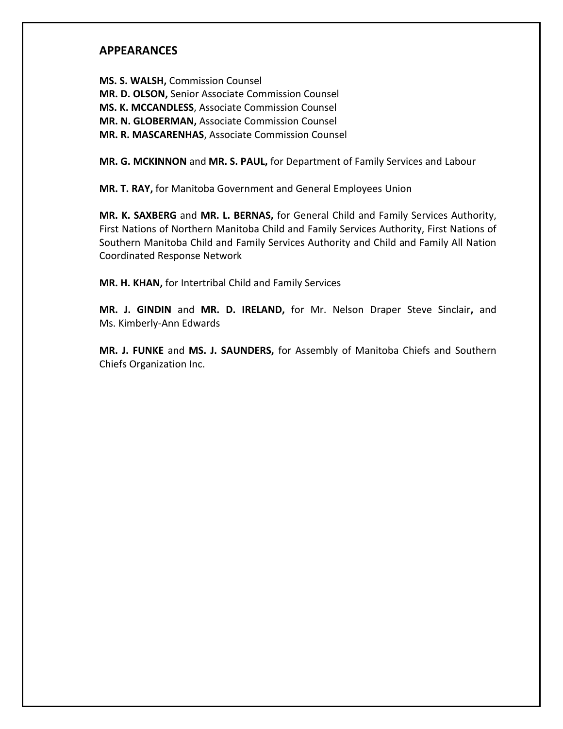## **APPEARANCES**

**MS. S. WALSH,** Commission Counsel **MR. D. OLSON,** Senior Associate Commission Counsel **MS. K. MCCANDLESS**, Associate Commission Counsel **MR. N. GLOBERMAN,** Associate Commission Counsel **MR. R. MASCARENHAS**, Associate Commission Counsel

**MR. G. MCKINNON** and **MR. S. PAUL,** for Department of Family Services and Labour

**MR. T. RAY,** for Manitoba Government and General Employees Union

**MR. K. SAXBERG** and **MR. L. BERNAS,** for General Child and Family Services Authority, First Nations of Northern Manitoba Child and Family Services Authority, First Nations of Southern Manitoba Child and Family Services Authority and Child and Family All Nation Coordinated Response Network

**MR. H. KHAN,** for Intertribal Child and Family Services

**MR. J. GINDIN** and **MR. D. IRELAND,** for Mr. Nelson Draper Steve Sinclair**,** and Ms. Kimberly-Ann Edwards

**MR. J. FUNKE** and **MS. J. SAUNDERS,** for Assembly of Manitoba Chiefs and Southern Chiefs Organization Inc.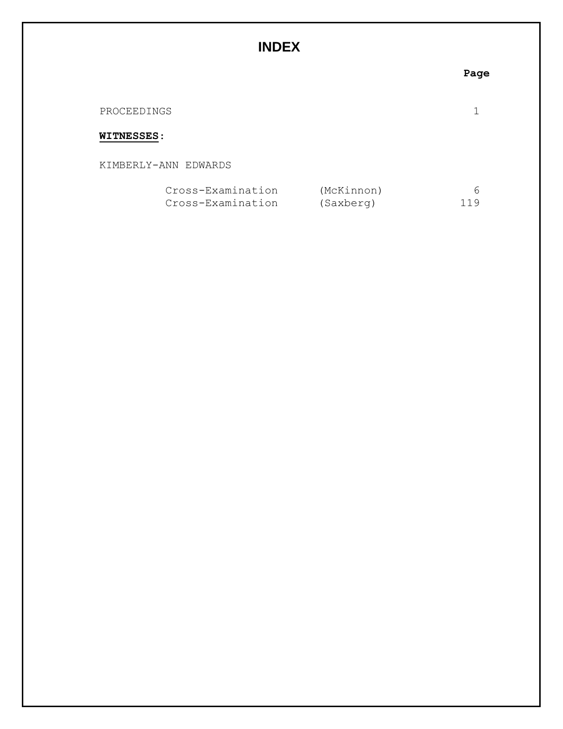# **INDEX**

## **Page**

| PROCEEDINGS |  |  |
|-------------|--|--|
|             |  |  |

### **WITNESSES**:

KIMBERLY-ANN EDWARDS

| Cross-Examination | (McKinnon) |     |
|-------------------|------------|-----|
| Cross-Examination | (Saxberg)  | 119 |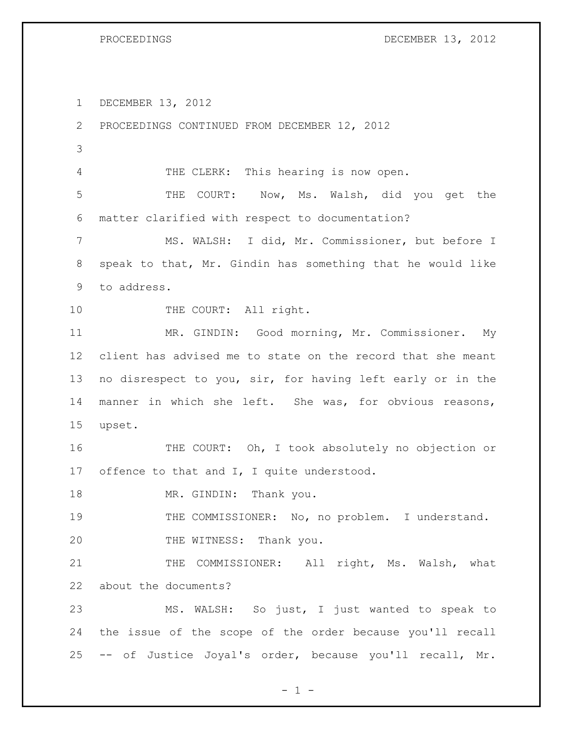PROCEEDINGS DECEMBER 13, 2012

DECEMBER 13, 2012

 PROCEEDINGS CONTINUED FROM DECEMBER 12, 2012 THE CLERK: This hearing is now open. THE COURT: Now, Ms. Walsh, did you get the matter clarified with respect to documentation? MS. WALSH: I did, Mr. Commissioner, but before I speak to that, Mr. Gindin has something that he would like to address. 10 THE COURT: All right. MR. GINDIN: Good morning, Mr. Commissioner. My client has advised me to state on the record that she meant no disrespect to you, sir, for having left early or in the manner in which she left. She was, for obvious reasons, upset. THE COURT: Oh, I took absolutely no objection or 17 offence to that and I, I quite understood. 18 MR. GINDIN: Thank you. THE COMMISSIONER: No, no problem. I understand. 20 THE WITNESS: Thank you. 21 THE COMMISSIONER: All right, Ms. Walsh, what about the documents? MS. WALSH: So just, I just wanted to speak to the issue of the scope of the order because you'll recall -- of Justice Joyal's order, because you'll recall, Mr.

 $- 1 -$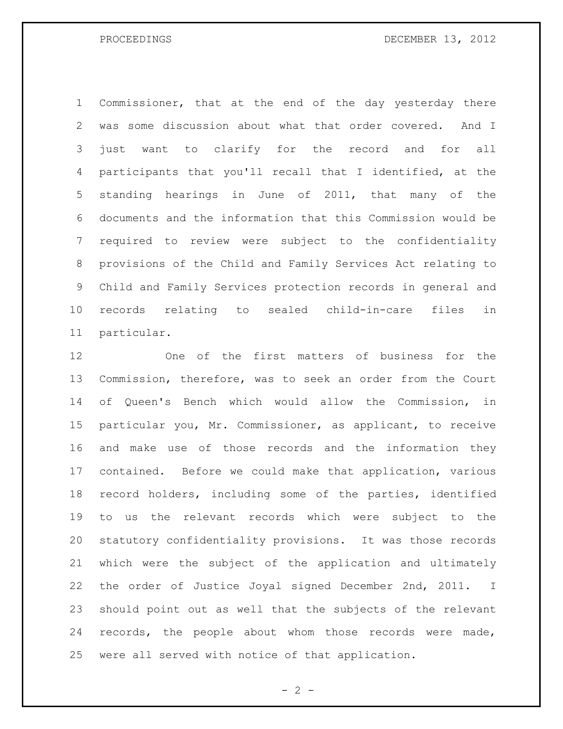Commissioner, that at the end of the day yesterday there was some discussion about what that order covered. And I just want to clarify for the record and for all participants that you'll recall that I identified, at the standing hearings in June of 2011, that many of the documents and the information that this Commission would be required to review were subject to the confidentiality provisions of the Child and Family Services Act relating to Child and Family Services protection records in general and records relating to sealed child-in-care files in particular.

 One of the first matters of business for the Commission, therefore, was to seek an order from the Court of Queen's Bench which would allow the Commission, in particular you, Mr. Commissioner, as applicant, to receive and make use of those records and the information they contained. Before we could make that application, various record holders, including some of the parties, identified to us the relevant records which were subject to the statutory confidentiality provisions. It was those records which were the subject of the application and ultimately the order of Justice Joyal signed December 2nd, 2011. I should point out as well that the subjects of the relevant records, the people about whom those records were made, were all served with notice of that application.

 $- 2 -$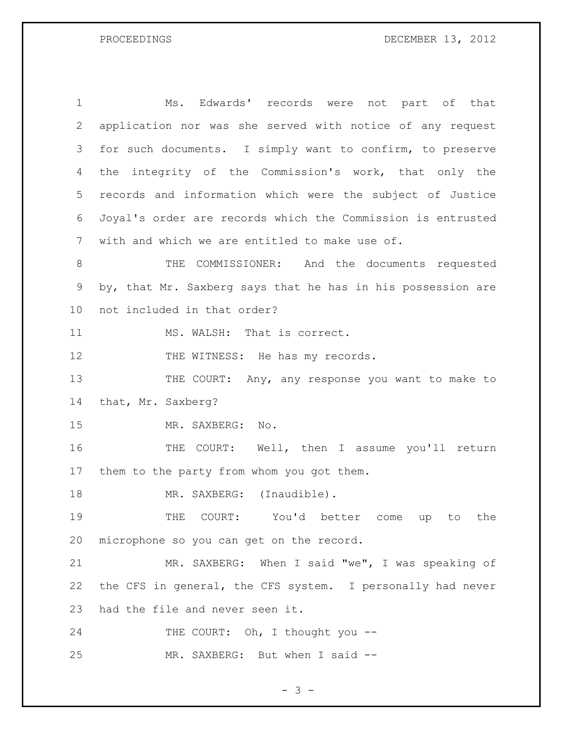PROCEEDINGS DECEMBER 13, 2012

| $\mathbf 1$     | Ms. Edwards' records were not part of that                  |
|-----------------|-------------------------------------------------------------|
| $\mathbf{2}$    | application nor was she served with notice of any request   |
| 3               | for such documents. I simply want to confirm, to preserve   |
| 4               | integrity of the Commission's work, that only the<br>the    |
| 5               | records and information which were the subject of Justice   |
| 6               | Joyal's order are records which the Commission is entrusted |
| $7\phantom{.0}$ | with and which we are entitled to make use of.              |
| $8\,$           | COMMISSIONER: And the documents requested<br>THE            |
| 9               | by, that Mr. Saxberg says that he has in his possession are |
| 10              | not included in that order?                                 |
| 11              | MS. WALSH: That is correct.                                 |
| 12              | THE WITNESS: He has my records.                             |
| 13              | THE COURT: Any, any response you want to make to            |
| 14              | that, Mr. Saxberg?                                          |
| 15              | MR. SAXBERG:<br>$\mathbb N\circ$ .                          |
| 16              | THE COURT: Well, then I assume you'll return                |
| 17              | them to the party from whom you got them.                   |
| 18              | MR. SAXBERG: (Inaudible).                                   |
| 19              | THE COURT: You'd better come up to the                      |
| 20              | microphone so you can get on the record.                    |
| 21              | MR. SAXBERG: When I said "we", I was speaking of            |
| 22              | the CFS in general, the CFS system. I personally had never  |
| 23              | had the file and never seen it.                             |
| 24              | THE COURT: Oh, I thought you --                             |
| 25              | MR. SAXBERG: But when I said --                             |

- 3 -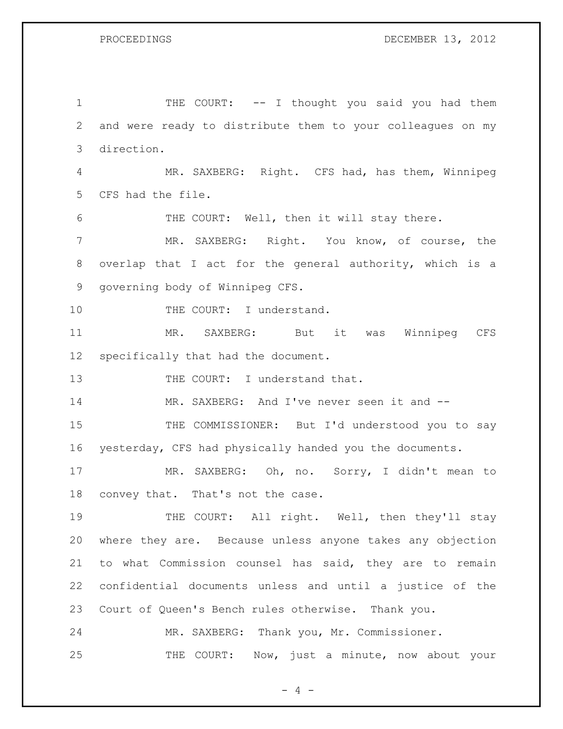1 THE COURT: -- I thought you said you had them and were ready to distribute them to your colleagues on my direction. MR. SAXBERG: Right. CFS had, has them, Winnipeg CFS had the file. THE COURT: Well, then it will stay there. MR. SAXBERG: Right. You know, of course, the overlap that I act for the general authority, which is a governing body of Winnipeg CFS. 10 THE COURT: I understand. MR. SAXBERG: But it was Winnipeg CFS specifically that had the document. 13 THE COURT: I understand that. 14 MR. SAXBERG: And I've never seen it and -- THE COMMISSIONER: But I'd understood you to say yesterday, CFS had physically handed you the documents. MR. SAXBERG: Oh, no. Sorry, I didn't mean to convey that. That's not the case. 19 THE COURT: All right. Well, then they'll stay where they are. Because unless anyone takes any objection to what Commission counsel has said, they are to remain confidential documents unless and until a justice of the Court of Queen's Bench rules otherwise. Thank you. MR. SAXBERG: Thank you, Mr. Commissioner. THE COURT: Now, just a minute, now about your

 $- 4 -$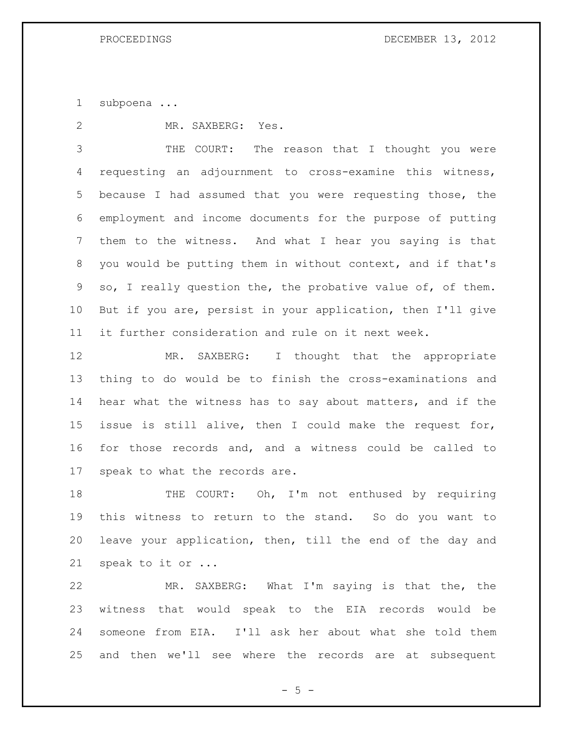subpoena ...

MR. SAXBERG: Yes.

 THE COURT: The reason that I thought you were requesting an adjournment to cross-examine this witness, because I had assumed that you were requesting those, the employment and income documents for the purpose of putting them to the witness. And what I hear you saying is that you would be putting them in without context, and if that's so, I really question the, the probative value of, of them. But if you are, persist in your application, then I'll give it further consideration and rule on it next week.

12 MR. SAXBERG: I thought that the appropriate thing to do would be to finish the cross-examinations and hear what the witness has to say about matters, and if the issue is still alive, then I could make the request for, for those records and, and a witness could be called to speak to what the records are.

18 THE COURT: Oh, I'm not enthused by requiring this witness to return to the stand. So do you want to leave your application, then, till the end of the day and speak to it or ...

 MR. SAXBERG: What I'm saying is that the, the witness that would speak to the EIA records would be someone from EIA. I'll ask her about what she told them and then we'll see where the records are at subsequent

 $- 5 -$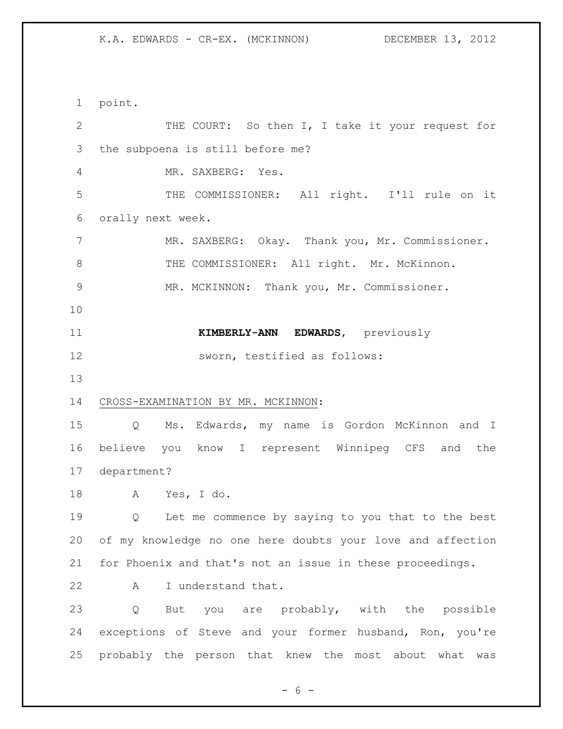point. THE COURT: So then I, I take it your request for the subpoena is still before me? MR. SAXBERG: Yes. THE COMMISSIONER: All right. I'll rule on it orally next week. MR. SAXBERG: Okay. Thank you, Mr. Commissioner. 8 THE COMMISSIONER: All right. Mr. McKinnon. MR. MCKINNON: Thank you, Mr. Commissioner. **KIMBERLY-ANN EDWARDS**, previously sworn, testified as follows: CROSS-EXAMINATION BY MR. MCKINNON: Q Ms. Edwards, my name is Gordon McKinnon and I believe you know I represent Winnipeg CFS and the department? A Yes, I do. Q Let me commence by saying to you that to the best of my knowledge no one here doubts your love and affection for Phoenix and that's not an issue in these proceedings. A I understand that. Q But you are probably, with the possible exceptions of Steve and your former husband, Ron, you're probably the person that knew the most about what was

 $- 6 -$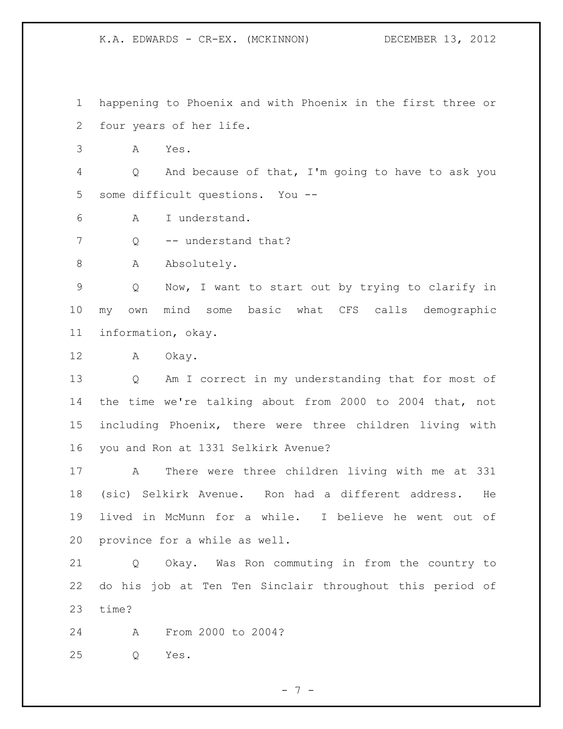happening to Phoenix and with Phoenix in the first three or four years of her life.

A Yes.

 Q And because of that, I'm going to have to ask you some difficult questions. You --

A I understand.

7 O -- understand that?

8 A Absolutely.

 Q Now, I want to start out by trying to clarify in my own mind some basic what CFS calls demographic information, okay.

A Okay.

 Q Am I correct in my understanding that for most of the time we're talking about from 2000 to 2004 that, not including Phoenix, there were three children living with you and Ron at 1331 Selkirk Avenue?

 A There were three children living with me at 331 (sic) Selkirk Avenue. Ron had a different address. He lived in McMunn for a while. I believe he went out of province for a while as well.

 Q Okay. Was Ron commuting in from the country to do his job at Ten Ten Sinclair throughout this period of time?

A From 2000 to 2004?

Q Yes.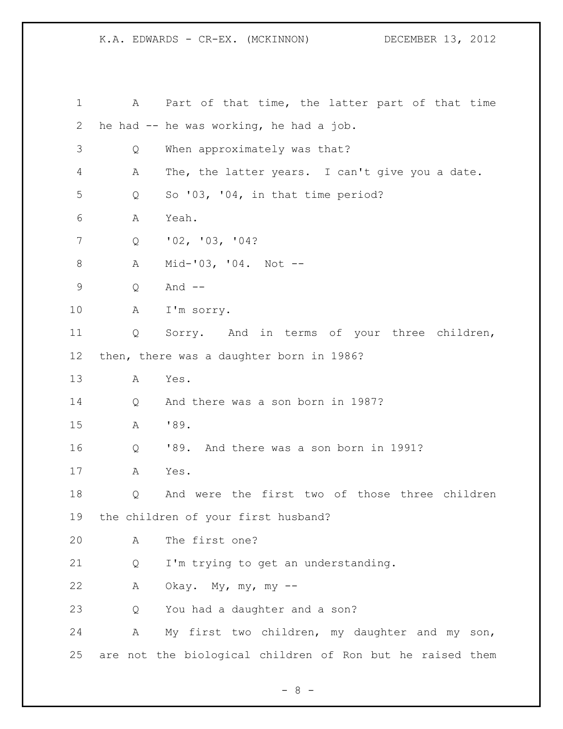| 1           | A | Part of that time, the latter part of that time           |
|-------------|---|-----------------------------------------------------------|
| 2           |   | he had -- he was working, he had a job.                   |
| 3           | Q | When approximately was that?                              |
| 4           | А | The, the latter years. I can't give you a date.           |
| 5           | Q | So $'03$ , $'04$ , in that time period?                   |
| 6           | Α | Yeah.                                                     |
| 7           | Q | '02, '03, '04?                                            |
| 8           | Α | $Mid-103, 104. Not --$                                    |
| $\mathsf 9$ | Q | And $--$                                                  |
| 10          | Α | I'm sorry.                                                |
| 11          | Q | Sorry. And in terms of your three children,               |
| 12          |   | then, there was a daughter born in 1986?                  |
| 13          | Α | Yes.                                                      |
| 14          | Q | And there was a son born in 1987?                         |
| 15          | Α | '89.                                                      |
| 16          | Q | '89. And there was a son born in 1991?                    |
| 17          | A | Yes.                                                      |
| 18          | Q | And were the first two of those three children            |
| 19          |   | the children of your first husband?                       |
| 20          | A | The first one?                                            |
| 21          | Q | I'm trying to get an understanding.                       |
| 22          | Α | Okay. My, my, my $--$                                     |
| 23          | Q | You had a daughter and a son?                             |
| 24          | Α | My first two children, my daughter and my son,            |
| 25          |   | are not the biological children of Ron but he raised them |

- 8 -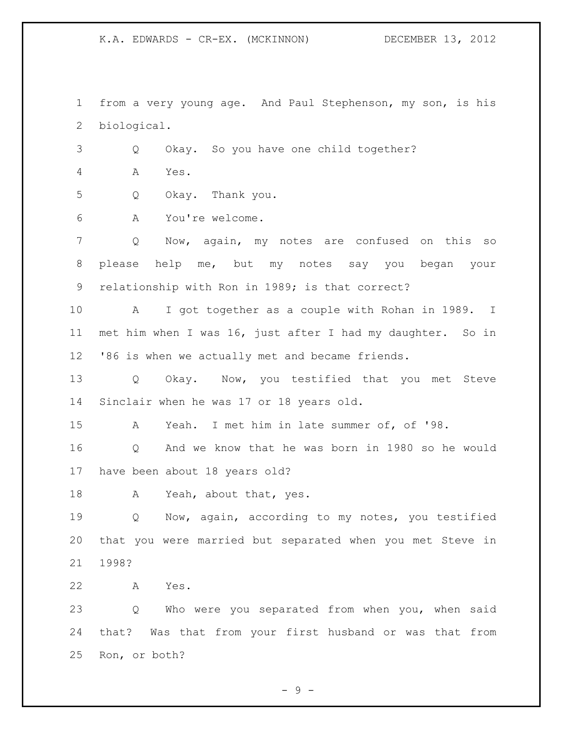from a very young age. And Paul Stephenson, my son, is his biological.

Q Okay. So you have one child together?

A Yes.

Q Okay. Thank you.

A You're welcome.

 Q Now, again, my notes are confused on this so please help me, but my notes say you began your relationship with Ron in 1989; is that correct?

 A I got together as a couple with Rohan in 1989. I met him when I was 16, just after I had my daughter. So in '86 is when we actually met and became friends.

 Q Okay. Now, you testified that you met Steve Sinclair when he was 17 or 18 years old.

A Yeah. I met him in late summer of, of '98.

 Q And we know that he was born in 1980 so he would have been about 18 years old?

18 A Yeah, about that, yes.

 Q Now, again, according to my notes, you testified that you were married but separated when you met Steve in 1998?

A Yes.

 Q Who were you separated from when you, when said that? Was that from your first husband or was that from Ron, or both?

- 9 -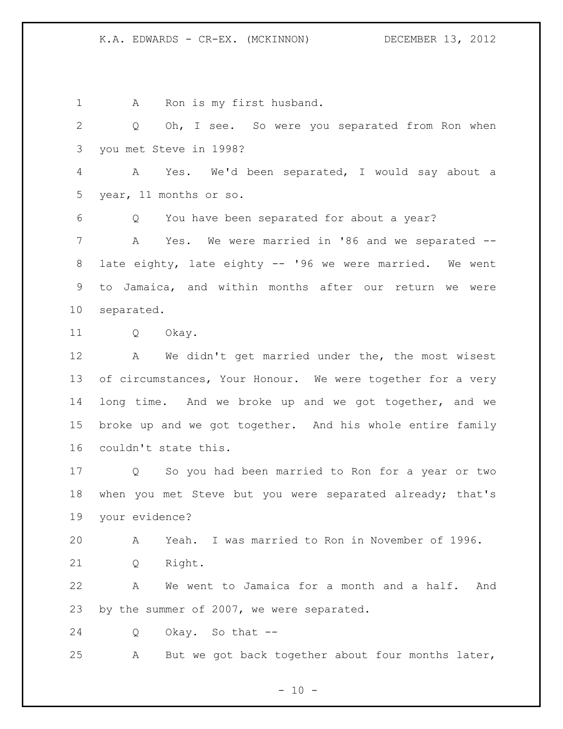1 A Ron is my first husband. Q Oh, I see. So were you separated from Ron when you met Steve in 1998? A Yes. We'd been separated, I would say about a year, 11 months or so. Q You have been separated for about a year? A Yes. We were married in '86 and we separated -- late eighty, late eighty -- '96 we were married. We went to Jamaica, and within months after our return we were separated. Q Okay. A We didn't get married under the, the most wisest 13 of circumstances, Your Honour. We were together for a very long time. And we broke up and we got together, and we broke up and we got together. And his whole entire family couldn't state this. Q So you had been married to Ron for a year or two when you met Steve but you were separated already; that's your evidence? A Yeah. I was married to Ron in November of 1996. Q Right. A We went to Jamaica for a month and a half. And by the summer of 2007, we were separated. Q Okay. So that -- A But we got back together about four months later,

 $- 10 -$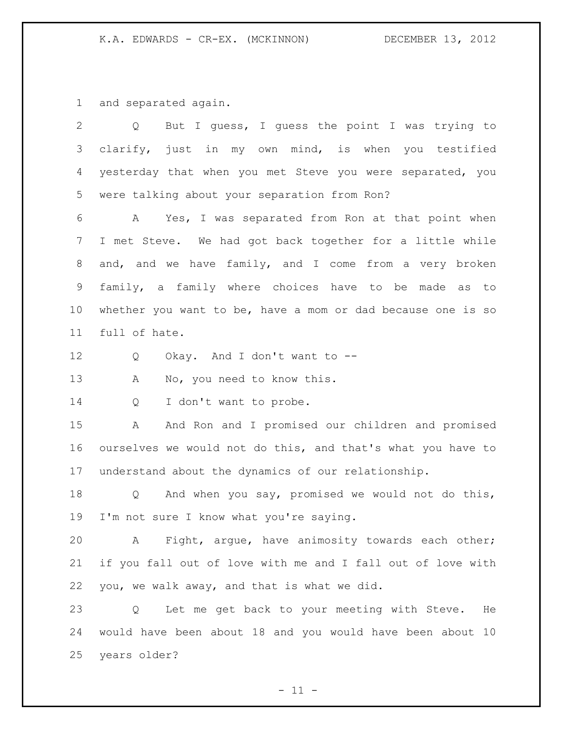and separated again.

| 2               | But I quess, I quess the point I was trying to<br>Q         |
|-----------------|-------------------------------------------------------------|
| 3               | clarify, just in my own mind, is when you testified         |
| 4               | yesterday that when you met Steve you were separated, you   |
| 5               | were talking about your separation from Ron?                |
| 6               | Yes, I was separated from Ron at that point when<br>A       |
| 7               | I met Steve. We had got back together for a little while    |
| 8               | and, and we have family, and I come from a very broken      |
| 9               | family, a family where choices have to be made as to        |
| 10 <sub>o</sub> | whether you want to be, have a mom or dad because one is so |
| 11              | full of hate.                                               |
| 12              | Okay. And I don't want to --<br>Q                           |
| 13              | No, you need to know this.<br>A                             |
| 14              | I don't want to probe.<br>Q                                 |
| 15              | And Ron and I promised our children and promised<br>A       |
| 16              | ourselves we would not do this, and that's what you have to |
| 17              | understand about the dynamics of our relationship.          |
| 18              | And when you say, promised we would not do this,<br>Q       |
| 19              | I'm not sure I know what you're saying.                     |
| 20              | Fight, argue, have animosity towards each other;<br>Α       |
| 21              | if you fall out of love with me and I fall out of love with |
| 22              | you, we walk away, and that is what we did.                 |
| 23              | Let me get back to your meeting with Steve.<br>He<br>Q      |
| 24              | would have been about 18 and you would have been about 10   |
| 25              | years older?                                                |
|                 |                                                             |

 $- 11 -$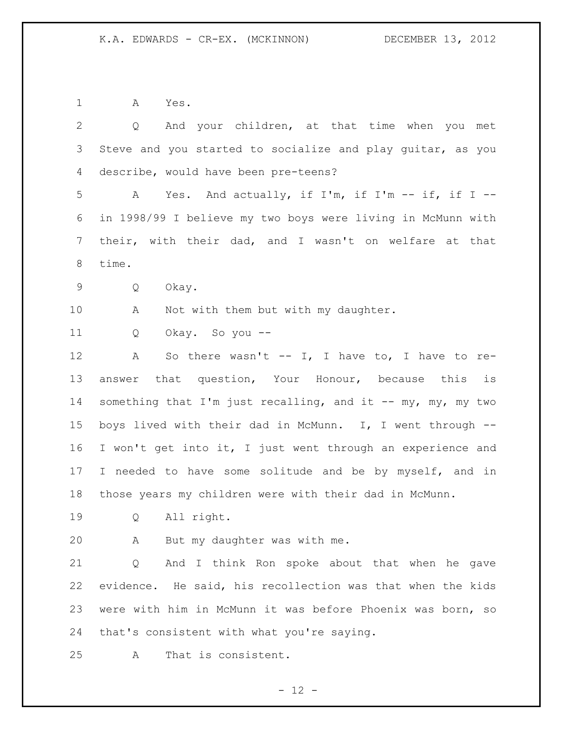A Yes.

| $\overline{2}$ | And your children, at that time when you met<br>$Q \qquad \qquad$ |
|----------------|-------------------------------------------------------------------|
| 3              | Steve and you started to socialize and play guitar, as you        |
| 4              | describe, would have been pre-teens?                              |
| 5              | Yes. And actually, if I'm, if I'm -- if, if I --<br>A             |
| 6              | in 1998/99 I believe my two boys were living in McMunn with       |
| 7              | their, with their dad, and I wasn't on welfare at that            |
| 8              | time.                                                             |
| 9              | Okay.<br>Q                                                        |
| 10             | Not with them but with my daughter.<br>A                          |
| 11             | Okay. So you --<br>Q                                              |
| 12             | So there wasn't -- I, I have to, I have to re-<br>A               |
| 13             | answer that question, Your Honour, because this is                |
| 14             | something that I'm just recalling, and it $--$ my, my, my two     |
| 15             | boys lived with their dad in McMunn. I, I went through --         |
| 16             | I won't get into it, I just went through an experience and        |
| 17             | I needed to have some solitude and be by myself, and in           |
| 18             | those years my children were with their dad in McMunn.            |
| 19             | All right.<br>$Q \qquad \qquad$                                   |
| 20             | But my daughter was with me.<br>A                                 |
| 21             | And I think Ron spoke about that when he gave<br>Q                |
| 22             | evidence. He said, his recollection was that when the kids        |
| 23             | were with him in McMunn it was before Phoenix was born, so        |
| 24             | that's consistent with what you're saying.                        |
| 25             | That is consistent.<br>Α                                          |

- 12 -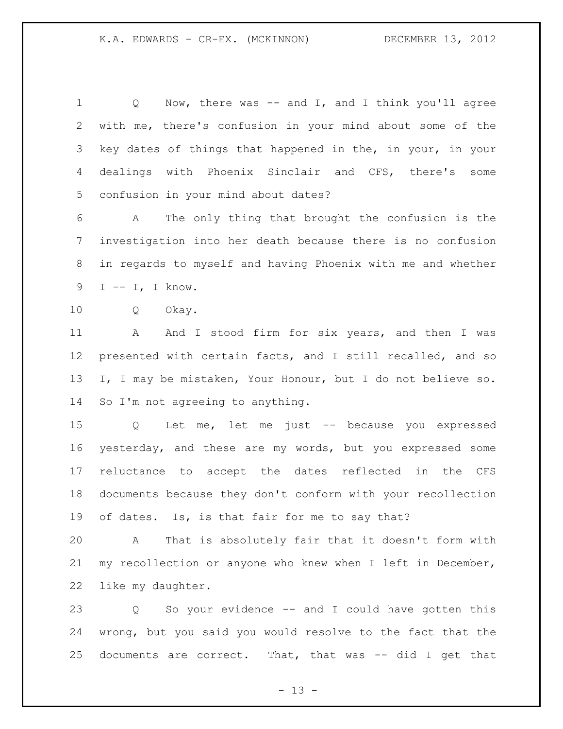Q Now, there was -- and I, and I think you'll agree with me, there's confusion in your mind about some of the key dates of things that happened in the, in your, in your dealings with Phoenix Sinclair and CFS, there's some confusion in your mind about dates?

 A The only thing that brought the confusion is the investigation into her death because there is no confusion in regards to myself and having Phoenix with me and whether I -- I, I know.

Q Okay.

11 A And I stood firm for six years, and then I was presented with certain facts, and I still recalled, and so I, I may be mistaken, Your Honour, but I do not believe so. 14 So I'm not agreeing to anything.

 Q Let me, let me just -- because you expressed yesterday, and these are my words, but you expressed some reluctance to accept the dates reflected in the CFS documents because they don't conform with your recollection of dates. Is, is that fair for me to say that?

 A That is absolutely fair that it doesn't form with my recollection or anyone who knew when I left in December, like my daughter.

 Q So your evidence -- and I could have gotten this wrong, but you said you would resolve to the fact that the documents are correct. That, that was -- did I get that

 $- 13 -$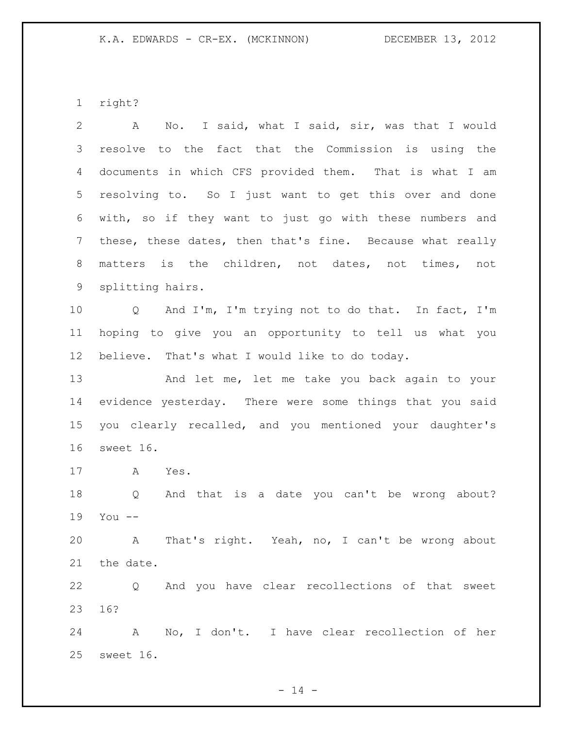right?

 A No. I said, what I said, sir, was that I would resolve to the fact that the Commission is using the documents in which CFS provided them. That is what I am resolving to. So I just want to get this over and done with, so if they want to just go with these numbers and these, these dates, then that's fine. Because what really matters is the children, not dates, not times, not splitting hairs. Q And I'm, I'm trying not to do that. In fact, I'm hoping to give you an opportunity to tell us what you believe. That's what I would like to do today. And let me, let me take you back again to your evidence yesterday. There were some things that you said you clearly recalled, and you mentioned your daughter's sweet 16. A Yes. Q And that is a date you can't be wrong about? You -- A That's right. Yeah, no, I can't be wrong about the date. Q And you have clear recollections of that sweet 16? A No, I don't. I have clear recollection of her sweet 16.

 $- 14 -$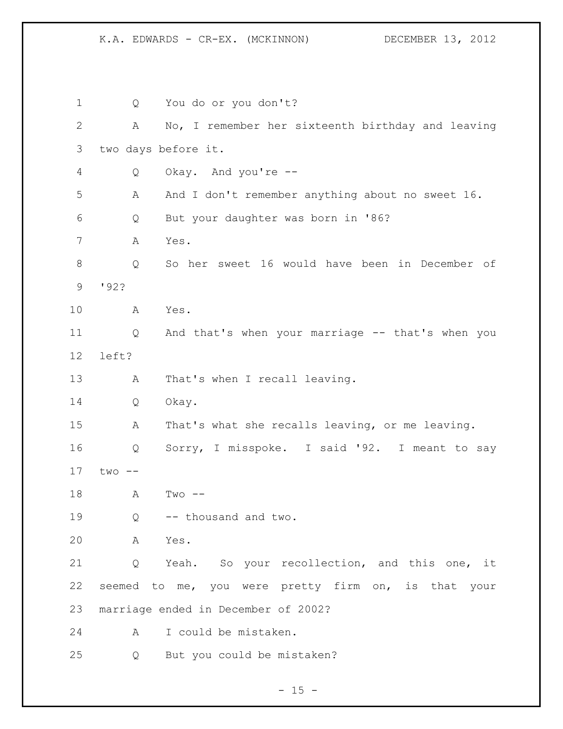Q You do or you don't? A No, I remember her sixteenth birthday and leaving two days before it. Q Okay. And you're -- A And I don't remember anything about no sweet 16. Q But your daughter was born in '86? A Yes. Q So her sweet 16 would have been in December of '92? A Yes. Q And that's when your marriage -- that's when you left? A That's when I recall leaving. Q Okay. A That's what she recalls leaving, or me leaving. Q Sorry, I misspoke. I said '92. I meant to say two -- A Two -- Q -- thousand and two. A Yes. Q Yeah. So your recollection, and this one, it seemed to me, you were pretty firm on, is that your marriage ended in December of 2002? A I could be mistaken. Q But you could be mistaken?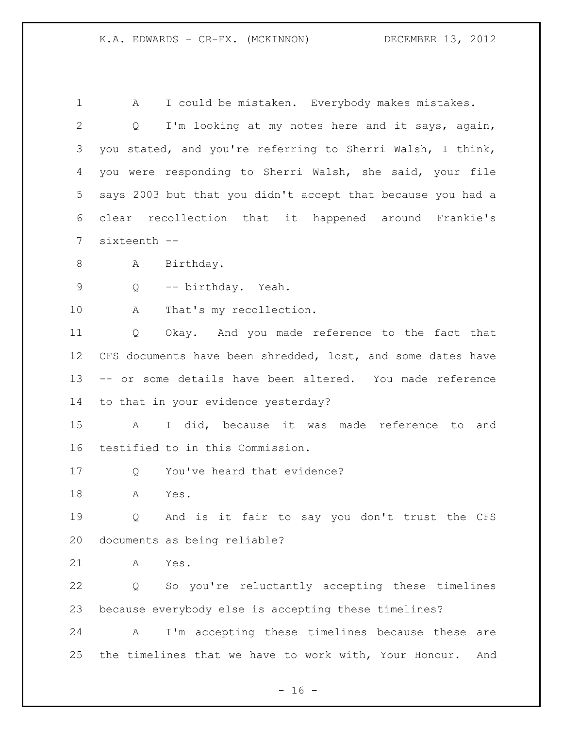A I could be mistaken. Everybody makes mistakes. Q I'm looking at my notes here and it says, again, you stated, and you're referring to Sherri Walsh, I think, you were responding to Sherri Walsh, she said, your file says 2003 but that you didn't accept that because you had a clear recollection that it happened around Frankie's sixteenth -- 8 A Birthday. Q -- birthday. Yeah. 10 A That's my recollection. Q Okay. And you made reference to the fact that CFS documents have been shredded, lost, and some dates have -- or some details have been altered. You made reference to that in your evidence yesterday? A I did, because it was made reference to and testified to in this Commission. 17 O You've heard that evidence? A Yes. Q And is it fair to say you don't trust the CFS documents as being reliable? A Yes. Q So you're reluctantly accepting these timelines because everybody else is accepting these timelines? A I'm accepting these timelines because these are the timelines that we have to work with, Your Honour. And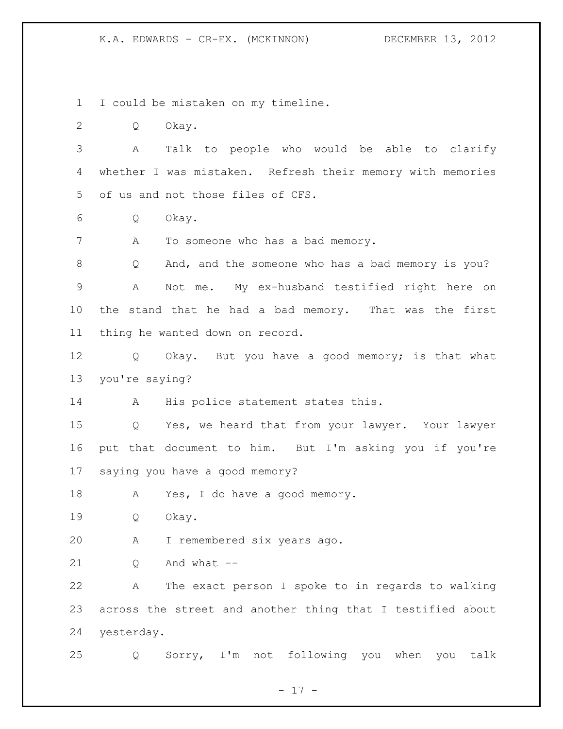I could be mistaken on my timeline.

Q Okay.

 A Talk to people who would be able to clarify whether I was mistaken. Refresh their memory with memories of us and not those files of CFS.

Q Okay.

7 A To someone who has a bad memory.

 Q And, and the someone who has a bad memory is you? A Not me. My ex-husband testified right here on the stand that he had a bad memory. That was the first thing he wanted down on record.

12 Q Okay. But you have a good memory; is that what you're saying?

14 A His police statement states this.

 Q Yes, we heard that from your lawyer. Your lawyer put that document to him. But I'm asking you if you're saying you have a good memory?

18 A Yes, I do have a good memory.

Q Okay.

A I remembered six years ago.

O And what  $-$ 

 A The exact person I spoke to in regards to walking across the street and another thing that I testified about yesterday.

Q Sorry, I'm not following you when you talk

- 17 -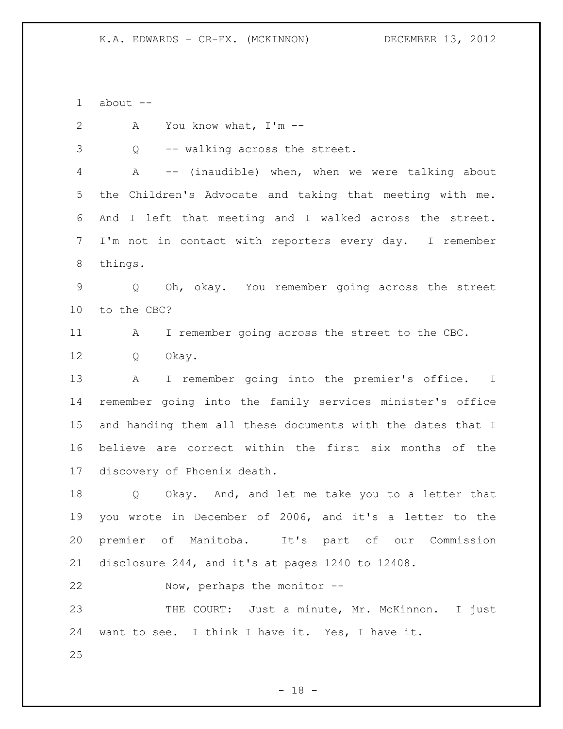about -- A You know what, I'm -- Q -- walking across the street. A -- (inaudible) when, when we were talking about the Children's Advocate and taking that meeting with me. And I left that meeting and I walked across the street. I'm not in contact with reporters every day. I remember things. Q Oh, okay. You remember going across the street to the CBC? A I remember going across the street to the CBC. Q Okay. A I remember going into the premier's office. I remember going into the family services minister's office and handing them all these documents with the dates that I believe are correct within the first six months of the discovery of Phoenix death. Q Okay. And, and let me take you to a letter that you wrote in December of 2006, and it's a letter to the premier of Manitoba. It's part of our Commission disclosure 244, and it's at pages 1240 to 12408. Now, perhaps the monitor -- THE COURT: Just a minute, Mr. McKinnon. I just want to see. I think I have it. Yes, I have it. 

- 18 -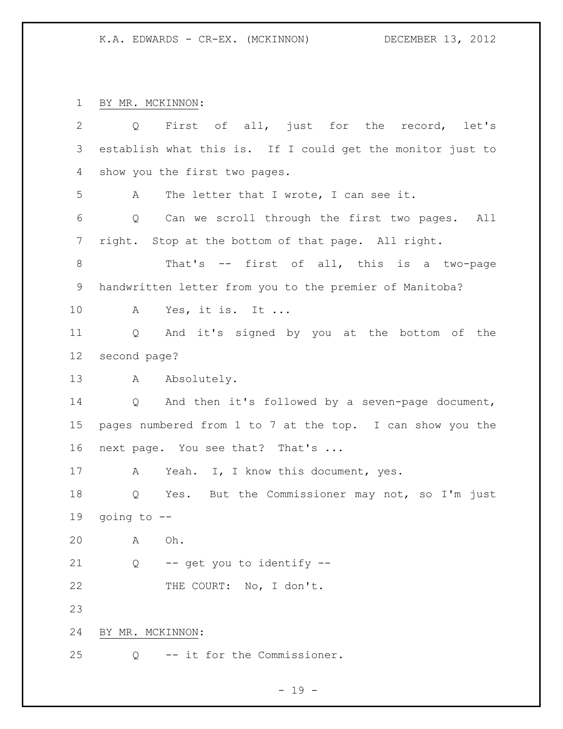BY MR. MCKINNON:

| $\overline{2}$ | $Q \qquad \qquad$ | First of all, just for the record, let's                   |
|----------------|-------------------|------------------------------------------------------------|
| 3              |                   | establish what this is. If I could get the monitor just to |
| 4              |                   | show you the first two pages.                              |
| 5              | A                 | The letter that I wrote, I can see it.                     |
| 6              | Q                 | Can we scroll through the first two pages. All             |
| 7              |                   | right. Stop at the bottom of that page. All right.         |
| 8              |                   | That's -- first of all, this is a two-page                 |
| 9              |                   | handwritten letter from you to the premier of Manitoba?    |
| 10             | A                 | Yes, it is. It                                             |
| 11             | Q                 | And it's signed by you at the bottom of the                |
| 12             | second page?      |                                                            |
| 13             | A                 | Absolutely.                                                |
| 14             |                   | Q And then it's followed by a seven-page document,         |
| 15             |                   | pages numbered from 1 to 7 at the top. I can show you the  |
| 16             |                   | next page. You see that? That's                            |
| 17             | A                 | Yeah. I, I know this document, yes.                        |
| 18             | Q                 | Yes. But the Commissioner may not, so I'm just             |
| 19             | going to $-$      |                                                            |
| 20             | Α                 | Oh.                                                        |
| 21             | Q                 | -- get you to identify --                                  |
| 22             |                   | THE COURT: No, I don't.                                    |
| 23             |                   |                                                            |
| 24             | BY MR. MCKINNON:  |                                                            |
| 25             | Q                 | -- it for the Commissioner.                                |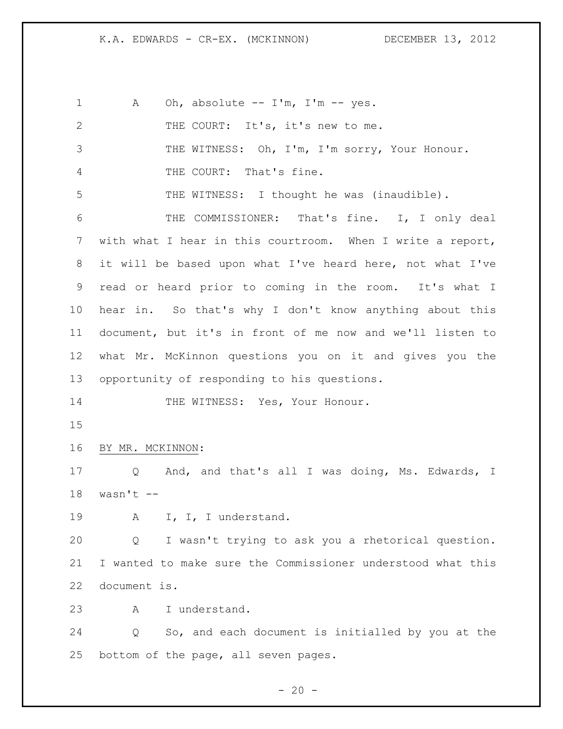| $\mathbf 1$  | Oh, absolute -- I'm, I'm -- yes.<br>A                       |
|--------------|-------------------------------------------------------------|
| $\mathbf{2}$ | THE COURT: It's, it's new to me.                            |
| 3            | THE WITNESS: Oh, I'm, I'm sorry, Your Honour.               |
| 4            | THE COURT: That's fine.                                     |
| 5            | THE WITNESS: I thought he was (inaudible).                  |
| 6            | THE COMMISSIONER: That's fine. I, I only deal               |
| 7            | with what I hear in this courtroom. When I write a report,  |
| 8            | it will be based upon what I've heard here, not what I've   |
| 9            | read or heard prior to coming in the room. It's what I      |
| 10           | hear in. So that's why I don't know anything about this     |
| 11           | document, but it's in front of me now and we'll listen to   |
| 12           | what Mr. McKinnon questions you on it and gives you the     |
| 13           | opportunity of responding to his questions.                 |
| 14           | THE WITNESS: Yes, Your Honour.                              |
| 15           |                                                             |
| 16           | BY MR. MCKINNON:                                            |
| 17           | And, and that's all I was doing, Ms. Edwards, I<br>Q        |
| 18           | wasn't $--$                                                 |
| 19           | I, I, I understand.<br>A                                    |
| 20           | I wasn't trying to ask you a rhetorical question.<br>Q      |
| 21           | I wanted to make sure the Commissioner understood what this |
| 22           | document is.                                                |
| 23           | I understand.<br>Α                                          |
| 24           | So, and each document is initialled by you at the<br>Q      |
| 25           | bottom of the page, all seven pages.                        |

- 20 -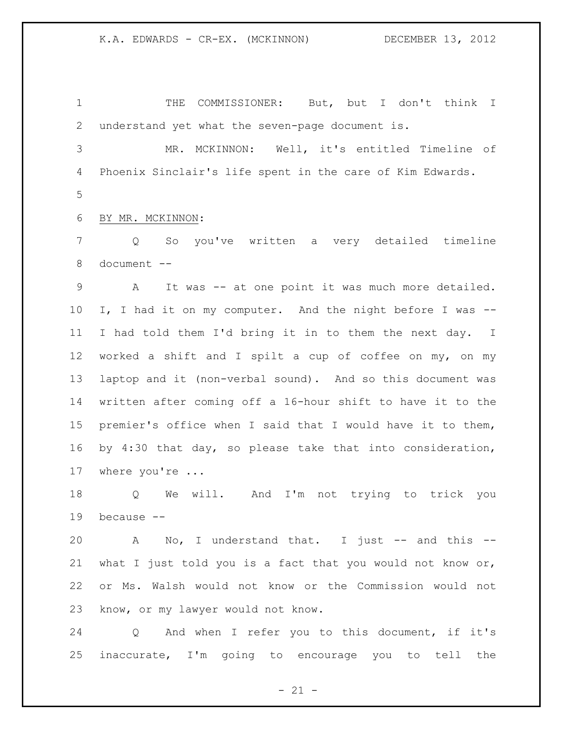THE COMMISSIONER: But, but I don't think I understand yet what the seven-page document is.

 MR. MCKINNON: Well, it's entitled Timeline of Phoenix Sinclair's life spent in the care of Kim Edwards. 

BY MR. MCKINNON:

 Q So you've written a very detailed timeline document --

 A It was -- at one point it was much more detailed. I, I had it on my computer. And the night before I was -- I had told them I'd bring it in to them the next day. I worked a shift and I spilt a cup of coffee on my, on my laptop and it (non-verbal sound). And so this document was written after coming off a 16-hour shift to have it to the premier's office when I said that I would have it to them, by 4:30 that day, so please take that into consideration, where you're ...

 Q We will. And I'm not trying to trick you because --

20 A No, I understand that. I just -- and this -- what I just told you is a fact that you would not know or, or Ms. Walsh would not know or the Commission would not know, or my lawyer would not know.

 Q And when I refer you to this document, if it's inaccurate, I'm going to encourage you to tell the

 $- 21 -$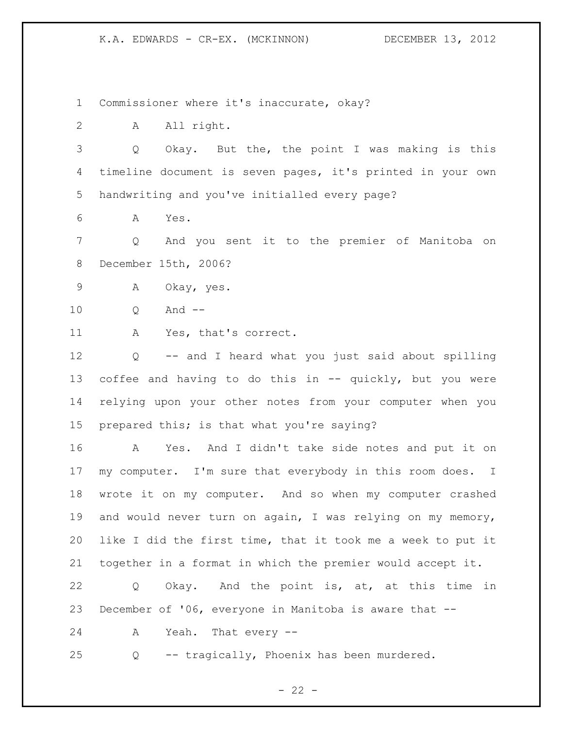Commissioner where it's inaccurate, okay?

A All right.

 Q Okay. But the, the point I was making is this timeline document is seven pages, it's printed in your own handwriting and you've initialled every page?

A Yes.

 Q And you sent it to the premier of Manitoba on December 15th, 2006?

A Okay, yes.

Q And --

A Yes, that's correct.

 Q -- and I heard what you just said about spilling coffee and having to do this in -- quickly, but you were relying upon your other notes from your computer when you prepared this; is that what you're saying?

 A Yes. And I didn't take side notes and put it on my computer. I'm sure that everybody in this room does. I wrote it on my computer. And so when my computer crashed and would never turn on again, I was relying on my memory, like I did the first time, that it took me a week to put it together in a format in which the premier would accept it.

 Q Okay. And the point is, at, at this time in December of '06, everyone in Manitoba is aware that --

A Yeah. That every --

Q -- tragically, Phoenix has been murdered.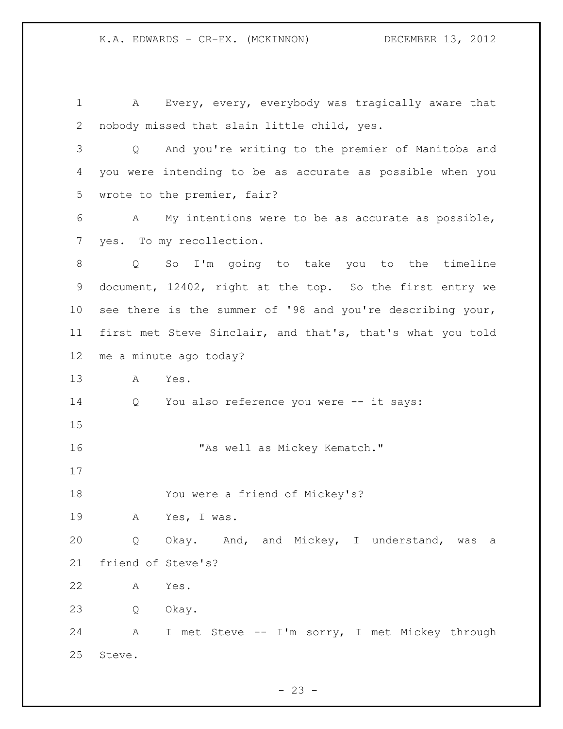A Every, every, everybody was tragically aware that nobody missed that slain little child, yes. Q And you're writing to the premier of Manitoba and you were intending to be as accurate as possible when you wrote to the premier, fair? A My intentions were to be as accurate as possible, yes. To my recollection. Q So I'm going to take you to the timeline document, 12402, right at the top. So the first entry we see there is the summer of '98 and you're describing your, first met Steve Sinclair, and that's, that's what you told me a minute ago today? A Yes. Q You also reference you were -- it says: 16 "As well as Mickey Kematch." You were a friend of Mickey's? A Yes, I was. Q Okay. And, and Mickey, I understand, was a friend of Steve's? A Yes. Q Okay. A I met Steve -- I'm sorry, I met Mickey through Steve.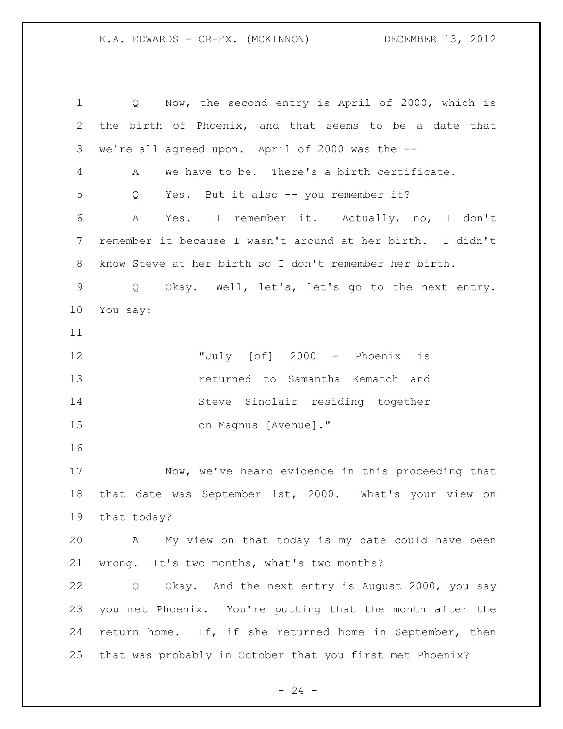Q Now, the second entry is April of 2000, which is the birth of Phoenix, and that seems to be a date that we're all agreed upon. April of 2000 was the -- A We have to be. There's a birth certificate. Q Yes. But it also -- you remember it? A Yes. I remember it. Actually, no, I don't remember it because I wasn't around at her birth. I didn't know Steve at her birth so I don't remember her birth. Q Okay. Well, let's, let's go to the next entry. You say: "July [of] 2000 - Phoenix is returned to Samantha Kematch and Steve Sinclair residing together on Magnus [Avenue]." Now, we've heard evidence in this proceeding that that date was September 1st, 2000. What's your view on that today? A My view on that today is my date could have been wrong. It's two months, what's two months? Q Okay. And the next entry is August 2000, you say you met Phoenix. You're putting that the month after the return home. If, if she returned home in September, then that was probably in October that you first met Phoenix?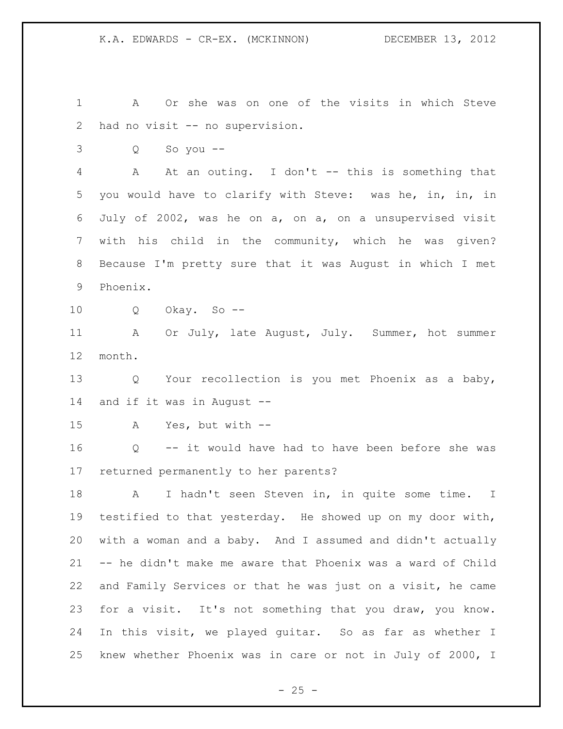A Or she was on one of the visits in which Steve had no visit -- no supervision.

Q So you --

 A At an outing. I don't -- this is something that you would have to clarify with Steve: was he, in, in, in July of 2002, was he on a, on a, on a unsupervised visit with his child in the community, which he was given? Because I'm pretty sure that it was August in which I met Phoenix.

Q Okay. So --

11 A Or July, late August, July. Summer, hot summer month.

 Q Your recollection is you met Phoenix as a baby, and if it was in August --

A Yes, but with --

 Q -- it would have had to have been before she was returned permanently to her parents?

 A I hadn't seen Steven in, in quite some time. I testified to that yesterday. He showed up on my door with, with a woman and a baby. And I assumed and didn't actually -- he didn't make me aware that Phoenix was a ward of Child and Family Services or that he was just on a visit, he came for a visit. It's not something that you draw, you know. In this visit, we played guitar. So as far as whether I knew whether Phoenix was in care or not in July of 2000, I

 $- 25 -$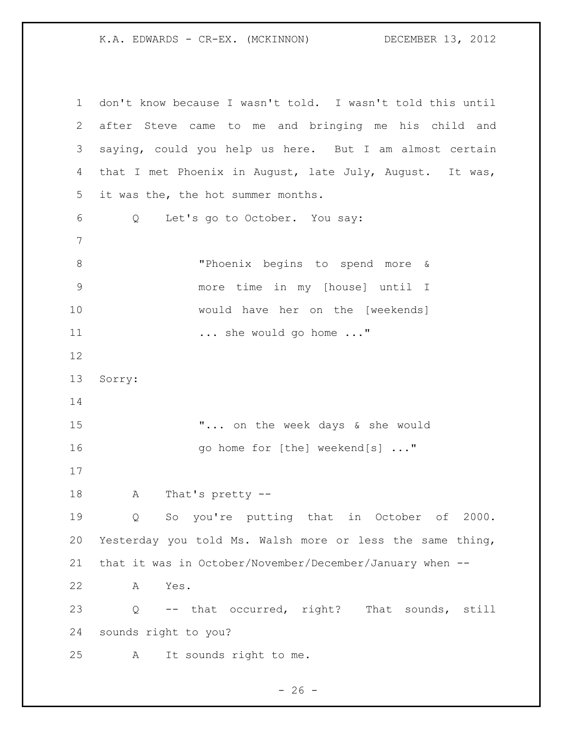| $\mathbf 1$   | don't know because I wasn't told. I wasn't told this until  |
|---------------|-------------------------------------------------------------|
| 2             | after Steve came to me and bringing me his child and        |
| 3             | saying, could you help us here. But I am almost certain     |
| 4             | that I met Phoenix in August, late July, August. It was,    |
| 5             | it was the, the hot summer months.                          |
| 6             | Let's go to October. You say:<br>Q                          |
| 7             |                                                             |
| $\,8\,$       | "Phoenix begins to spend more &                             |
| $\mathcal{G}$ | more time in my [house] until I                             |
| 10            | would have her on the [weekends]                            |
| 11            | she would go home "                                         |
| 12            |                                                             |
| 13            | Sorry:                                                      |
| 14            |                                                             |
| 15            | " on the week days & she would                              |
| 16            | go home for [the] weekend[s] "                              |
| 17            |                                                             |
| 18            | That's pretty --<br>Α                                       |
| 19            | So you're putting that in October of 2000.<br>Q             |
| 20            | Yesterday you told Ms. Walsh more or less the same thing,   |
| 21            | that it was in October/November/December/January when --    |
| 22            | A<br>Yes.                                                   |
| 23            | -- that occurred, right? That sounds, still<br>$\mathsf{Q}$ |
| 24            | sounds right to you?                                        |
| 25            | It sounds right to me.<br>A                                 |

- 26 -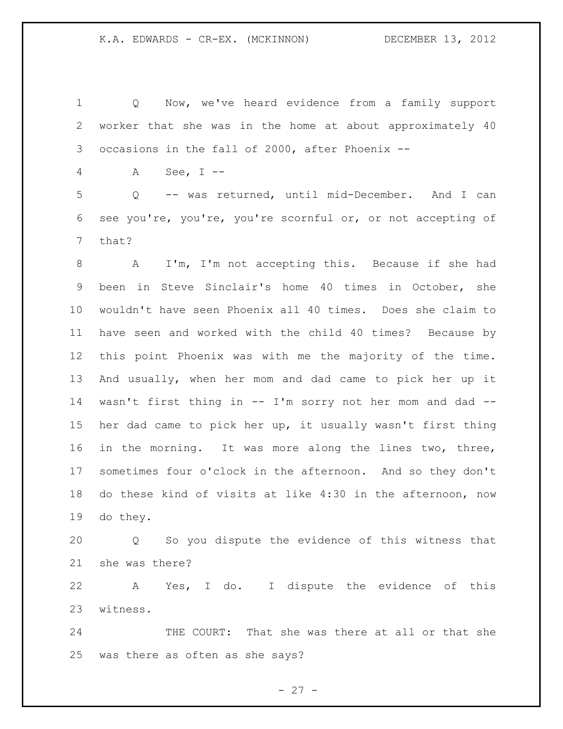Q Now, we've heard evidence from a family support worker that she was in the home at about approximately 40 occasions in the fall of 2000, after Phoenix --

A See, I --

 Q -- was returned, until mid-December. And I can see you're, you're, you're scornful or, or not accepting of that?

 A I'm, I'm not accepting this. Because if she had been in Steve Sinclair's home 40 times in October, she wouldn't have seen Phoenix all 40 times. Does she claim to have seen and worked with the child 40 times? Because by this point Phoenix was with me the majority of the time. And usually, when her mom and dad came to pick her up it wasn't first thing in -- I'm sorry not her mom and dad -- her dad came to pick her up, it usually wasn't first thing in the morning. It was more along the lines two, three, sometimes four o'clock in the afternoon. And so they don't do these kind of visits at like 4:30 in the afternoon, now do they.

 Q So you dispute the evidence of this witness that she was there?

 A Yes, I do. I dispute the evidence of this witness.

24 THE COURT: That she was there at all or that she was there as often as she says?

 $- 27 -$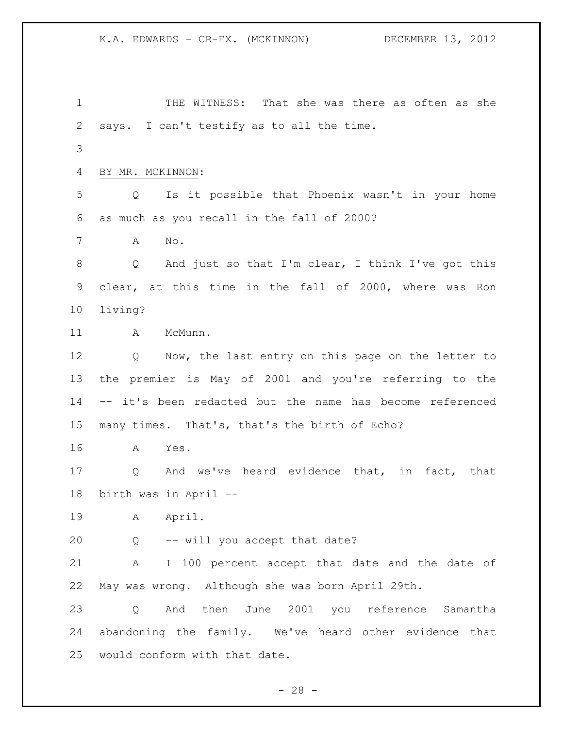K.A. EDWARDS - CR-EX. (MCKINNON) DECEMBER 13, 2012 THE WITNESS: That she was there as often as she says. I can't testify as to all the time. BY MR. MCKINNON: Q Is it possible that Phoenix wasn't in your home as much as you recall in the fall of 2000? A No. Q And just so that I'm clear, I think I've got this clear, at this time in the fall of 2000, where was Ron living? 11 A McMunn. Q Now, the last entry on this page on the letter to the premier is May of 2001 and you're referring to the -- it's been redacted but the name has become referenced many times. That's, that's the birth of Echo? A Yes. Q And we've heard evidence that, in fact, that birth was in April -- A April. Q -- will you accept that date? A I 100 percent accept that date and the date of May was wrong. Although she was born April 29th. Q And then June 2001 you reference Samantha abandoning the family. We've heard other evidence that would conform with that date.

 $- 28 -$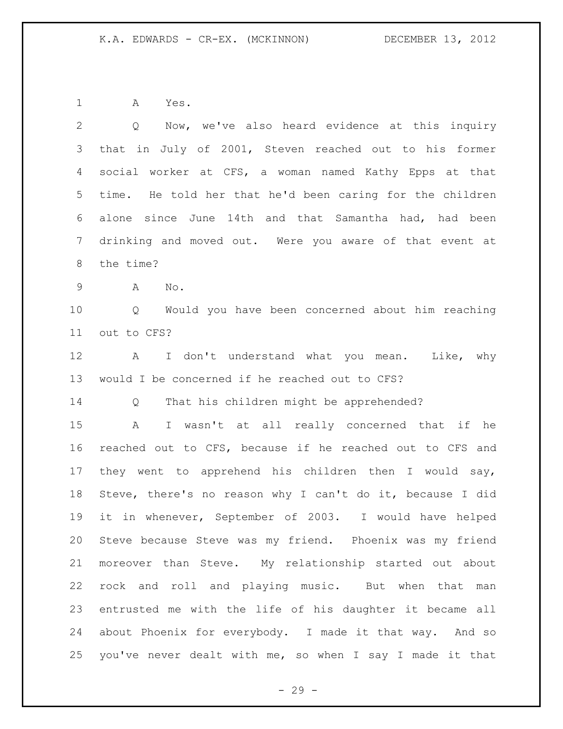A Yes.

| $\overline{2}$ | Now, we've also heard evidence at this inquiry<br>Q         |
|----------------|-------------------------------------------------------------|
| 3              | that in July of 2001, Steven reached out to his former      |
| 4              | social worker at CFS, a woman named Kathy Epps at that      |
| 5              | time. He told her that he'd been caring for the children    |
| 6              | alone since June 14th and that Samantha had, had been       |
| $7\phantom{.}$ | drinking and moved out. Were you aware of that event at     |
| 8              | the time?                                                   |
| $\mathsf 9$    | A<br>No.                                                    |
| 10             | Q Would you have been concerned about him reaching          |
| 11             | out to CFS?                                                 |
| 12             | I don't understand what you mean. Like, why<br>$\mathbf{A}$ |
| 13             | would I be concerned if he reached out to CFS?              |
| 14             | That his children might be apprehended?<br>Q                |
| 15             | I wasn't at all really concerned that if he<br>A            |
| 16             | reached out to CFS, because if he reached out to CFS and    |
| 17             | they went to apprehend his children then I would say,       |
| 18             | Steve, there's no reason why I can't do it, because I did   |
| 19             | it in whenever, September of 2003. I would have helped      |
| 20             | Steve because Steve was my friend. Phoenix was my friend    |
| 21             | moreover than Steve. My relationship started out about      |
| 22             | rock and roll and playing music. But when that man          |
| 23             | entrusted me with the life of his daughter it became all    |
| 24             | about Phoenix for everybody. I made it that way. And so     |
| 25             | you've never dealt with me, so when I say I made it that    |

- 29 -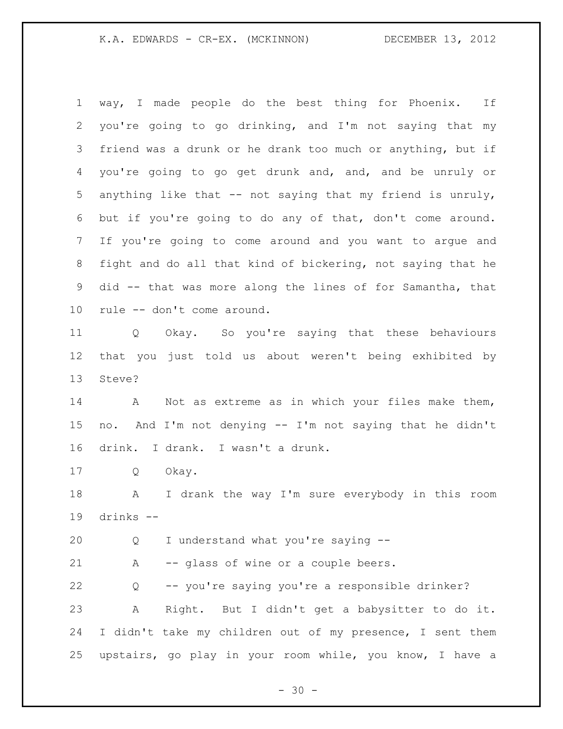way, I made people do the best thing for Phoenix. If you're going to go drinking, and I'm not saying that my friend was a drunk or he drank too much or anything, but if you're going to go get drunk and, and, and be unruly or anything like that -- not saying that my friend is unruly, but if you're going to do any of that, don't come around. If you're going to come around and you want to argue and fight and do all that kind of bickering, not saying that he did -- that was more along the lines of for Samantha, that rule -- don't come around. Q Okay. So you're saying that these behaviours that you just told us about weren't being exhibited by Steve? A Not as extreme as in which your files make them,

 no. And I'm not denying -- I'm not saying that he didn't drink. I drank. I wasn't a drunk.

Q Okay.

 A I drank the way I'm sure everybody in this room drinks --

Q I understand what you're saying --

A -- glass of wine or a couple beers.

 Q -- you're saying you're a responsible drinker? A Right. But I didn't get a babysitter to do it. I didn't take my children out of my presence, I sent them upstairs, go play in your room while, you know, I have a

 $- 30 -$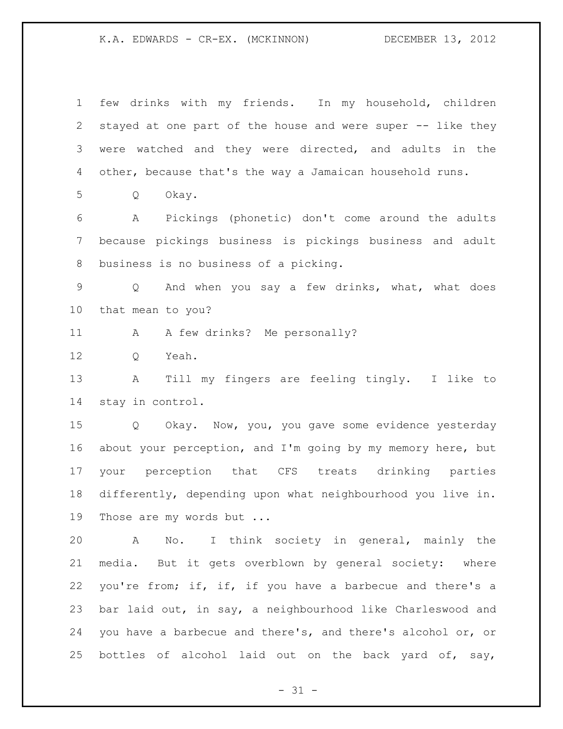few drinks with my friends. In my household, children stayed at one part of the house and were super -- like they were watched and they were directed, and adults in the other, because that's the way a Jamaican household runs. Q Okay. A Pickings (phonetic) don't come around the adults because pickings business is pickings business and adult business is no business of a picking. Q And when you say a few drinks, what, what does that mean to you? 11 A A few drinks? Me personally? Q Yeah. A Till my fingers are feeling tingly. I like to stay in control. Q Okay. Now, you, you gave some evidence yesterday about your perception, and I'm going by my memory here, but your perception that CFS treats drinking parties differently, depending upon what neighbourhood you live in. 19 Those are my words but ... A No. I think society in general, mainly the media. But it gets overblown by general society: where 22 you're from; if, if, if you have a barbecue and there's a bar laid out, in say, a neighbourhood like Charleswood and you have a barbecue and there's, and there's alcohol or, or 25 bottles of alcohol laid out on the back yard of, say,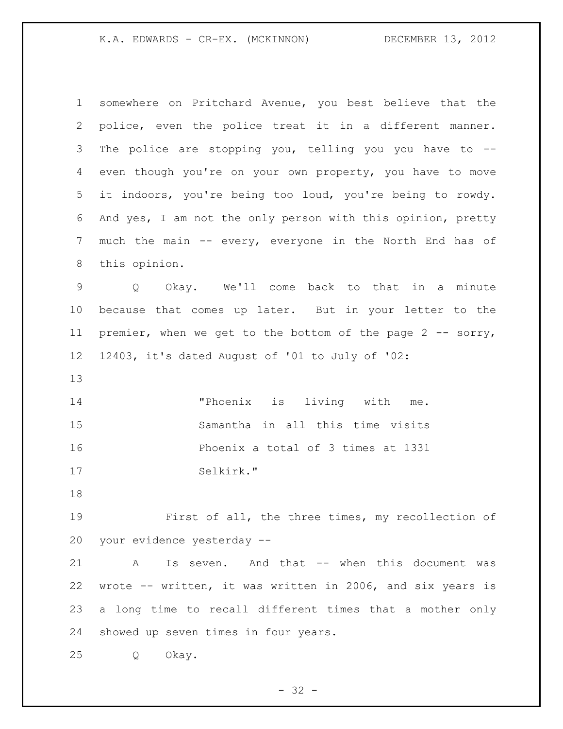somewhere on Pritchard Avenue, you best believe that the police, even the police treat it in a different manner. The police are stopping you, telling you you have to -- even though you're on your own property, you have to move it indoors, you're being too loud, you're being to rowdy. And yes, I am not the only person with this opinion, pretty much the main -- every, everyone in the North End has of this opinion. Q Okay. We'll come back to that in a minute because that comes up later. But in your letter to the 11 premier, when we get to the bottom of the page 2 -- sorry, 12403, it's dated August of '01 to July of '02: "Phoenix is living with me. Samantha in all this time visits Phoenix a total of 3 times at 1331 Selkirk." First of all, the three times, my recollection of your evidence yesterday -- A Is seven. And that -- when this document was wrote -- written, it was written in 2006, and six years is a long time to recall different times that a mother only showed up seven times in four years. Q Okay.

 $- 32 -$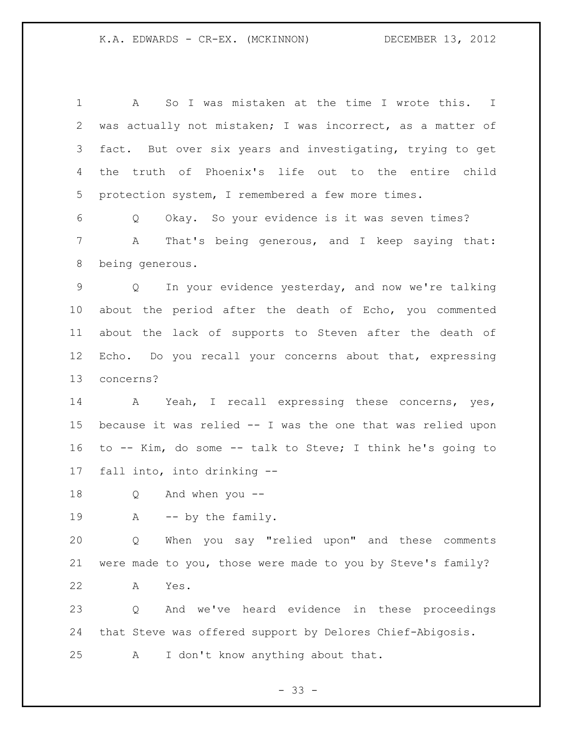A So I was mistaken at the time I wrote this. I was actually not mistaken; I was incorrect, as a matter of fact. But over six years and investigating, trying to get the truth of Phoenix's life out to the entire child protection system, I remembered a few more times. Q Okay. So your evidence is it was seven times? A That's being generous, and I keep saying that: being generous. Q In your evidence yesterday, and now we're talking about the period after the death of Echo, you commented about the lack of supports to Steven after the death of Echo. Do you recall your concerns about that, expressing

concerns?

 A Yeah, I recall expressing these concerns, yes, because it was relied -- I was the one that was relied upon to -- Kim, do some -- talk to Steve; I think he's going to fall into, into drinking --

Q And when you --

19 A -- by the family.

 Q When you say "relied upon" and these comments were made to you, those were made to you by Steve's family? A Yes.

 Q And we've heard evidence in these proceedings that Steve was offered support by Delores Chief-Abigosis. A I don't know anything about that.

 $- 33 -$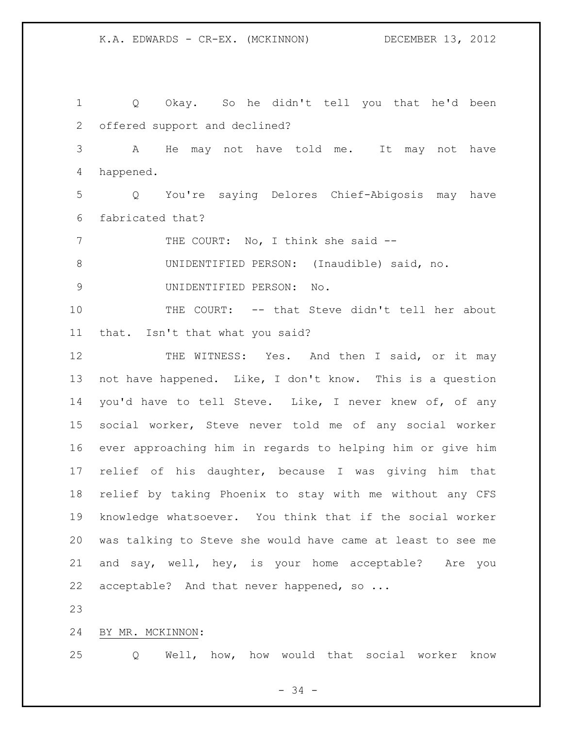Q Okay. So he didn't tell you that he'd been offered support and declined? A He may not have told me. It may not have happened. Q You're saying Delores Chief-Abigosis may have fabricated that? 7 THE COURT: No, I think she said -- UNIDENTIFIED PERSON: (Inaudible) said, no. UNIDENTIFIED PERSON: No. THE COURT: -- that Steve didn't tell her about that. Isn't that what you said? 12 THE WITNESS: Yes. And then I said, or it may not have happened. Like, I don't know. This is a question you'd have to tell Steve. Like, I never knew of, of any social worker, Steve never told me of any social worker ever approaching him in regards to helping him or give him relief of his daughter, because I was giving him that relief by taking Phoenix to stay with me without any CFS knowledge whatsoever. You think that if the social worker was talking to Steve she would have came at least to see me and say, well, hey, is your home acceptable? Are you 22 acceptable? And that never happened, so ...

BY MR. MCKINNON:

Q Well, how, how would that social worker know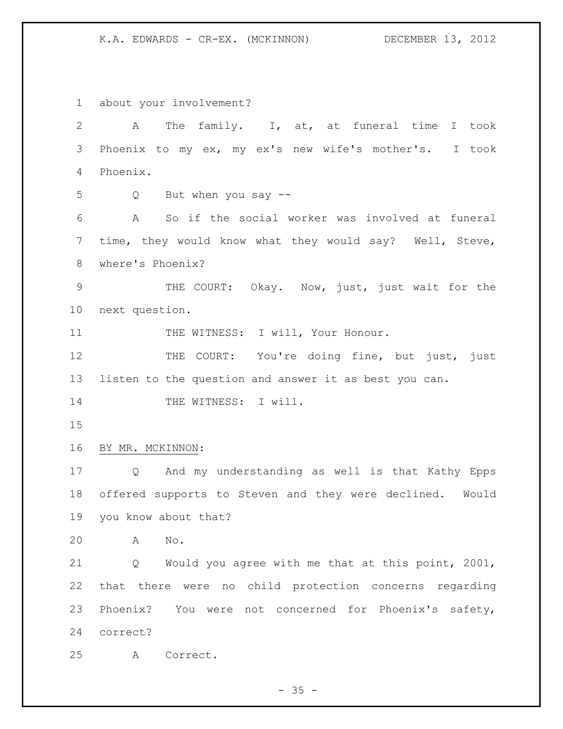about your involvement? A The family. I, at, at funeral time I took Phoenix to my ex, my ex's new wife's mother's. I took Phoenix. Q But when you say -- A So if the social worker was involved at funeral time, they would know what they would say? Well, Steve, where's Phoenix? THE COURT: Okay. Now, just, just wait for the next question. 11 THE WITNESS: I will, Your Honour. 12 THE COURT: You're doing fine, but just, just listen to the question and answer it as best you can. 14 THE WITNESS: I will. BY MR. MCKINNON: Q And my understanding as well is that Kathy Epps offered supports to Steven and they were declined. Would you know about that? A No. Q Would you agree with me that at this point, 2001, that there were no child protection concerns regarding Phoenix? You were not concerned for Phoenix's safety, correct? A Correct.

 $- 35 -$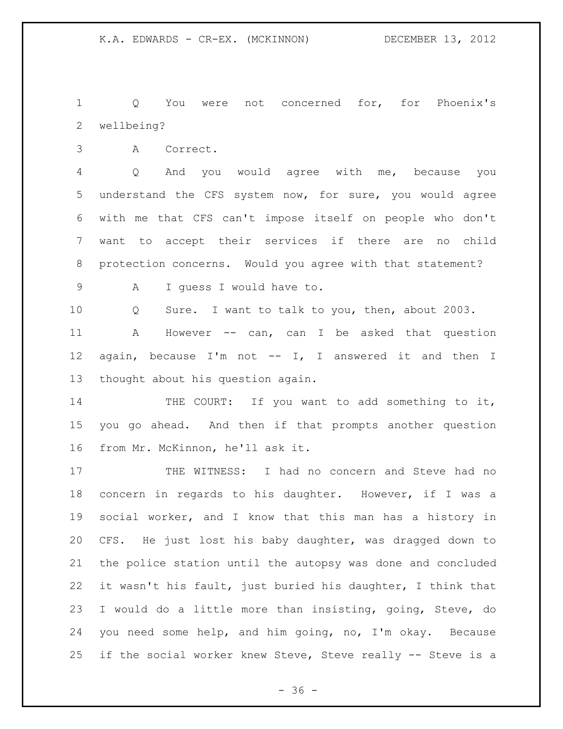Q You were not concerned for, for Phoenix's wellbeing?

A Correct.

 Q And you would agree with me, because you understand the CFS system now, for sure, you would agree with me that CFS can't impose itself on people who don't want to accept their services if there are no child protection concerns. Would you agree with that statement?

A I guess I would have to.

 Q Sure. I want to talk to you, then, about 2003. A However -- can, can I be asked that question again, because I'm not -- I, I answered it and then I thought about his question again.

14 THE COURT: If you want to add something to it, you go ahead. And then if that prompts another question from Mr. McKinnon, he'll ask it.

 THE WITNESS: I had no concern and Steve had no concern in regards to his daughter. However, if I was a social worker, and I know that this man has a history in CFS. He just lost his baby daughter, was dragged down to the police station until the autopsy was done and concluded it wasn't his fault, just buried his daughter, I think that I would do a little more than insisting, going, Steve, do you need some help, and him going, no, I'm okay. Because 25 if the social worker knew Steve, Steve really -- Steve is a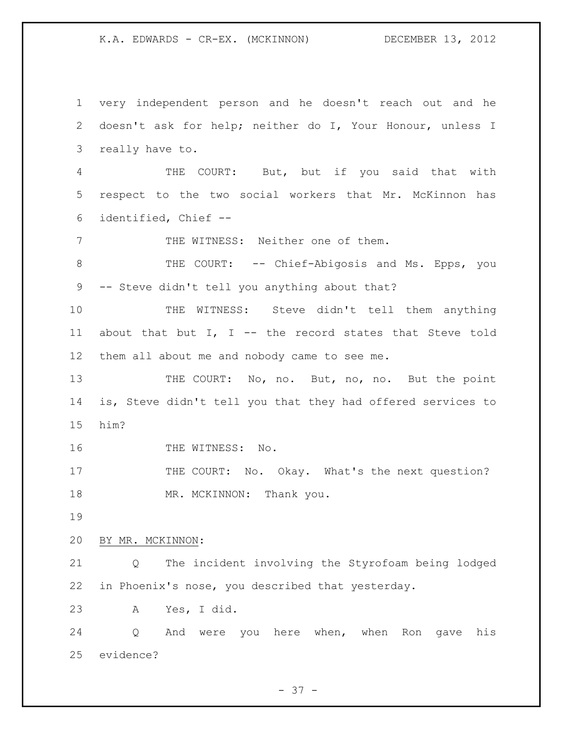very independent person and he doesn't reach out and he doesn't ask for help; neither do I, Your Honour, unless I really have to. THE COURT: But, but if you said that with respect to the two social workers that Mr. McKinnon has identified, Chief -- THE WITNESS: Neither one of them. THE COURT: -- Chief-Abigosis and Ms. Epps, you -- Steve didn't tell you anything about that? THE WITNESS: Steve didn't tell them anything about that but I, I -- the record states that Steve told them all about me and nobody came to see me. 13 THE COURT: No, no. But, no, no. But the point is, Steve didn't tell you that they had offered services to him? 16 THE WITNESS: No. 17 THE COURT: No. Okay. What's the next question? 18 MR. MCKINNON: Thank you. BY MR. MCKINNON: Q The incident involving the Styrofoam being lodged in Phoenix's nose, you described that yesterday. A Yes, I did. Q And were you here when, when Ron gave his evidence?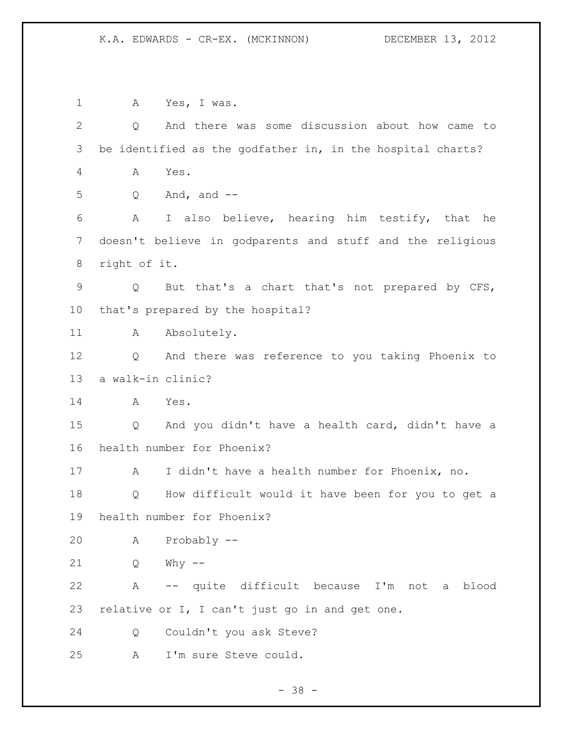A Yes, I was. Q And there was some discussion about how came to be identified as the godfather in, in the hospital charts? A Yes. Q And, and -- A I also believe, hearing him testify, that he doesn't believe in godparents and stuff and the religious right of it. Q But that's a chart that's not prepared by CFS, that's prepared by the hospital? 11 A Absolutely. Q And there was reference to you taking Phoenix to a walk-in clinic? A Yes. Q And you didn't have a health card, didn't have a health number for Phoenix? A I didn't have a health number for Phoenix, no. Q How difficult would it have been for you to get a health number for Phoenix? A Probably -- Q Why -- A -- quite difficult because I'm not a blood relative or I, I can't just go in and get one. Q Couldn't you ask Steve? A I'm sure Steve could.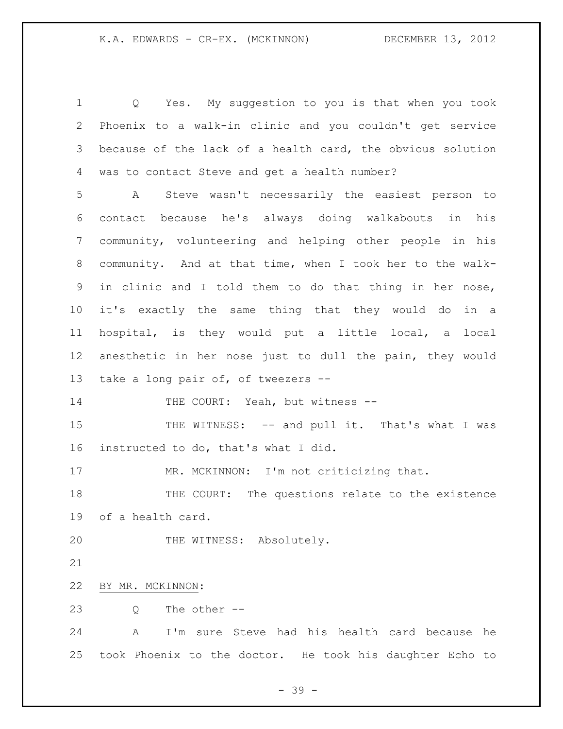Q Yes. My suggestion to you is that when you took Phoenix to a walk-in clinic and you couldn't get service because of the lack of a health card, the obvious solution was to contact Steve and get a health number?

 A Steve wasn't necessarily the easiest person to contact because he's always doing walkabouts in his community, volunteering and helping other people in his community. And at that time, when I took her to the walk- in clinic and I told them to do that thing in her nose, it's exactly the same thing that they would do in a hospital, is they would put a little local, a local anesthetic in her nose just to dull the pain, they would take a long pair of, of tweezers --

14 THE COURT: Yeah, but witness --

15 THE WITNESS: -- and pull it. That's what I was instructed to do, that's what I did.

17 MR. MCKINNON: I'm not criticizing that.

 THE COURT: The questions relate to the existence of a health card.

THE WITNESS: Absolutely.

BY MR. MCKINNON:

Q The other --

 A I'm sure Steve had his health card because he took Phoenix to the doctor. He took his daughter Echo to

- 39 -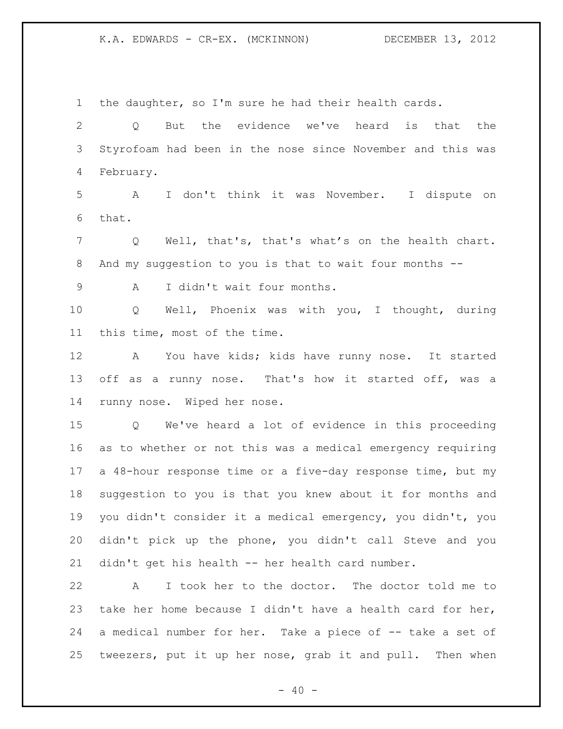the daughter, so I'm sure he had their health cards.

 Q But the evidence we've heard is that the Styrofoam had been in the nose since November and this was February.

 A I don't think it was November. I dispute on that.

 Q Well, that's, that's what's on the health chart. And my suggestion to you is that to wait four months --

A I didn't wait four months.

 Q Well, Phoenix was with you, I thought, during this time, most of the time.

 A You have kids; kids have runny nose. It started off as a runny nose. That's how it started off, was a runny nose. Wiped her nose.

 Q We've heard a lot of evidence in this proceeding as to whether or not this was a medical emergency requiring a 48-hour response time or a five-day response time, but my suggestion to you is that you knew about it for months and you didn't consider it a medical emergency, you didn't, you didn't pick up the phone, you didn't call Steve and you didn't get his health -- her health card number.

 A I took her to the doctor. The doctor told me to take her home because I didn't have a health card for her, a medical number for her. Take a piece of -- take a set of tweezers, put it up her nose, grab it and pull. Then when

 $- 40 -$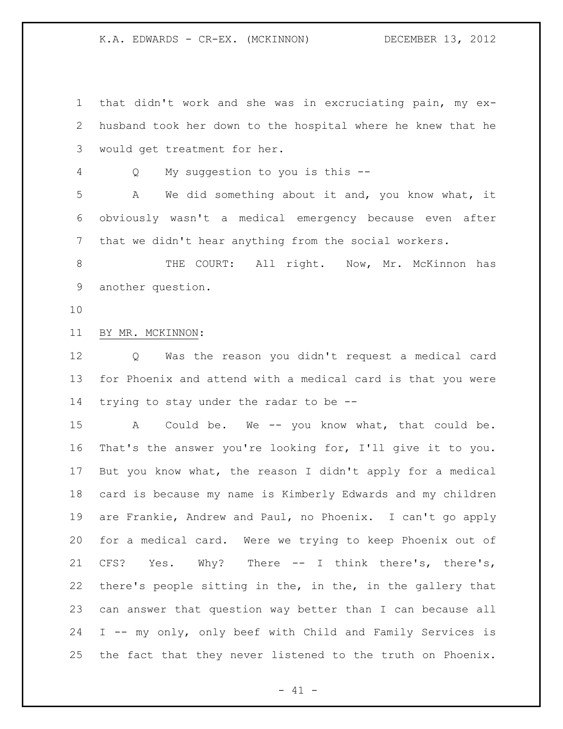that didn't work and she was in excruciating pain, my ex- husband took her down to the hospital where he knew that he would get treatment for her. Q My suggestion to you is this -- A We did something about it and, you know what, it obviously wasn't a medical emergency because even after that we didn't hear anything from the social workers. 8 THE COURT: All right. Now, Mr. McKinnon has another question. BY MR. MCKINNON: Q Was the reason you didn't request a medical card for Phoenix and attend with a medical card is that you were trying to stay under the radar to be -- A Could be. We -- you know what, that could be. That's the answer you're looking for, I'll give it to you. But you know what, the reason I didn't apply for a medical card is because my name is Kimberly Edwards and my children are Frankie, Andrew and Paul, no Phoenix. I can't go apply for a medical card. Were we trying to keep Phoenix out of CFS? Yes. Why? There -- I think there's, there's, there's people sitting in the, in the, in the gallery that can answer that question way better than I can because all I -- my only, only beef with Child and Family Services is the fact that they never listened to the truth on Phoenix.

 $- 41 -$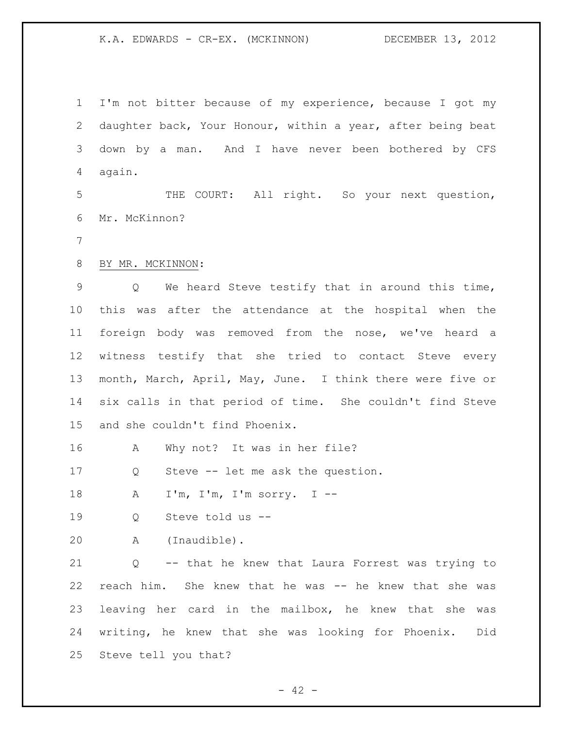I'm not bitter because of my experience, because I got my daughter back, Your Honour, within a year, after being beat down by a man. And I have never been bothered by CFS again.

 THE COURT: All right. So your next question, Mr. McKinnon?

BY MR. MCKINNON:

 Q We heard Steve testify that in around this time, this was after the attendance at the hospital when the foreign body was removed from the nose, we've heard a witness testify that she tried to contact Steve every month, March, April, May, June. I think there were five or six calls in that period of time. She couldn't find Steve and she couldn't find Phoenix.

A Why not? It was in her file?

Q Steve -- let me ask the question.

A I'm, I'm, I'm sorry. I --

Q Steve told us --

A (Inaudible).

 Q -- that he knew that Laura Forrest was trying to reach him. She knew that he was -- he knew that she was leaving her card in the mailbox, he knew that she was writing, he knew that she was looking for Phoenix. Did Steve tell you that?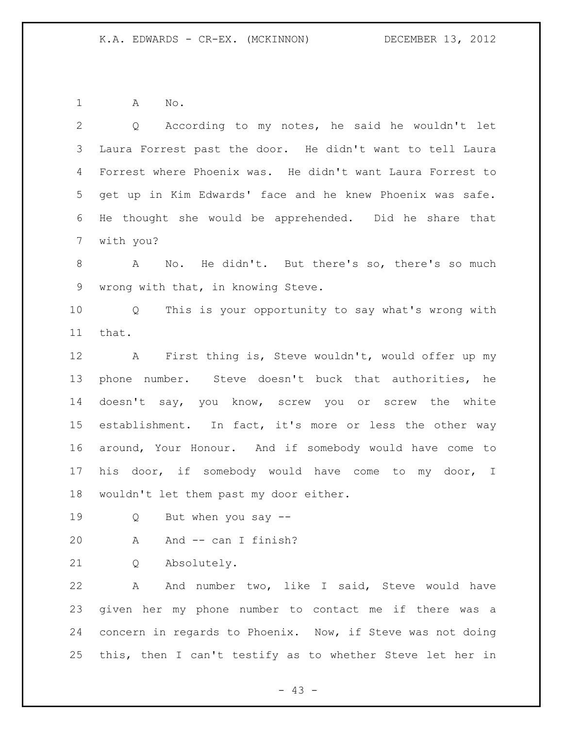A No.

 Q According to my notes, he said he wouldn't let Laura Forrest past the door. He didn't want to tell Laura Forrest where Phoenix was. He didn't want Laura Forrest to get up in Kim Edwards' face and he knew Phoenix was safe. He thought she would be apprehended. Did he share that with you? A No. He didn't. But there's so, there's so much wrong with that, in knowing Steve. Q This is your opportunity to say what's wrong with that. A First thing is, Steve wouldn't, would offer up my phone number. Steve doesn't buck that authorities, he doesn't say, you know, screw you or screw the white establishment. In fact, it's more or less the other way

 around, Your Honour. And if somebody would have come to his door, if somebody would have come to my door, I wouldn't let them past my door either.

Q But when you say --

A And -- can I finish?

Q Absolutely.

 A And number two, like I said, Steve would have given her my phone number to contact me if there was a concern in regards to Phoenix. Now, if Steve was not doing this, then I can't testify as to whether Steve let her in

 $- 43 -$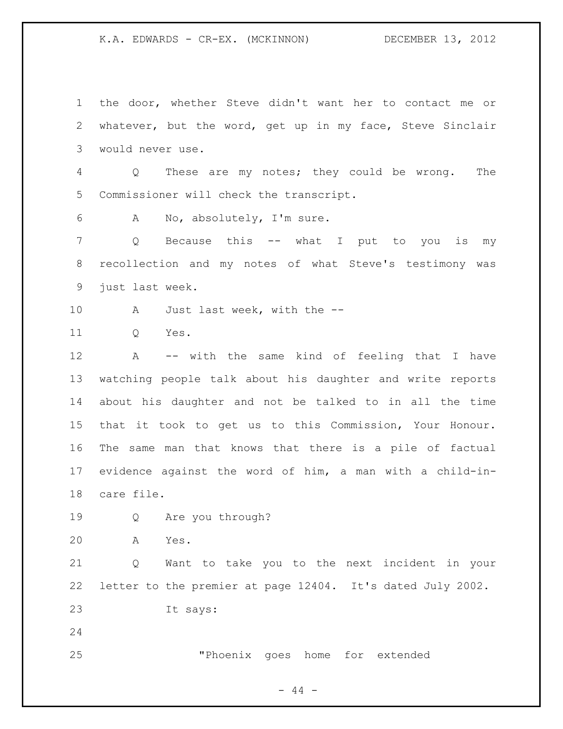the door, whether Steve didn't want her to contact me or whatever, but the word, get up in my face, Steve Sinclair would never use. Q These are my notes; they could be wrong. The Commissioner will check the transcript. A No, absolutely, I'm sure. Q Because this -- what I put to you is my recollection and my notes of what Steve's testimony was just last week. 10 A Just last week, with the -- Q Yes. A -- with the same kind of feeling that I have watching people talk about his daughter and write reports about his daughter and not be talked to in all the time that it took to get us to this Commission, Your Honour. The same man that knows that there is a pile of factual evidence against the word of him, a man with a child-in- care file. Q Are you through? A Yes. Q Want to take you to the next incident in your letter to the premier at page 12404. It's dated July 2002. It says: "Phoenix goes home for extended

 $-44 -$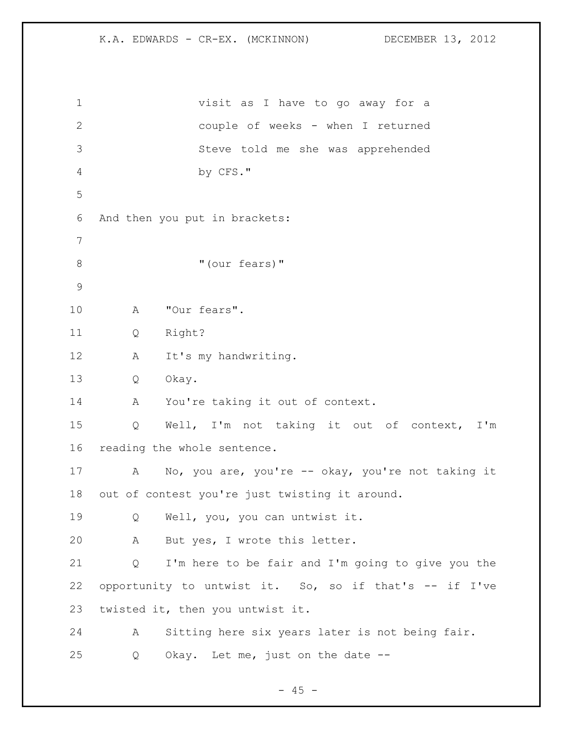| $\mathbf 1$   | visit as I have to go away for a                       |
|---------------|--------------------------------------------------------|
| $\mathbf{2}$  | couple of weeks - when I returned                      |
| $\mathcal{S}$ | Steve told me she was apprehended                      |
| $\sqrt{4}$    | by CFS."                                               |
| 5             |                                                        |
| 6             | And then you put in brackets:                          |
| 7             |                                                        |
| $8\,$         | "(our fears)"                                          |
| $\mathcal{G}$ |                                                        |
| 10            | "Our fears".<br>A                                      |
| 11            | Right?<br>Q                                            |
| 12            | It's my handwriting.<br>Α                              |
| 13            | Okay.<br>Q                                             |
| 14            | You're taking it out of context.<br>A                  |
| 15            | Well, I'm not taking it out of context, I'm<br>Q       |
| 16            | reading the whole sentence.                            |
| 17            | No, you are, you're -- okay, you're not taking it<br>A |
| 18            | out of contest you're just twisting it around.         |
| 19            | Well, you, you can untwist it.<br>Q                    |
| 20            | But yes, I wrote this letter.<br>Α                     |
| 21            | I'm here to be fair and I'm going to give you the<br>Q |
| 22            | opportunity to untwist it. So, so if that's -- if I've |
| 23            | twisted it, then you untwist it.                       |
| 24            | Sitting here six years later is not being fair.<br>А   |
| 25            | Okay. Let me, just on the date --<br>Q                 |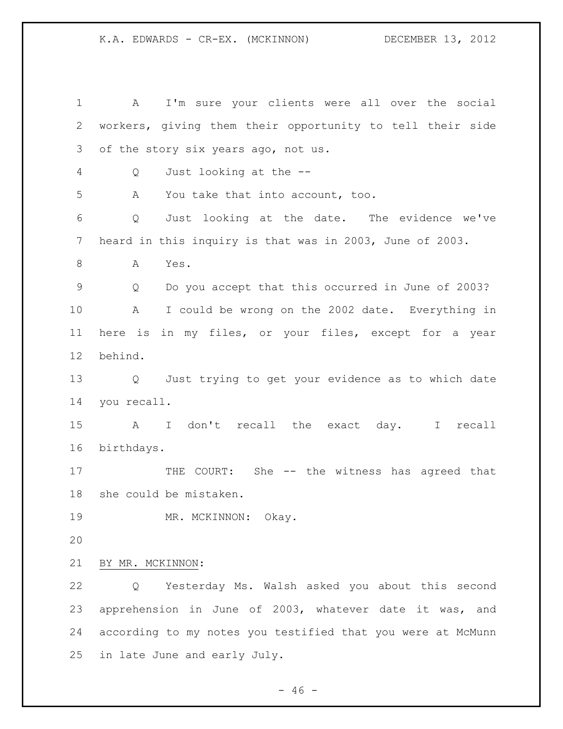A I'm sure your clients were all over the social workers, giving them their opportunity to tell their side of the story six years ago, not us. Q Just looking at the -- A You take that into account, too. Q Just looking at the date. The evidence we've heard in this inquiry is that was in 2003, June of 2003. A Yes. Q Do you accept that this occurred in June of 2003? A I could be wrong on the 2002 date. Everything in here is in my files, or your files, except for a year behind. Q Just trying to get your evidence as to which date you recall. A I don't recall the exact day. I recall birthdays. 17 THE COURT: She -- the witness has agreed that she could be mistaken. 19 MR. MCKINNON: Okay. BY MR. MCKINNON: Q Yesterday Ms. Walsh asked you about this second apprehension in June of 2003, whatever date it was, and according to my notes you testified that you were at McMunn in late June and early July.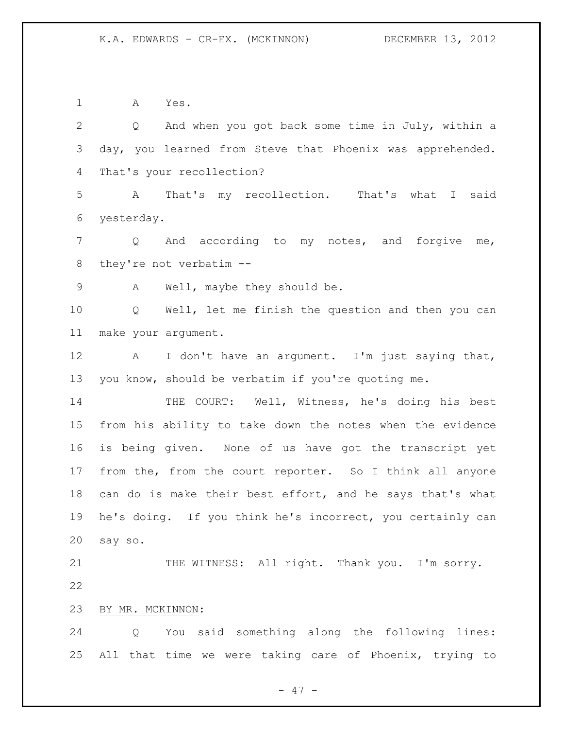A Yes. Q And when you got back some time in July, within a day, you learned from Steve that Phoenix was apprehended. That's your recollection? A That's my recollection. That's what I said yesterday. Q And according to my notes, and forgive me, they're not verbatim -- A Well, maybe they should be. Q Well, let me finish the question and then you can make your argument. 12 A I don't have an argument. I'm just saying that, you know, should be verbatim if you're quoting me. THE COURT: Well, Witness, he's doing his best from his ability to take down the notes when the evidence is being given. None of us have got the transcript yet from the, from the court reporter. So I think all anyone can do is make their best effort, and he says that's what he's doing. If you think he's incorrect, you certainly can say so. 21 THE WITNESS: All right. Thank you. I'm sorry. BY MR. MCKINNON: Q You said something along the following lines: All that time we were taking care of Phoenix, trying to

- 47 -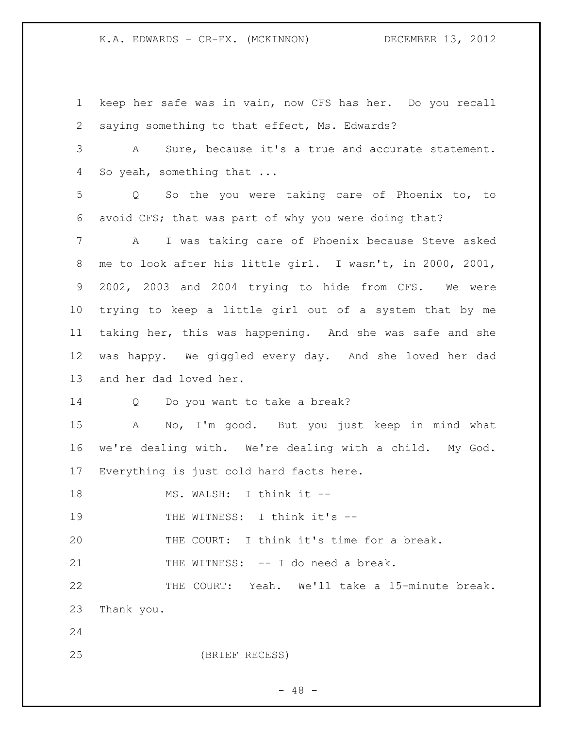keep her safe was in vain, now CFS has her. Do you recall saying something to that effect, Ms. Edwards? A Sure, because it's a true and accurate statement. So yeah, something that ... Q So the you were taking care of Phoenix to, to avoid CFS; that was part of why you were doing that? A I was taking care of Phoenix because Steve asked me to look after his little girl. I wasn't, in 2000, 2001, 2002, 2003 and 2004 trying to hide from CFS. We were trying to keep a little girl out of a system that by me taking her, this was happening. And she was safe and she was happy. We giggled every day. And she loved her dad and her dad loved her. Q Do you want to take a break? A No, I'm good. But you just keep in mind what we're dealing with. We're dealing with a child. My God. Everything is just cold hard facts here. 18 MS. WALSH: I think it --19 THE WITNESS: I think it's -- THE COURT: I think it's time for a break. 21 THE WITNESS: -- I do need a break. THE COURT: Yeah. We'll take a 15-minute break. Thank you. (BRIEF RECESS)

 $- 48 -$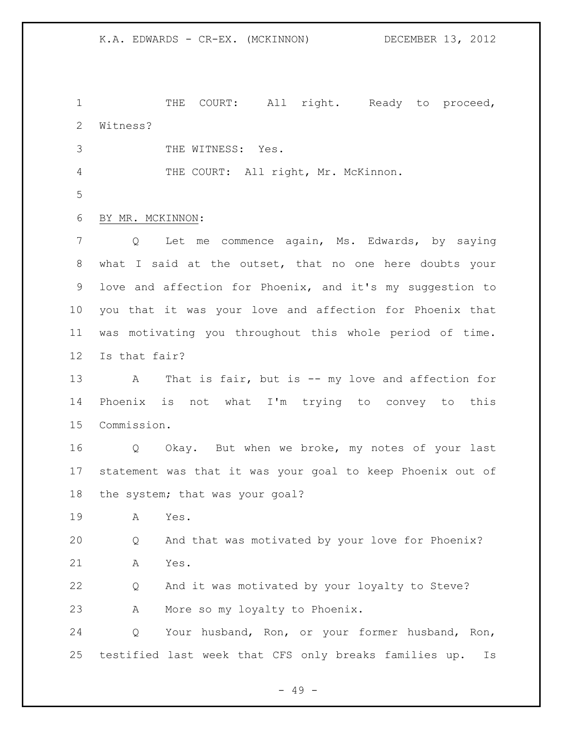1 THE COURT: All right. Ready to proceed, Witness?

- THE WITNESS: Yes.
- 4 THE COURT: All right, Mr. McKinnon.
- 

## BY MR. MCKINNON:

 Q Let me commence again, Ms. Edwards, by saying what I said at the outset, that no one here doubts your love and affection for Phoenix, and it's my suggestion to you that it was your love and affection for Phoenix that was motivating you throughout this whole period of time. Is that fair?

13 A That is fair, but is -- my love and affection for Phoenix is not what I'm trying to convey to this Commission.

 Q Okay. But when we broke, my notes of your last statement was that it was your goal to keep Phoenix out of the system; that was your goal?

A Yes.

 Q And that was motivated by your love for Phoenix? A Yes.

 Q And it was motivated by your loyalty to Steve? A More so my loyalty to Phoenix.

 Q Your husband, Ron, or your former husband, Ron, testified last week that CFS only breaks families up. Is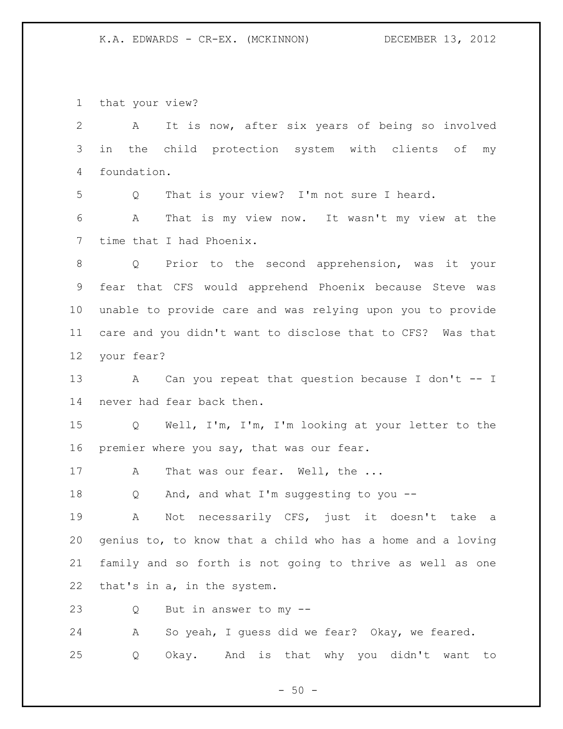that your view?

| $\overline{2}$  | It is now, after six years of being so involved<br>A               |
|-----------------|--------------------------------------------------------------------|
| 3               | the child protection system with clients of<br>in<br>my            |
| 4               | foundation.                                                        |
| 5               | That is your view? I'm not sure I heard.<br>Q                      |
| 6               | That is my view now. It wasn't my view at the<br>$\mathbb{A}$      |
| 7               | time that I had Phoenix.                                           |
| 8               | Prior to the second apprehension, was it your<br>$Q \qquad \qquad$ |
| 9               | fear that CFS would apprehend Phoenix because Steve was            |
| 10 <sub>o</sub> | unable to provide care and was relying upon you to provide         |
| 11              | care and you didn't want to disclose that to CFS? Was that         |
| 12              | your fear?                                                         |
| 13              | A Can you repeat that question because I don't -- I                |
| 14              | never had fear back then.                                          |
| 15              | Well, I'm, I'm, I'm looking at your letter to the<br>$Q \qquad$    |
| 16              | premier where you say, that was our fear.                          |
| 17              | That was our fear. Well, the<br>A                                  |
| 18              | And, and what I'm suggesting to you --<br>Q                        |
| 19              | Not necessarily CFS, just it doesn't take<br>A<br>а                |
| 20              | genius to, to know that a child who has a home and a loving        |
| 21              | family and so forth is not going to thrive as well as one          |
| 22              | that's in a, in the system.                                        |
| 23              | But in answer to my --<br>Q                                        |
| 24              | So yeah, I guess did we fear? Okay, we feared.<br>A                |
| 25              | Okay. And is that why you didn't want to<br>Q                      |

- 50 -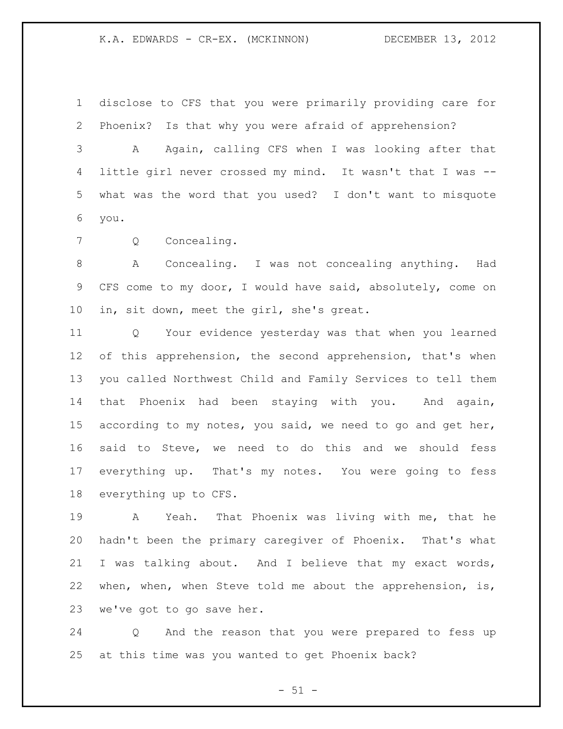disclose to CFS that you were primarily providing care for Phoenix? Is that why you were afraid of apprehension?

 A Again, calling CFS when I was looking after that little girl never crossed my mind. It wasn't that I was -- what was the word that you used? I don't want to misquote you.

Q Concealing.

 A Concealing. I was not concealing anything. Had CFS come to my door, I would have said, absolutely, come on in, sit down, meet the girl, she's great.

 Q Your evidence yesterday was that when you learned 12 of this apprehension, the second apprehension, that's when you called Northwest Child and Family Services to tell them that Phoenix had been staying with you. And again, 15 according to my notes, you said, we need to go and get her, said to Steve, we need to do this and we should fess everything up. That's my notes. You were going to fess everything up to CFS.

 A Yeah. That Phoenix was living with me, that he hadn't been the primary caregiver of Phoenix. That's what I was talking about. And I believe that my exact words, when, when, when Steve told me about the apprehension, is, we've got to go save her.

 Q And the reason that you were prepared to fess up at this time was you wanted to get Phoenix back?

 $- 51 -$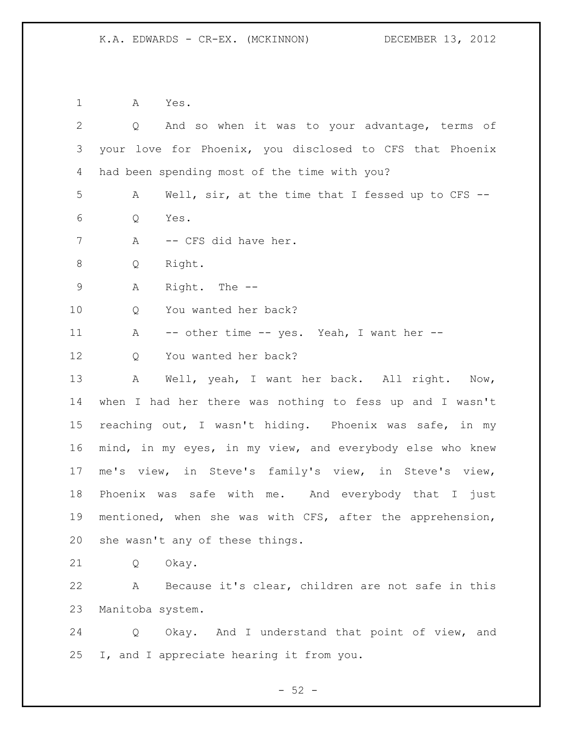A Yes. Q And so when it was to your advantage, terms of your love for Phoenix, you disclosed to CFS that Phoenix had been spending most of the time with you? A Well, sir, at the time that I fessed up to CFS -- Q Yes. 7 A -- CFS did have her. Q Right. A Right. The -- 10 0 You wanted her back? 11 A -- other time -- yes. Yeah, I want her --12 O You wanted her back? A Well, yeah, I want her back. All right. Now, when I had her there was nothing to fess up and I wasn't reaching out, I wasn't hiding. Phoenix was safe, in my mind, in my eyes, in my view, and everybody else who knew me's view, in Steve's family's view, in Steve's view, Phoenix was safe with me. And everybody that I just mentioned, when she was with CFS, after the apprehension, she wasn't any of these things. Q Okay. A Because it's clear, children are not safe in this Manitoba system. Q Okay. And I understand that point of view, and

 $-52 -$ 

I, and I appreciate hearing it from you.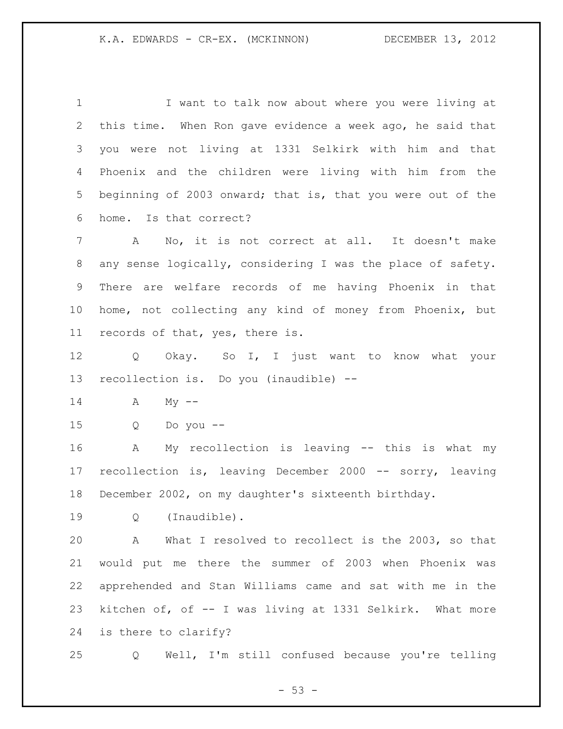I want to talk now about where you were living at this time. When Ron gave evidence a week ago, he said that you were not living at 1331 Selkirk with him and that Phoenix and the children were living with him from the beginning of 2003 onward; that is, that you were out of the home. Is that correct?

 A No, it is not correct at all. It doesn't make any sense logically, considering I was the place of safety. There are welfare records of me having Phoenix in that home, not collecting any kind of money from Phoenix, but records of that, yes, there is.

 Q Okay. So I, I just want to know what your recollection is. Do you (inaudible) --

- A My  $-$
- Q Do you --

 A My recollection is leaving -- this is what my recollection is, leaving December 2000 -- sorry, leaving December 2002, on my daughter's sixteenth birthday.

Q (Inaudible).

 A What I resolved to recollect is the 2003, so that would put me there the summer of 2003 when Phoenix was apprehended and Stan Williams came and sat with me in the kitchen of, of -- I was living at 1331 Selkirk. What more is there to clarify?

Q Well, I'm still confused because you're telling

 $- 53 -$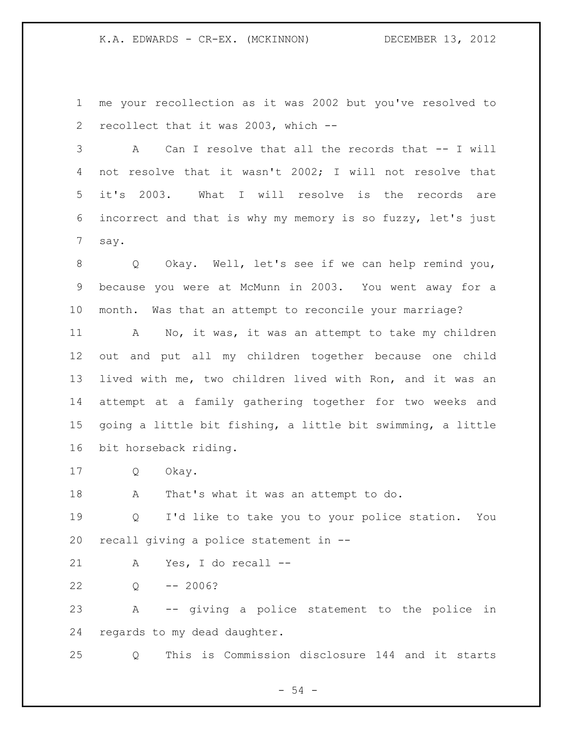me your recollection as it was 2002 but you've resolved to recollect that it was 2003, which --

 A Can I resolve that all the records that -- I will not resolve that it wasn't 2002; I will not resolve that it's 2003. What I will resolve is the records are incorrect and that is why my memory is so fuzzy, let's just say.

 Q Okay. Well, let's see if we can help remind you, because you were at McMunn in 2003. You went away for a month. Was that an attempt to reconcile your marriage?

 A No, it was, it was an attempt to take my children out and put all my children together because one child lived with me, two children lived with Ron, and it was an attempt at a family gathering together for two weeks and going a little bit fishing, a little bit swimming, a little bit horseback riding.

Q Okay.

A That's what it was an attempt to do.

 Q I'd like to take you to your police station. You recall giving a police statement in --

A Yes, I do recall --

Q -- 2006?

 A -- giving a police statement to the police in regards to my dead daughter.

Q This is Commission disclosure 144 and it starts

 $-54 -$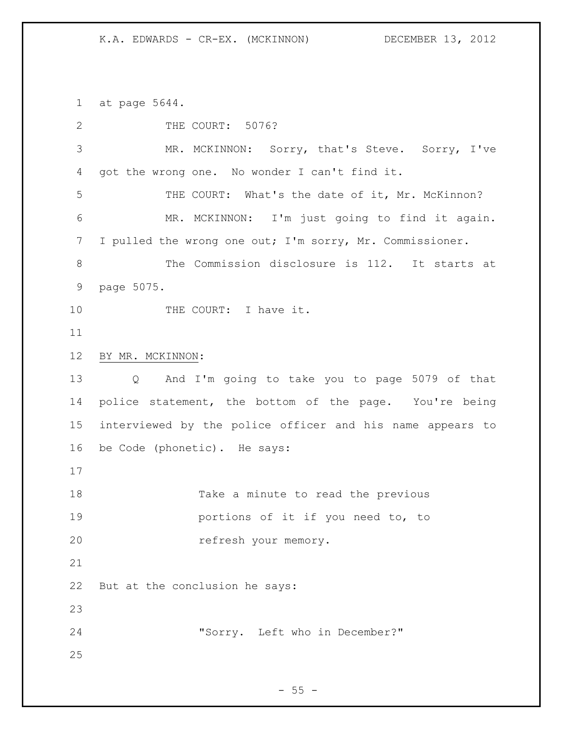at page 5644.

| 2               | THE COURT: 5076?                                                    |
|-----------------|---------------------------------------------------------------------|
| 3               | MR. MCKINNON: Sorry, that's Steve. Sorry, I've                      |
| 4               | got the wrong one. No wonder I can't find it.                       |
| 5               | THE COURT: What's the date of it, Mr. McKinnon?                     |
| 6               | MR. MCKINNON: I'm just going to find it again.                      |
| 7               | I pulled the wrong one out; I'm sorry, Mr. Commissioner.            |
| 8               | The Commission disclosure is 112. It starts at                      |
| $\mathsf 9$     | page 5075.                                                          |
| 10              | THE COURT: I have it.                                               |
| 11              |                                                                     |
| 12              | BY MR. MCKINNON:                                                    |
| 13              | And I'm going to take you to page 5079 of that<br>$Q \qquad \qquad$ |
| 14              | police statement, the bottom of the page. You're being              |
| 15 <sub>2</sub> | interviewed by the police officer and his name appears to           |
| 16              | be Code (phonetic). He says:                                        |
| 17              |                                                                     |
| 18              | Take a minute to read the previous                                  |
| 19              | portions of it if you need to, to                                   |
| 20              | refresh your memory.                                                |
| 21              |                                                                     |
| 22              | But at the conclusion he says:                                      |
| 23              |                                                                     |
| 24              | "Sorry. Left who in December?"                                      |
| 25              |                                                                     |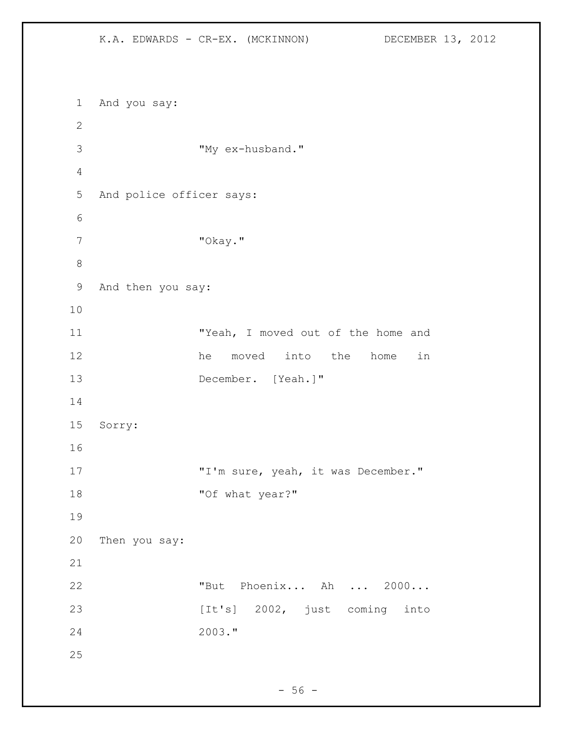And you say: "My ex-husband." And police officer says: "Okay." And then you say: **"Yeah, I moved out of the home and** 12 he moved into the home in December. [Yeah.]" Sorry: 17 T'm sure, yeah, it was December." 18 "Of what year?" Then you say: "But Phoenix... Ah ... 2000... 23 [It's] 2002, just coming into 2003."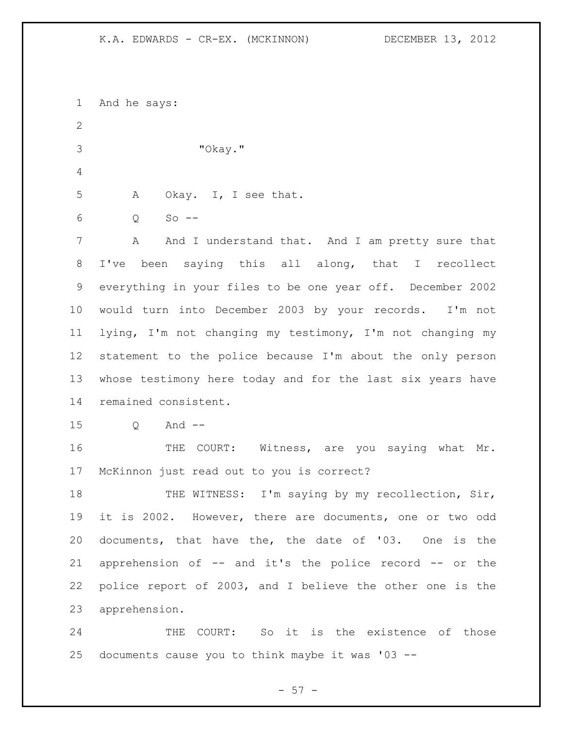| $\mathbf 1$    | And he says:                                               |
|----------------|------------------------------------------------------------|
| $\overline{2}$ |                                                            |
| 3              | "Okay."                                                    |
| 4              |                                                            |
| 5              | Okay. I, I see that.<br>A                                  |
| 6              | $So$ --<br>Q                                               |
| 7              | And I understand that. And I am pretty sure that<br>A      |
| 8              | I've been saying this all along, that I recollect          |
| 9              | everything in your files to be one year off. December 2002 |
| 10             | would turn into December 2003 by your records. I'm not     |
| 11             | lying, I'm not changing my testimony, I'm not changing my  |
| 12             | statement to the police because I'm about the only person  |
| 13             | whose testimony here today and for the last six years have |
| 14             | remained consistent.                                       |
| 15             | And $--$<br>Q                                              |
| 16             | THE COURT: Witness, are you saying what Mr.                |
| 17             | McKinnon just read out to you is correct?                  |
| 18             | THE WITNESS: I'm saying by my recollection, Sir,           |
| 19             | it is 2002. However, there are documents, one or two odd   |
| 20             | documents, that have the, the date of '03. One is the      |
| 21             | apprehension of -- and it's the police record -- or the    |
| 22             | police report of 2003, and I believe the other one is the  |
| 23             | apprehension.                                              |
| 24             | THE COURT: So it is the existence of those                 |
| 25             | documents cause you to think maybe it was '03 --           |

- 57 -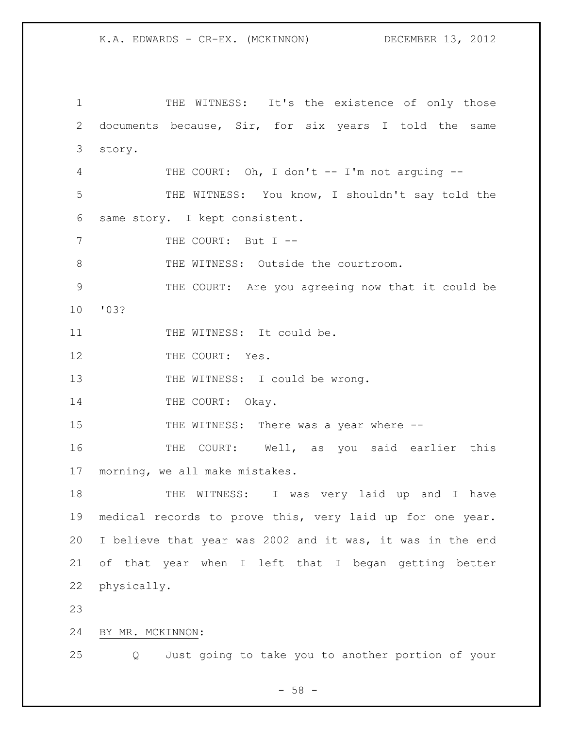1 THE WITNESS: It's the existence of only those 2 documents because, Sir, for six years I told the same 3 story. 4 THE COURT: Oh, I don't -- I'm not arguing -- 5 THE WITNESS: You know, I shouldn't say told the 6 same story. I kept consistent. 7 THE COURT: But I --8 THE WITNESS: Outside the courtroom. 9 THE COURT: Are you agreeing now that it could be 10 '03? 11 THE WITNESS: It could be. 12 THE COURT: Yes. 13 THE WITNESS: I could be wrong. 14 THE COURT: Okay. 15 THE WITNESS: There was a year where  $--$ 16 THE COURT: Well, as you said earlier this 17 morning, we all make mistakes. 18 THE WITNESS: I was very laid up and I have 19 medical records to prove this, very laid up for one year. 20 I believe that year was 2002 and it was, it was in the end 21 of that year when I left that I began getting better 22 physically. 23 24 BY MR. MCKINNON:

- 58 -

25 Q Just going to take you to another portion of your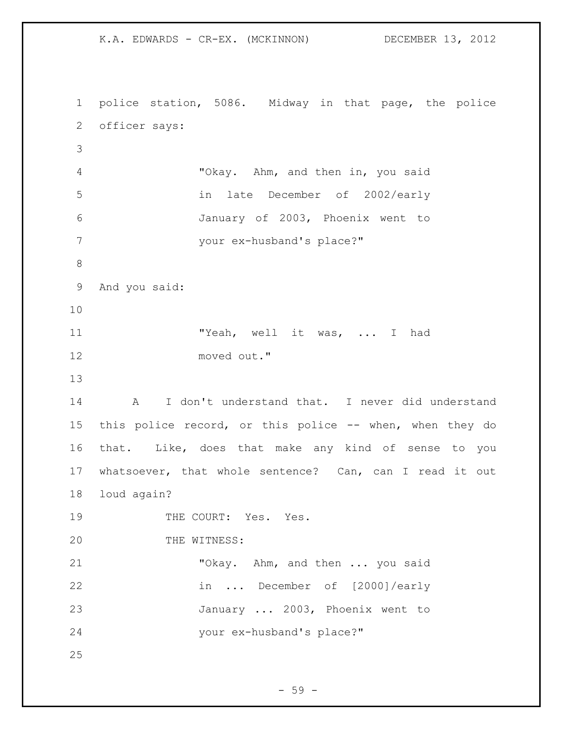K.A. EDWARDS - CR-EX. (MCKINNON) DECEMBER 13, 2012 police station, 5086. Midway in that page, the police officer says: "Okay. Ahm, and then in, you said in late December of 2002/early January of 2003, Phoenix went to your ex-husband's place?" And you said: 11 TYeah, well it was, ... I had moved out." A I don't understand that. I never did understand this police record, or this police -- when, when they do that. Like, does that make any kind of sense to you whatsoever, that whole sentence? Can, can I read it out loud again? 19 THE COURT: Yes. Yes. 20 THE WITNESS: "Okay. Ahm, and then ... you said in ... December of [2000]/early January ... 2003, Phoenix went to your ex-husband's place?" 

 $-59 -$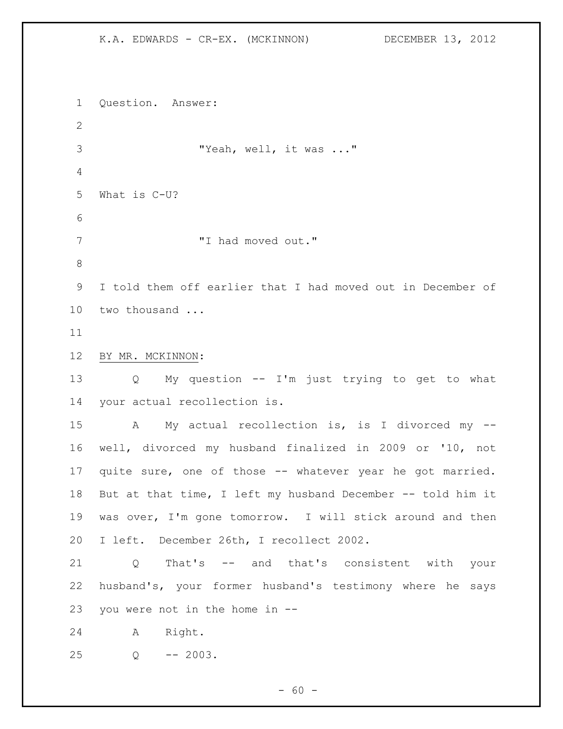K.A. EDWARDS - CR-EX. (MCKINNON) DECEMBER 13, 2012 Question. Answer: "Yeah, well, it was ..." What is C-U? "I had moved out." I told them off earlier that I had moved out in December of two thousand ... BY MR. MCKINNON: Q My question -- I'm just trying to get to what your actual recollection is. A My actual recollection is, is I divorced my -- well, divorced my husband finalized in 2009 or '10, not quite sure, one of those -- whatever year he got married. But at that time, I left my husband December -- told him it was over, I'm gone tomorrow. I will stick around and then I left. December 26th, I recollect 2002. Q That's -- and that's consistent with your husband's, your former husband's testimony where he says you were not in the home in -- A Right. Q -- 2003.

 $- 60 -$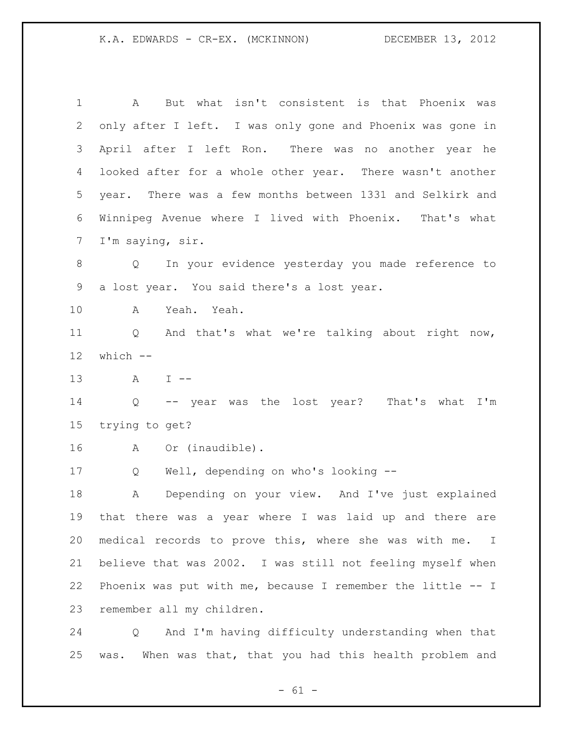A But what isn't consistent is that Phoenix was only after I left. I was only gone and Phoenix was gone in April after I left Ron. There was no another year he looked after for a whole other year. There wasn't another year. There was a few months between 1331 and Selkirk and Winnipeg Avenue where I lived with Phoenix. That's what I'm saying, sir. Q In your evidence yesterday you made reference to a lost year. You said there's a lost year. A Yeah. Yeah. Q And that's what we're talking about right now, which -- A I -- Q -- year was the lost year? That's what I'm trying to get? A Or (inaudible). Q Well, depending on who's looking -- A Depending on your view. And I've just explained that there was a year where I was laid up and there are medical records to prove this, where she was with me. I believe that was 2002. I was still not feeling myself when Phoenix was put with me, because I remember the little -- I remember all my children. Q And I'm having difficulty understanding when that

was. When was that, that you had this health problem and

 $- 61 -$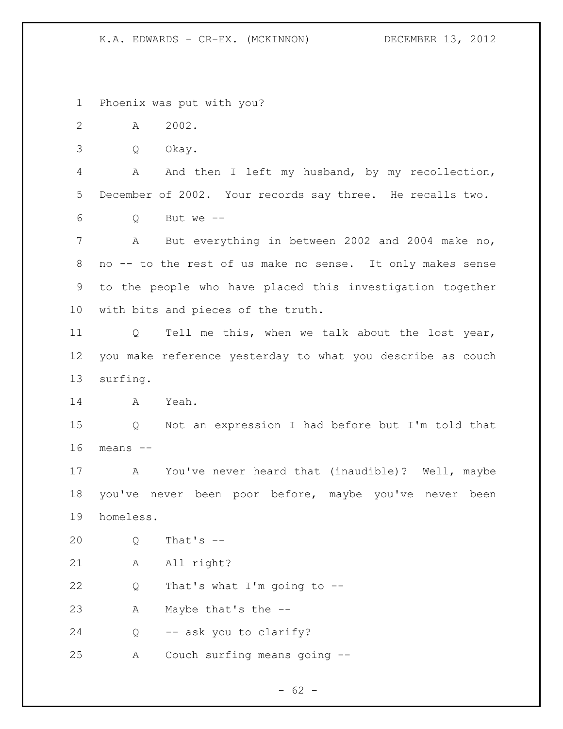Phoenix was put with you?

A 2002.

Q Okay.

 A And then I left my husband, by my recollection, December of 2002. Your records say three. He recalls two.

Q But we  $-$ 

 A But everything in between 2002 and 2004 make no, no -- to the rest of us make no sense. It only makes sense to the people who have placed this investigation together with bits and pieces of the truth.

 Q Tell me this, when we talk about the lost year, you make reference yesterday to what you describe as couch surfing.

A Yeah.

 Q Not an expression I had before but I'm told that means  $-$ 

 A You've never heard that (inaudible)? Well, maybe you've never been poor before, maybe you've never been homeless.

Q That's --

21 A All right?

Q That's what I'm going to --

A Maybe that's the --

Q -- ask you to clarify?

A Couch surfing means going --

 $- 62 -$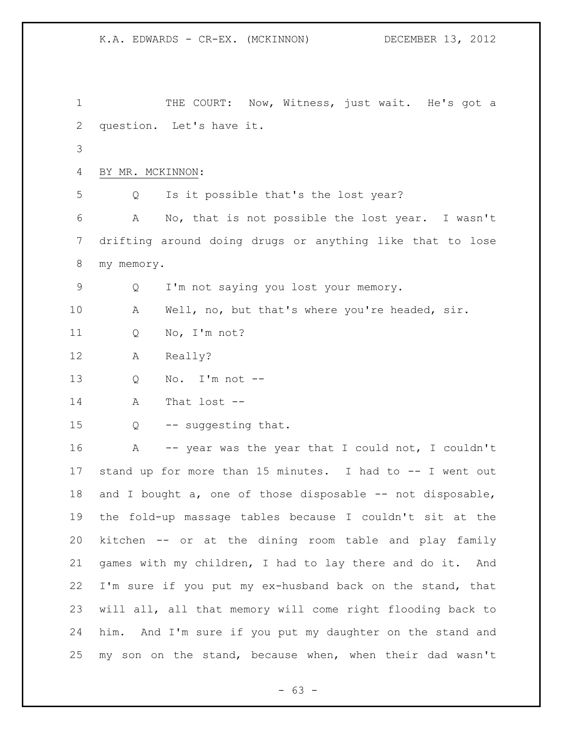1 THE COURT: Now, Witness, just wait. He's got a question. Let's have it. BY MR. MCKINNON: Q Is it possible that's the lost year? A No, that is not possible the lost year. I wasn't drifting around doing drugs or anything like that to lose my memory. Q I'm not saying you lost your memory. A Well, no, but that's where you're headed, sir. Q No, I'm not? A Really? Q No. I'm not -- A That lost -- 15 Q -- suggesting that. 16 A -- year was the year that I could not, I couldn't stand up for more than 15 minutes. I had to -- I went out 18 and I bought a, one of those disposable -- not disposable, the fold-up massage tables because I couldn't sit at the kitchen -- or at the dining room table and play family games with my children, I had to lay there and do it. And I'm sure if you put my ex-husband back on the stand, that will all, all that memory will come right flooding back to him. And I'm sure if you put my daughter on the stand and my son on the stand, because when, when their dad wasn't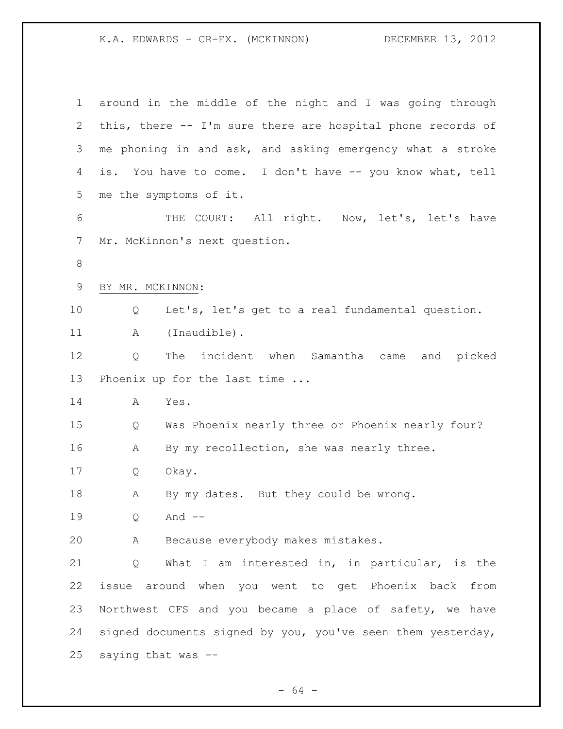| $\mathbf 1$ | around in the middle of the night and I was going through   |
|-------------|-------------------------------------------------------------|
| 2           | this, there -- I'm sure there are hospital phone records of |
| 3           | me phoning in and ask, and asking emergency what a stroke   |
| 4           | is. You have to come. I don't have -- you know what, tell   |
| 5           | me the symptoms of it.                                      |
| 6           | THE COURT: All right. Now, let's, let's have                |
| 7           | Mr. McKinnon's next question.                               |
| $8\,$       |                                                             |
| $\mathsf 9$ | BY MR. MCKINNON:                                            |
| 10          | Let's, let's get to a real fundamental question.<br>Q       |
| 11          | (Inaudible).<br>А                                           |
| 12          | The incident when Samantha came and picked<br>Q             |
| 13          | Phoenix up for the last time                                |
| 14          | Yes.<br>A                                                   |
| 15          | Was Phoenix nearly three or Phoenix nearly four?<br>Q       |
| 16          | By my recollection, she was nearly three.<br>А              |
| 17          | Okay.<br>Q                                                  |
| 18          | By my dates. But they could be wrong.<br>А                  |
| 19          | And $--$<br>Q                                               |
| 20          | Because everybody makes mistakes.<br>Α                      |
| 21          | What I am interested in, in particular, is the<br>Q         |
| 22          | issue around when you went to get Phoenix back from         |
| 23          | Northwest CFS and you became a place of safety, we have     |
| 24          | signed documents signed by you, you've seen them yesterday, |
| 25          | saying that was --                                          |

- 64 -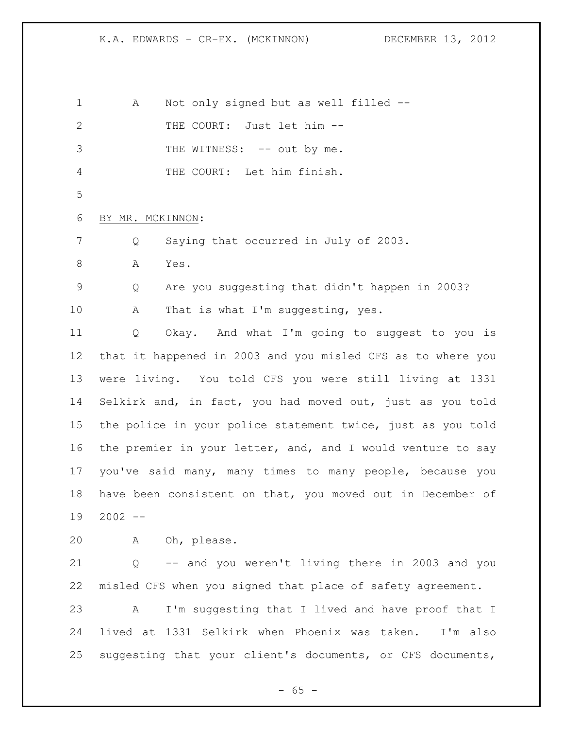A Not only signed but as well filled -- 2 THE COURT: Just let him --3 THE WITNESS: -- out by me. THE COURT: Let him finish. BY MR. MCKINNON: Q Saying that occurred in July of 2003. 8 A Yes. Q Are you suggesting that didn't happen in 2003? 10 A That is what I'm suggesting, yes. Q Okay. And what I'm going to suggest to you is that it happened in 2003 and you misled CFS as to where you were living. You told CFS you were still living at 1331 Selkirk and, in fact, you had moved out, just as you told the police in your police statement twice, just as you told the premier in your letter, and, and I would venture to say you've said many, many times to many people, because you have been consistent on that, you moved out in December of 2002 -- A Oh, please. Q -- and you weren't living there in 2003 and you misled CFS when you signed that place of safety agreement. A I'm suggesting that I lived and have proof that I lived at 1331 Selkirk when Phoenix was taken. I'm also suggesting that your client's documents, or CFS documents,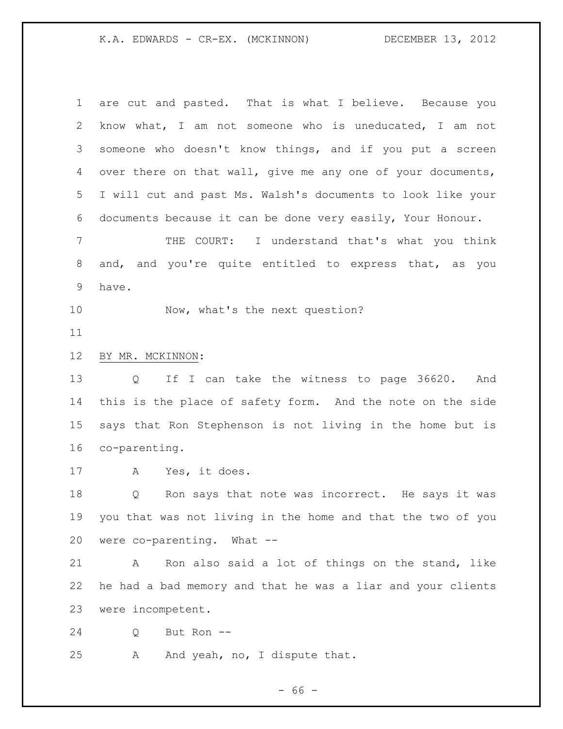| 1              | are cut and pasted. That is what I believe. Because you     |
|----------------|-------------------------------------------------------------|
| 2              | know what, I am not someone who is uneducated, I am not     |
| 3              | someone who doesn't know things, and if you put a screen    |
| 4              | over there on that wall, give me any one of your documents, |
| 5              | I will cut and past Ms. Walsh's documents to look like your |
| 6              | documents because it can be done very easily, Your Honour.  |
| $\overline{7}$ | THE COURT: I understand that's what you think               |
| 8              | and, and you're quite entitled to express that, as you      |
| 9              | have.                                                       |
| 10             | Now, what's the next question?                              |
| 11             |                                                             |
| 12             | BY MR. MCKINNON:                                            |
| 13             | If I can take the witness to page 36620. And<br>Q           |
| 14             | this is the place of safety form. And the note on the side  |
| 15             | says that Ron Stephenson is not living in the home but is   |
| 16             | co-parenting.                                               |
| 17             | Yes, it does.<br>A                                          |
| 18             | Ron says that note was incorrect. He says it was<br>Q       |
| 19             | you that was not living in the home and that the two of you |
| 20             | were co-parenting. What --                                  |
| 21             | Ron also said a lot of things on the stand, like<br>A       |
| 22             | he had a bad memory and that he was a liar and your clients |
| 23             | were incompetent.                                           |
| 24             | But Ron --<br>Q                                             |
| 25             | And yeah, no, I dispute that.<br>Α                          |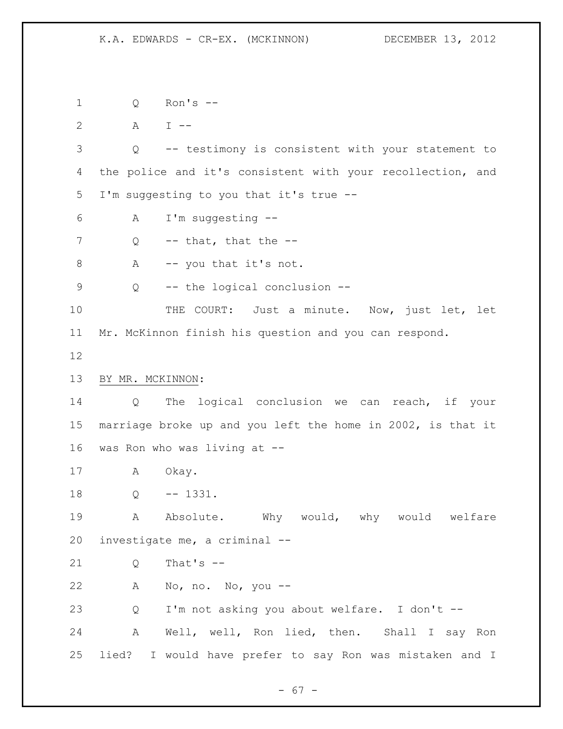Q Ron's -- 2 A I -- Q -- testimony is consistent with your statement to the police and it's consistent with your recollection, and I'm suggesting to you that it's true -- A I'm suggesting -- Q -- that, that the --8 A -- you that it's not. Q -- the logical conclusion -- 10 THE COURT: Just a minute. Now, just let, let Mr. McKinnon finish his question and you can respond. BY MR. MCKINNON: Q The logical conclusion we can reach, if your marriage broke up and you left the home in 2002, is that it was Ron who was living at -- A Okay. Q -- 1331. 19 A Absolute. Why would, why would welfare investigate me, a criminal -- Q That's -- A No, no. No, you -- Q I'm not asking you about welfare. I don't -- A Well, well, Ron lied, then. Shall I say Ron lied? I would have prefer to say Ron was mistaken and I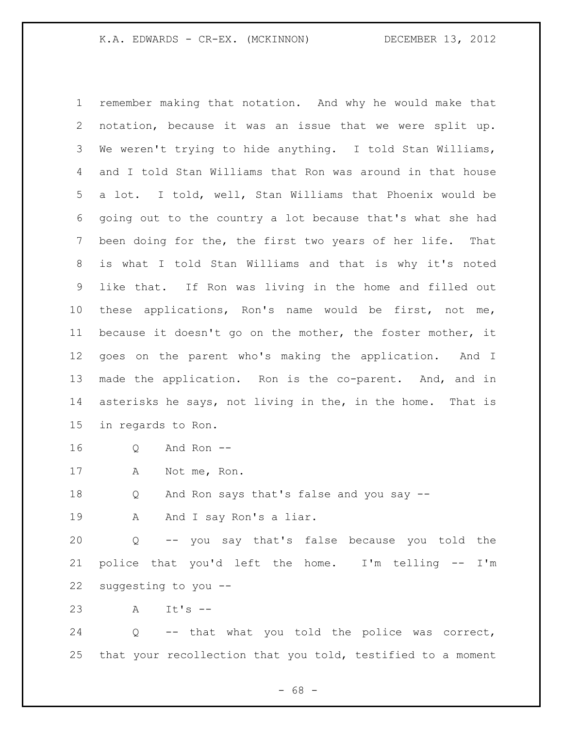remember making that notation. And why he would make that notation, because it was an issue that we were split up. We weren't trying to hide anything. I told Stan Williams, and I told Stan Williams that Ron was around in that house a lot. I told, well, Stan Williams that Phoenix would be going out to the country a lot because that's what she had been doing for the, the first two years of her life. That is what I told Stan Williams and that is why it's noted like that. If Ron was living in the home and filled out these applications, Ron's name would be first, not me, because it doesn't go on the mother, the foster mother, it goes on the parent who's making the application. And I made the application. Ron is the co-parent. And, and in asterisks he says, not living in the, in the home. That is in regards to Ron.

- Q And Ron --
- A Not me, Ron.

Q And Ron says that's false and you say --

19 A And I say Ron's a liar.

 Q -- you say that's false because you told the police that you'd left the home. I'm telling -- I'm suggesting to you --

A It's --

 Q -- that what you told the police was correct, that your recollection that you told, testified to a moment

- 68 -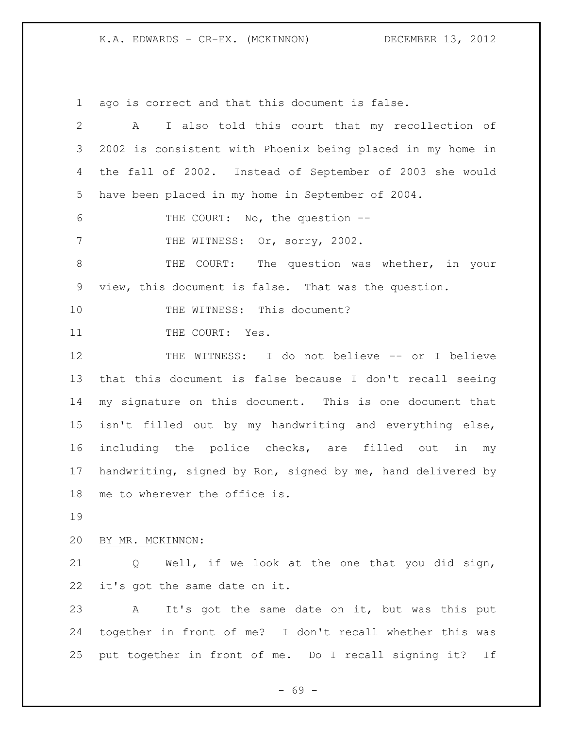ago is correct and that this document is false.

 A I also told this court that my recollection of 2002 is consistent with Phoenix being placed in my home in the fall of 2002. Instead of September of 2003 she would have been placed in my home in September of 2004. THE COURT: No, the question -- 7 THE WITNESS: Or, sorry, 2002. THE COURT: The question was whether, in your view, this document is false. That was the question. 10 THE WITNESS: This document? 11 THE COURT: Yes. 12 THE WITNESS: I do not believe -- or I believe that this document is false because I don't recall seeing my signature on this document. This is one document that isn't filled out by my handwriting and everything else, including the police checks, are filled out in my handwriting, signed by Ron, signed by me, hand delivered by me to wherever the office is. BY MR. MCKINNON: Q Well, if we look at the one that you did sign, it's got the same date on it. A It's got the same date on it, but was this put together in front of me? I don't recall whether this was

put together in front of me. Do I recall signing it? If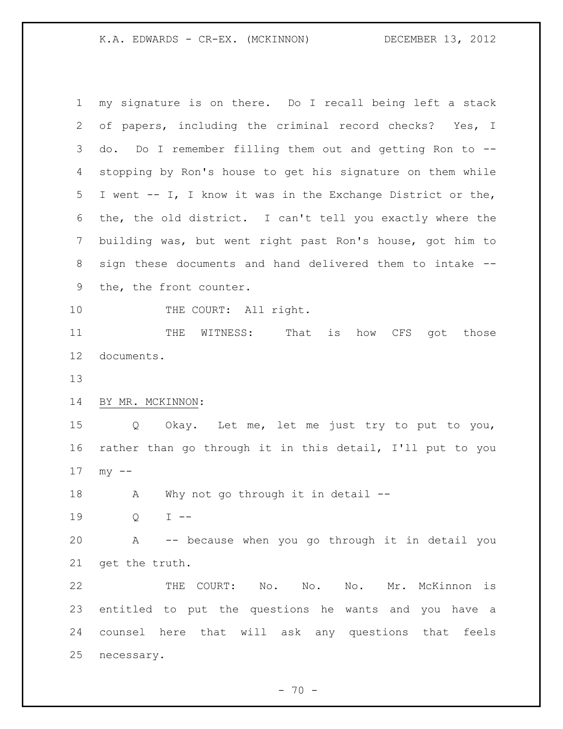my signature is on there. Do I recall being left a stack of papers, including the criminal record checks? Yes, I do. Do I remember filling them out and getting Ron to -- stopping by Ron's house to get his signature on them while I went -- I, I know it was in the Exchange District or the, the, the old district. I can't tell you exactly where the building was, but went right past Ron's house, got him to sign these documents and hand delivered them to intake -- the, the front counter. 10 THE COURT: All right. 11 THE WITNESS: That is how CFS got those documents. BY MR. MCKINNON: Q Okay. Let me, let me just try to put to you, rather than go through it in this detail, I'll put to you my -- 18 A Why not go through it in detail -- Q I -- A -- because when you go through it in detail you get the truth. THE COURT: No. No. No. Mr. McKinnon is entitled to put the questions he wants and you have a counsel here that will ask any questions that feels necessary.

 $- 70 -$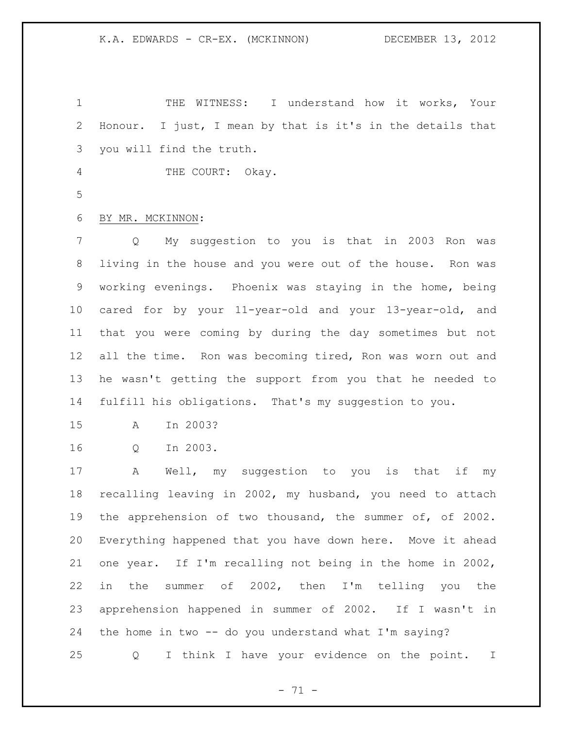THE WITNESS: I understand how it works, Your Honour. I just, I mean by that is it's in the details that you will find the truth.

4 THE COURT: Okay.

## BY MR. MCKINNON:

 Q My suggestion to you is that in 2003 Ron was living in the house and you were out of the house. Ron was working evenings. Phoenix was staying in the home, being cared for by your 11-year-old and your 13-year-old, and that you were coming by during the day sometimes but not all the time. Ron was becoming tired, Ron was worn out and he wasn't getting the support from you that he needed to fulfill his obligations. That's my suggestion to you.

A In 2003?

Q In 2003.

 A Well, my suggestion to you is that if my recalling leaving in 2002, my husband, you need to attach the apprehension of two thousand, the summer of, of 2002. Everything happened that you have down here. Move it ahead one year. If I'm recalling not being in the home in 2002, in the summer of 2002, then I'm telling you the apprehension happened in summer of 2002. If I wasn't in the home in two -- do you understand what I'm saying?

Q I think I have your evidence on the point. I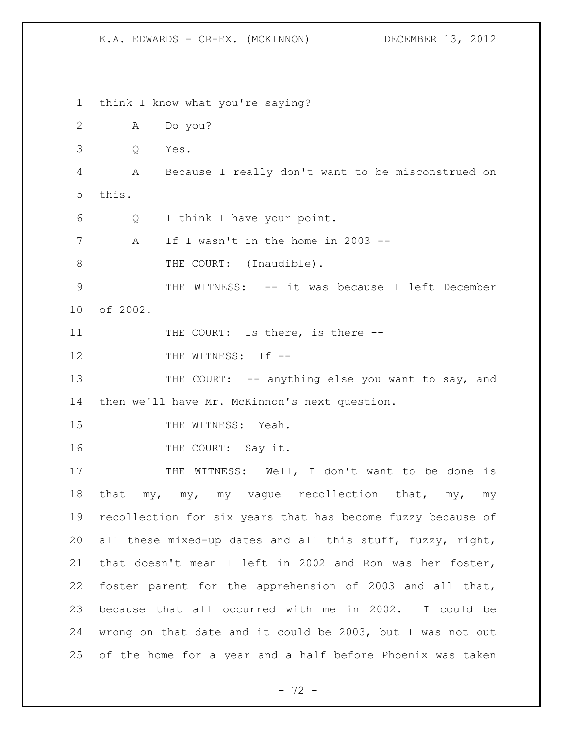think I know what you're saying? A Do you? Q Yes. A Because I really don't want to be misconstrued on this. Q I think I have your point. A If I wasn't in the home in 2003 -- 8 THE COURT: (Inaudible). THE WITNESS: -- it was because I left December of 2002. 11 THE COURT: Is there, is there --12 THE WITNESS: If --13 THE COURT: -- anything else you want to say, and then we'll have Mr. McKinnon's next question. 15 THE WITNESS: Yeah. 16 THE COURT: Say it. 17 THE WITNESS: Well, I don't want to be done is 18 that my, my, my vague recollection that, my, my recollection for six years that has become fuzzy because of all these mixed-up dates and all this stuff, fuzzy, right, that doesn't mean I left in 2002 and Ron was her foster, foster parent for the apprehension of 2003 and all that, because that all occurred with me in 2002. I could be wrong on that date and it could be 2003, but I was not out of the home for a year and a half before Phoenix was taken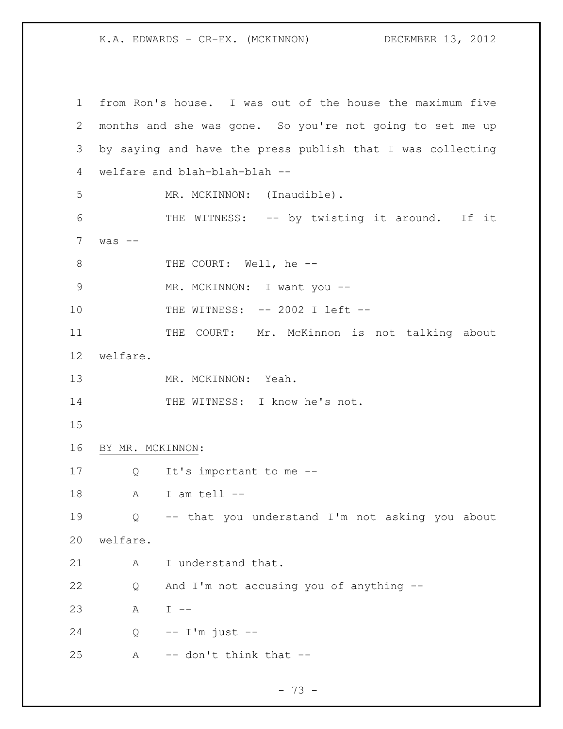from Ron's house. I was out of the house the maximum five months and she was gone. So you're not going to set me up by saying and have the press publish that I was collecting welfare and blah-blah-blah -- 5 MR. MCKINNON: (Inaudible). THE WITNESS: -- by twisting it around. If it was  $-$ 8 THE COURT: Well, he --9 MR. MCKINNON: I want you --10 THE WITNESS: -- 2002 I left --11 THE COURT: Mr. McKinnon is not talking about welfare. 13 MR. MCKINNON: Yeah. 14 THE WITNESS: I know he's not. BY MR. MCKINNON: Q It's important to me -- A I am tell -- Q -- that you understand I'm not asking you about welfare. 21 A I understand that. Q And I'm not accusing you of anything -- A I -- Q -- I'm just -- A  $-$  don't think that  $-$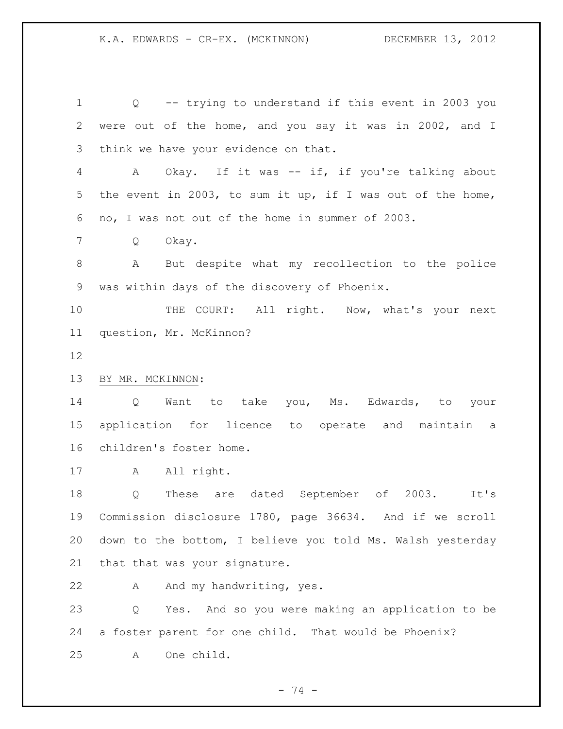Q -- trying to understand if this event in 2003 you were out of the home, and you say it was in 2002, and I think we have your evidence on that. A Okay. If it was -- if, if you're talking about the event in 2003, to sum it up, if I was out of the home, no, I was not out of the home in summer of 2003. Q Okay. A But despite what my recollection to the police was within days of the discovery of Phoenix. 10 THE COURT: All right. Now, what's your next question, Mr. McKinnon? BY MR. MCKINNON: Q Want to take you, Ms. Edwards, to your application for licence to operate and maintain a children's foster home. 17 A All right. Q These are dated September of 2003. It's Commission disclosure 1780, page 36634. And if we scroll down to the bottom, I believe you told Ms. Walsh yesterday that that was your signature.

22 A And my handwriting, yes.

 Q Yes. And so you were making an application to be a foster parent for one child. That would be Phoenix? A One child.

- 74 -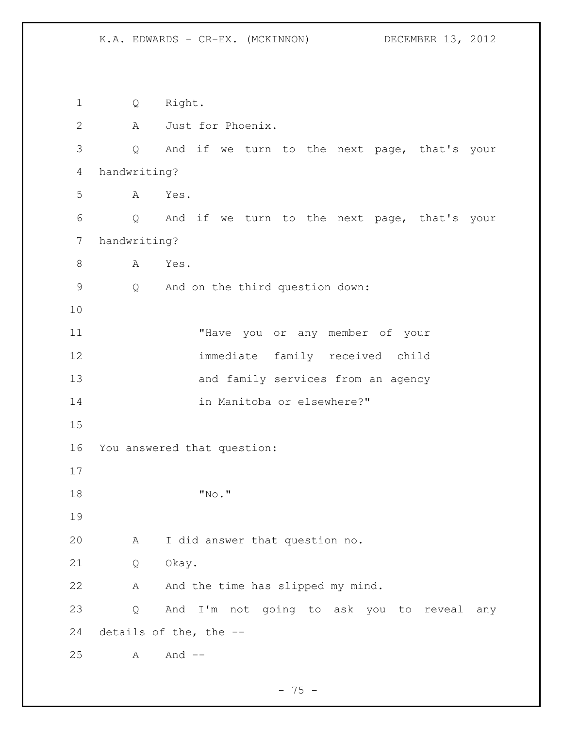Q Right. A Just for Phoenix. Q And if we turn to the next page, that's your handwriting? A Yes. Q And if we turn to the next page, that's your handwriting? 8 A Yes. Q And on the third question down: "Have you or any member of your immediate family received child and family services from an agency in Manitoba or elsewhere?" You answered that question: "No." A I did answer that question no. Q Okay. 22 A And the time has slipped my mind. Q And I'm not going to ask you to reveal any details of the, the -- A And --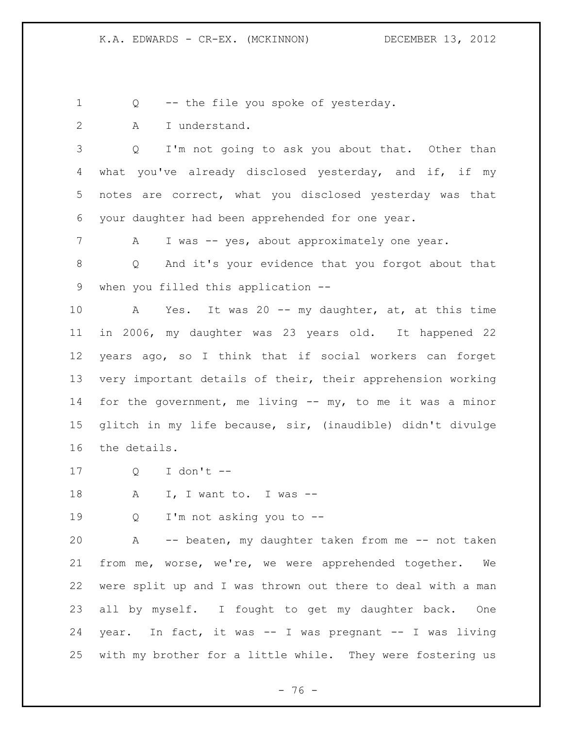Q -- the file you spoke of yesterday.

A I understand.

 Q I'm not going to ask you about that. Other than 4 what you've already disclosed yesterday, and if, if my notes are correct, what you disclosed yesterday was that your daughter had been apprehended for one year.

7 A I was -- yes, about approximately one year.

 Q And it's your evidence that you forgot about that when you filled this application --

 A Yes. It was 20 -- my daughter, at, at this time in 2006, my daughter was 23 years old. It happened 22 years ago, so I think that if social workers can forget very important details of their, their apprehension working for the government, me living -- my, to me it was a minor glitch in my life because, sir, (inaudible) didn't divulge the details.

Q I don't --

18 A I, I want to. I was --

Q I'm not asking you to --

 A -- beaten, my daughter taken from me -- not taken from me, worse, we're, we were apprehended together. We were split up and I was thrown out there to deal with a man all by myself. I fought to get my daughter back. One year. In fact, it was -- I was pregnant -- I was living with my brother for a little while. They were fostering us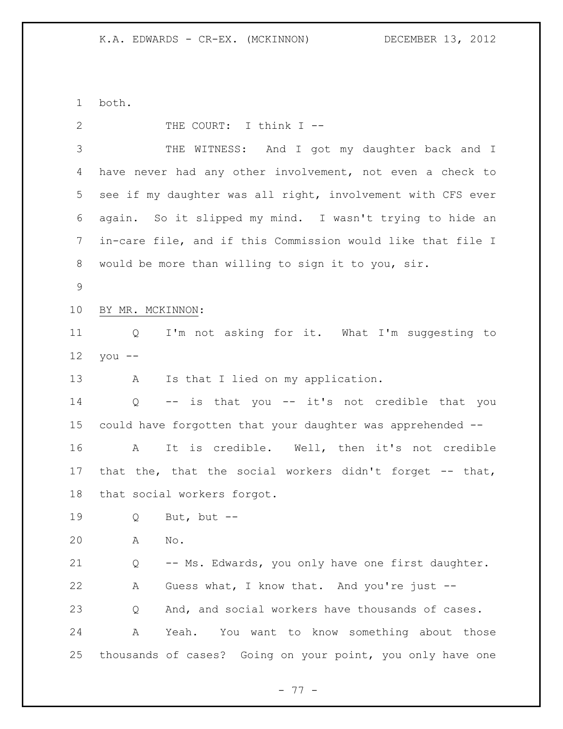both.

| 2               | THE COURT: I think I --                                     |
|-----------------|-------------------------------------------------------------|
| 3               | THE WITNESS: And I got my daughter back and I               |
| 4               | have never had any other involvement, not even a check to   |
| 5               | see if my daughter was all right, involvement with CFS ever |
| 6               | again. So it slipped my mind. I wasn't trying to hide an    |
| 7               | in-care file, and if this Commission would like that file I |
| 8               | would be more than willing to sign it to you, sir.          |
| 9               |                                                             |
| 10 <sub>o</sub> | BY MR. MCKINNON:                                            |
| 11              | I'm not asking for it. What I'm suggesting to<br>Q          |
| 12              | $you --$                                                    |
| 13              | Is that I lied on my application.<br>Α                      |
| 14              | -- is that you -- it's not credible that you<br>Q           |
| 15              | could have forgotten that your daughter was apprehended --  |
| 16              | It is credible. Well, then it's not credible<br>A           |
| 17              | that the, that the social workers didn't forget -- that,    |
| 18              | that social workers forgot.                                 |
| 19              | Q<br>But, but --                                            |
| 20              | No.<br>Α                                                    |
| 21              | -- Ms. Edwards, you only have one first daughter.<br>Q      |
| 22              | Guess what, I know that. And you're just --<br>Α            |
| 23              | And, and social workers have thousands of cases.<br>Q       |
| 24              | Yeah.<br>You want to know something about those<br>A        |
| 25              | thousands of cases? Going on your point, you only have one  |
|                 |                                                             |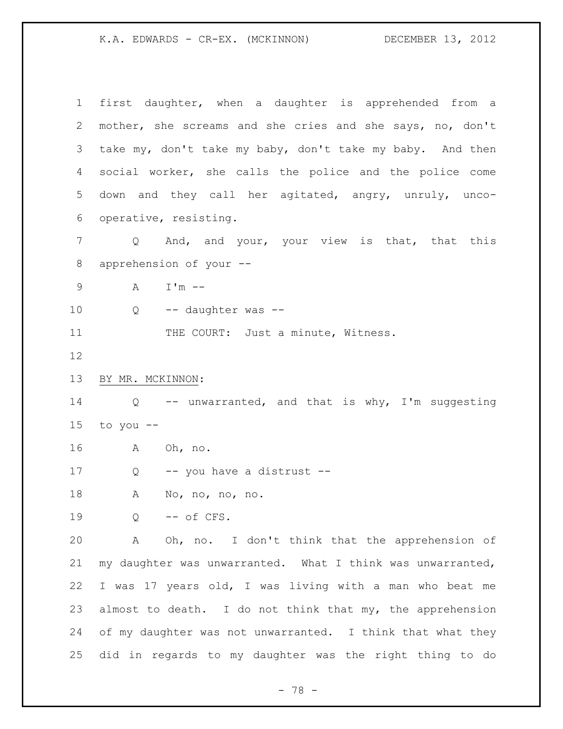first daughter, when a daughter is apprehended from a mother, she screams and she cries and she says, no, don't take my, don't take my baby, don't take my baby. And then social worker, she calls the police and the police come down and they call her agitated, angry, unruly, unco- operative, resisting. 7 Q And, and your, your view is that, that this apprehension of your -- A I'm -- 10 Q -- daughter was --11 THE COURT: Just a minute, Witness. BY MR. MCKINNON: Q -- unwarranted, and that is why, I'm suggesting 15 to you  $--$  A Oh, no. 17 Q -- you have a distrust -- A No, no, no, no. Q -- of CFS. A Oh, no. I don't think that the apprehension of my daughter was unwarranted. What I think was unwarranted, I was 17 years old, I was living with a man who beat me 23 almost to death. I do not think that my, the apprehension of my daughter was not unwarranted. I think that what they did in regards to my daughter was the right thing to do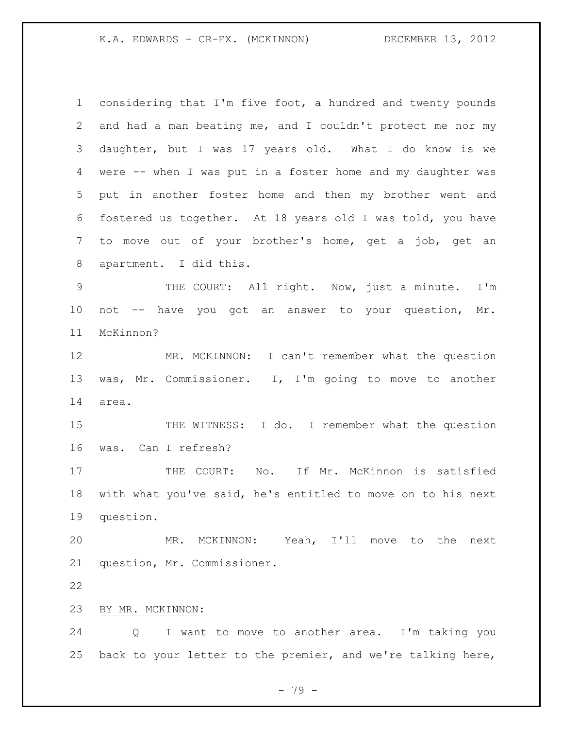considering that I'm five foot, a hundred and twenty pounds and had a man beating me, and I couldn't protect me nor my daughter, but I was 17 years old. What I do know is we were -- when I was put in a foster home and my daughter was put in another foster home and then my brother went and fostered us together. At 18 years old I was told, you have to move out of your brother's home, get a job, get an apartment. I did this. THE COURT: All right. Now, just a minute. I'm not -- have you got an answer to your question, Mr. McKinnon? MR. MCKINNON: I can't remember what the question was, Mr. Commissioner. I, I'm going to move to another area. THE WITNESS: I do. I remember what the question was. Can I refresh? 17 THE COURT: No. If Mr. McKinnon is satisfied with what you've said, he's entitled to move on to his next question. MR. MCKINNON: Yeah, I'll move to the next question, Mr. Commissioner. BY MR. MCKINNON: Q I want to move to another area. I'm taking you back to your letter to the premier, and we're talking here,

- 79 -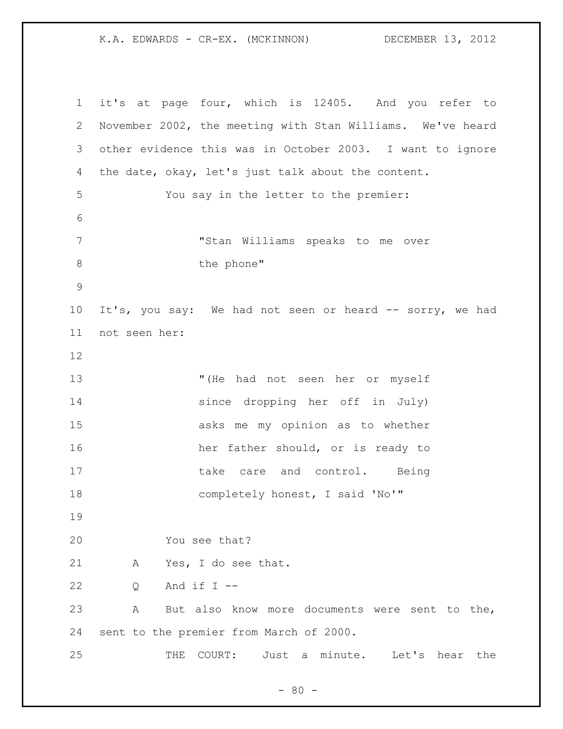it's at page four, which is 12405. And you refer to November 2002, the meeting with Stan Williams. We've heard other evidence this was in October 2003. I want to ignore the date, okay, let's just talk about the content. You say in the letter to the premier: "Stan Williams speaks to me over 8 the phone" It's, you say: We had not seen or heard -- sorry, we had not seen her: "(He had not seen her or myself since dropping her off in July) asks me my opinion as to whether 16 her father should, or is ready to 17 take care and control. Being 18 completely honest, I said 'No'" You see that? A Yes, I do see that.  $Q$  And if  $I$  -- A But also know more documents were sent to the, sent to the premier from March of 2000. THE COURT: Just a minute. Let's hear the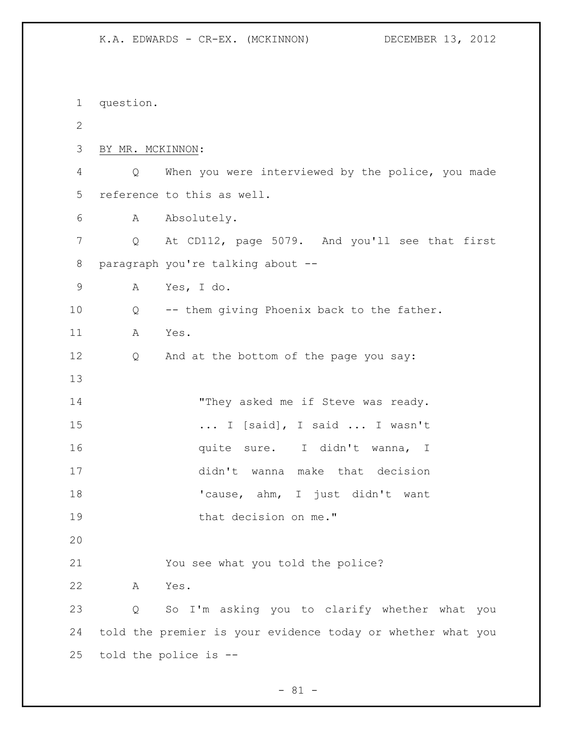question. BY MR. MCKINNON: Q When you were interviewed by the police, you made reference to this as well. A Absolutely. 7 Q At CD112, page 5079. And you'll see that first paragraph you're talking about -- A Yes, I do. Q -- them giving Phoenix back to the father. A Yes. Q And at the bottom of the page you say: 14 "They asked me if Steve was ready. ... I [said], I said ... I wasn't **quite sure.** I didn't wanna, I didn't wanna make that decision 18 'cause, ahm, I just didn't want 19 that decision on me." You see what you told the police? A Yes. Q So I'm asking you to clarify whether what you told the premier is your evidence today or whether what you told the police is --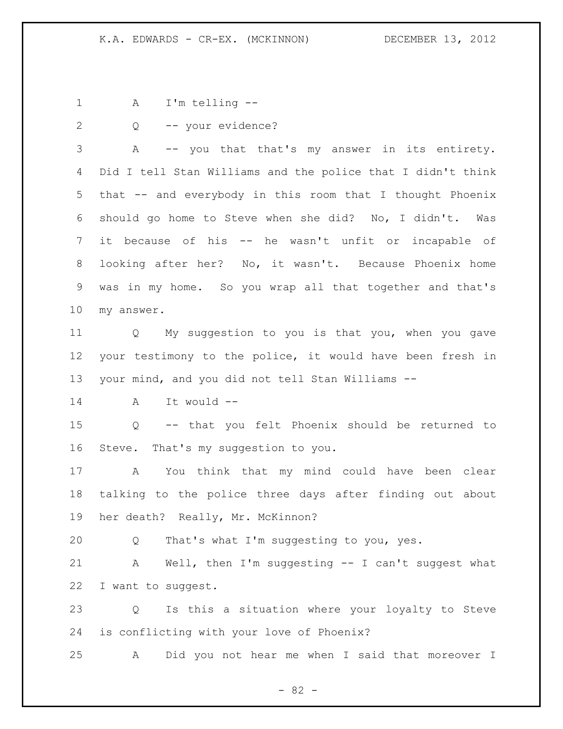A I'm telling --

Q -- your evidence?

 A -- you that that's my answer in its entirety. Did I tell Stan Williams and the police that I didn't think that -- and everybody in this room that I thought Phoenix should go home to Steve when she did? No, I didn't. Was it because of his -- he wasn't unfit or incapable of looking after her? No, it wasn't. Because Phoenix home was in my home. So you wrap all that together and that's my answer.

 Q My suggestion to you is that you, when you gave your testimony to the police, it would have been fresh in your mind, and you did not tell Stan Williams --

A It would --

 Q -- that you felt Phoenix should be returned to Steve. That's my suggestion to you.

 A You think that my mind could have been clear talking to the police three days after finding out about her death? Really, Mr. McKinnon?

Q That's what I'm suggesting to you, yes.

 A Well, then I'm suggesting -- I can't suggest what I want to suggest.

 Q Is this a situation where your loyalty to Steve is conflicting with your love of Phoenix?

A Did you not hear me when I said that moreover I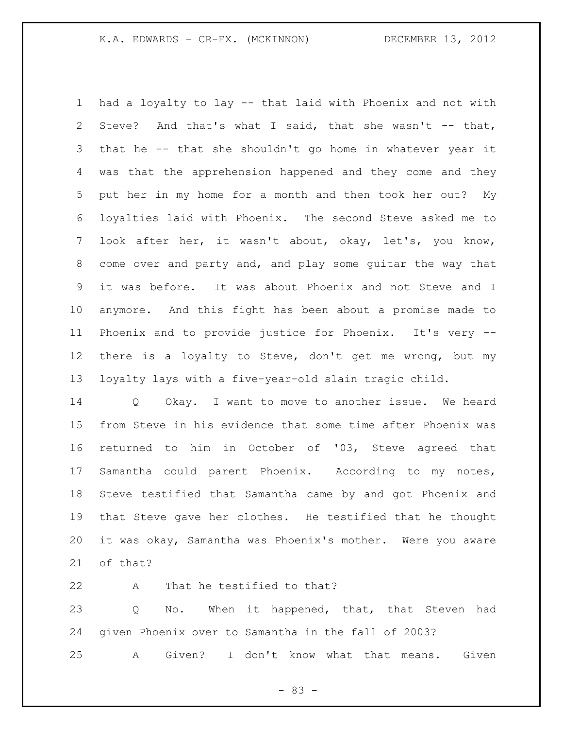had a loyalty to lay -- that laid with Phoenix and not with Steve? And that's what I said, that she wasn't -- that, that he -- that she shouldn't go home in whatever year it was that the apprehension happened and they come and they put her in my home for a month and then took her out? My loyalties laid with Phoenix. The second Steve asked me to look after her, it wasn't about, okay, let's, you know, come over and party and, and play some guitar the way that it was before. It was about Phoenix and not Steve and I anymore. And this fight has been about a promise made to Phoenix and to provide justice for Phoenix. It's very -- there is a loyalty to Steve, don't get me wrong, but my loyalty lays with a five-year-old slain tragic child.

 Q Okay. I want to move to another issue. We heard from Steve in his evidence that some time after Phoenix was returned to him in October of '03, Steve agreed that Samantha could parent Phoenix. According to my notes, Steve testified that Samantha came by and got Phoenix and that Steve gave her clothes. He testified that he thought it was okay, Samantha was Phoenix's mother. Were you aware of that?

 A That he testified to that? 23 Q No. When it happened, that, that Steven had given Phoenix over to Samantha in the fall of 2003? A Given? I don't know what that means. Given

- 83 -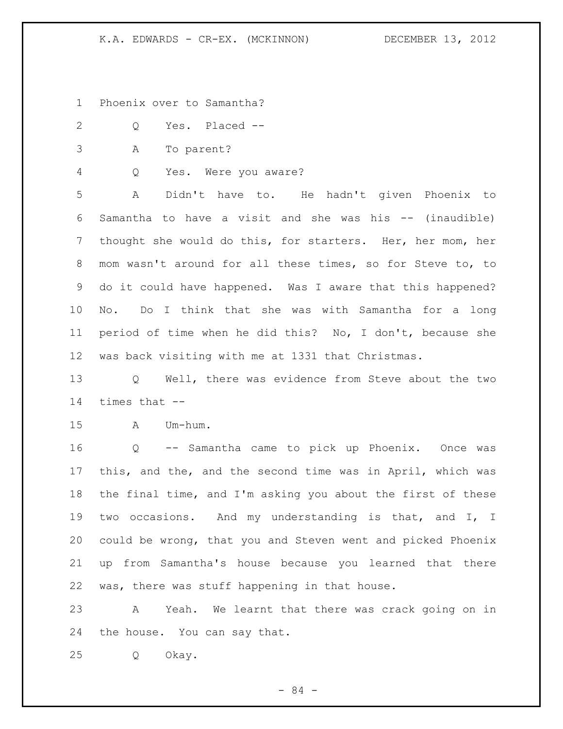- Phoenix over to Samantha?
- Q Yes. Placed --
- A To parent?
- Q Yes. Were you aware?

 A Didn't have to. He hadn't given Phoenix to Samantha to have a visit and she was his -- (inaudible) thought she would do this, for starters. Her, her mom, her mom wasn't around for all these times, so for Steve to, to do it could have happened. Was I aware that this happened? No. Do I think that she was with Samantha for a long period of time when he did this? No, I don't, because she was back visiting with me at 1331 that Christmas.

 Q Well, there was evidence from Steve about the two times that --

A Um-hum.

 Q -- Samantha came to pick up Phoenix. Once was this, and the, and the second time was in April, which was the final time, and I'm asking you about the first of these two occasions. And my understanding is that, and I, I could be wrong, that you and Steven went and picked Phoenix up from Samantha's house because you learned that there was, there was stuff happening in that house.

 A Yeah. We learnt that there was crack going on in the house. You can say that.

Q Okay.

- 84 -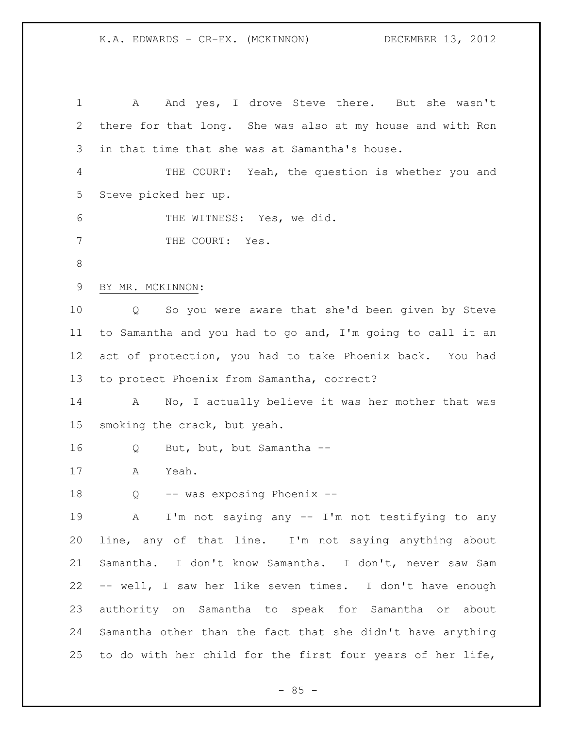1 A And yes, I drove Steve there. But she wasn't there for that long. She was also at my house and with Ron in that time that she was at Samantha's house. THE COURT: Yeah, the question is whether you and Steve picked her up. THE WITNESS: Yes, we did. 7 THE COURT: Yes. BY MR. MCKINNON: Q So you were aware that she'd been given by Steve to Samantha and you had to go and, I'm going to call it an act of protection, you had to take Phoenix back. You had to protect Phoenix from Samantha, correct? A No, I actually believe it was her mother that was smoking the crack, but yeah. Q But, but, but Samantha -- A Yeah. Q -- was exposing Phoenix -- A I'm not saying any -- I'm not testifying to any line, any of that line. I'm not saying anything about Samantha. I don't know Samantha. I don't, never saw Sam -- well, I saw her like seven times. I don't have enough authority on Samantha to speak for Samantha or about Samantha other than the fact that she didn't have anything to do with her child for the first four years of her life,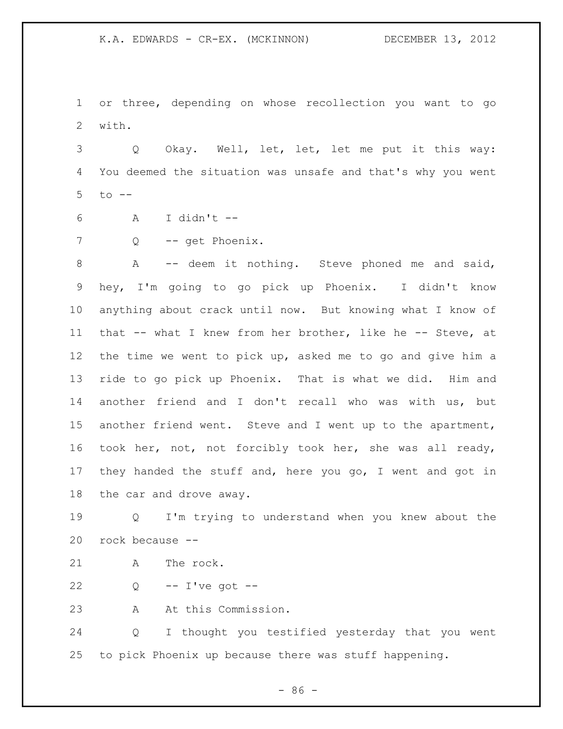or three, depending on whose recollection you want to go with.

 Q Okay. Well, let, let, let me put it this way: You deemed the situation was unsafe and that's why you went to --

A I didn't --

Q -- get Phoenix.

8 A -- deem it nothing. Steve phoned me and said, hey, I'm going to go pick up Phoenix. I didn't know anything about crack until now. But knowing what I know of that -- what I knew from her brother, like he -- Steve, at the time we went to pick up, asked me to go and give him a ride to go pick up Phoenix. That is what we did. Him and another friend and I don't recall who was with us, but another friend went. Steve and I went up to the apartment, took her, not, not forcibly took her, she was all ready, they handed the stuff and, here you go, I went and got in the car and drove away.

 Q I'm trying to understand when you knew about the rock because --

21 A The rock.

Q -- I've got --

A At this Commission.

 Q I thought you testified yesterday that you went to pick Phoenix up because there was stuff happening.

 $-86 -$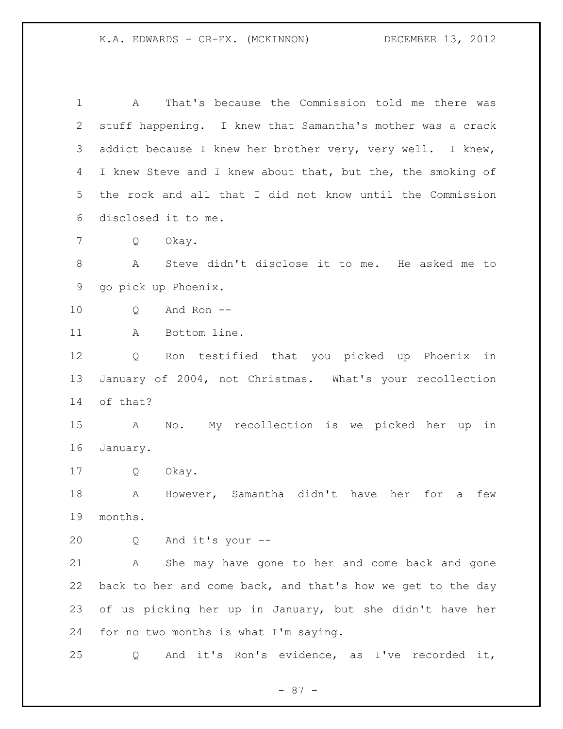A That's because the Commission told me there was stuff happening. I knew that Samantha's mother was a crack addict because I knew her brother very, very well. I knew, 4 I knew Steve and I knew about that, but the, the smoking of the rock and all that I did not know until the Commission disclosed it to me. Q Okay. A Steve didn't disclose it to me. He asked me to go pick up Phoenix. Q And Ron -- 11 A Bottom line. Q Ron testified that you picked up Phoenix in January of 2004, not Christmas. What's your recollection of that? A No. My recollection is we picked her up in January. Q Okay. A However, Samantha didn't have her for a few months. Q And it's your -- A She may have gone to her and come back and gone back to her and come back, and that's how we get to the day of us picking her up in January, but she didn't have her for no two months is what I'm saying. Q And it's Ron's evidence, as I've recorded it,

- 87 -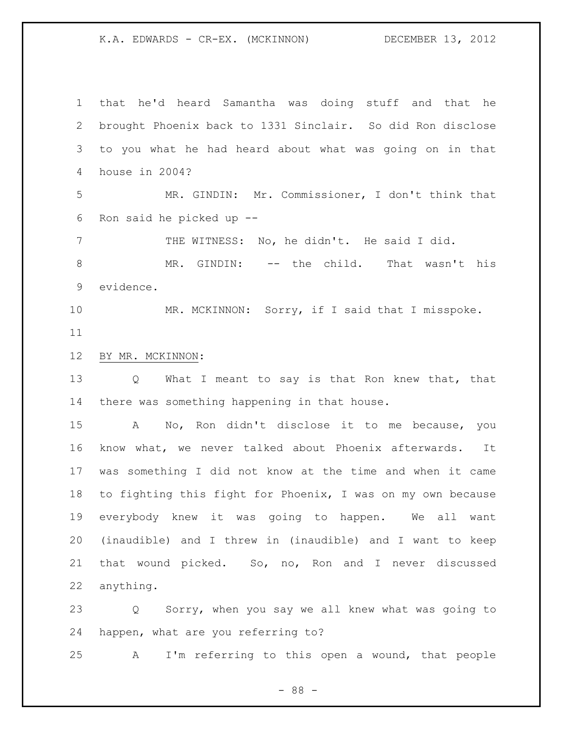that he'd heard Samantha was doing stuff and that he brought Phoenix back to 1331 Sinclair. So did Ron disclose to you what he had heard about what was going on in that house in 2004? MR. GINDIN: Mr. Commissioner, I don't think that Ron said he picked up -- 7 THE WITNESS: No, he didn't. He said I did. MR. GINDIN: -- the child. That wasn't his evidence. 10 MR. MCKINNON: Sorry, if I said that I misspoke. BY MR. MCKINNON: Q What I meant to say is that Ron knew that, that there was something happening in that house. A No, Ron didn't disclose it to me because, you know what, we never talked about Phoenix afterwards. It was something I did not know at the time and when it came to fighting this fight for Phoenix, I was on my own because everybody knew it was going to happen. We all want (inaudible) and I threw in (inaudible) and I want to keep that wound picked. So, no, Ron and I never discussed anything.

 Q Sorry, when you say we all knew what was going to happen, what are you referring to?

A I'm referring to this open a wound, that people

- 88 -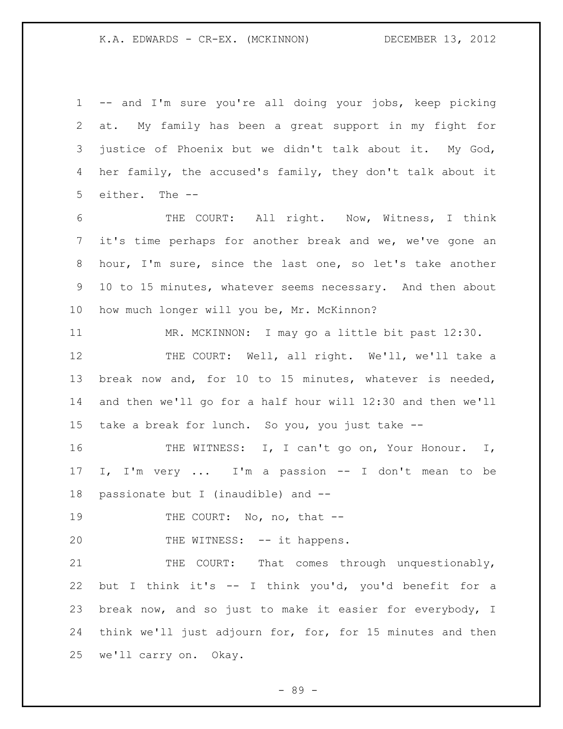-- and I'm sure you're all doing your jobs, keep picking at. My family has been a great support in my fight for justice of Phoenix but we didn't talk about it. My God, her family, the accused's family, they don't talk about it either. The -- THE COURT: All right. Now, Witness, I think it's time perhaps for another break and we, we've gone an hour, I'm sure, since the last one, so let's take another 10 to 15 minutes, whatever seems necessary. And then about how much longer will you be, Mr. McKinnon? MR. MCKINNON: I may go a little bit past 12:30. 12 THE COURT: Well, all right. We'll, we'll take a break now and, for 10 to 15 minutes, whatever is needed, and then we'll go for a half hour will 12:30 and then we'll take a break for lunch. So you, you just take -- 16 THE WITNESS: I, I can't go on, Your Honour. I,

 I, I'm very ... I'm a passion -- I don't mean to be passionate but I (inaudible) and --

19 THE COURT: No, no, that --

20 THE WITNESS: -- it happens.

 THE COURT: That comes through unquestionably, but I think it's -- I think you'd, you'd benefit for a break now, and so just to make it easier for everybody, I think we'll just adjourn for, for, for 15 minutes and then we'll carry on. Okay.

- 89 -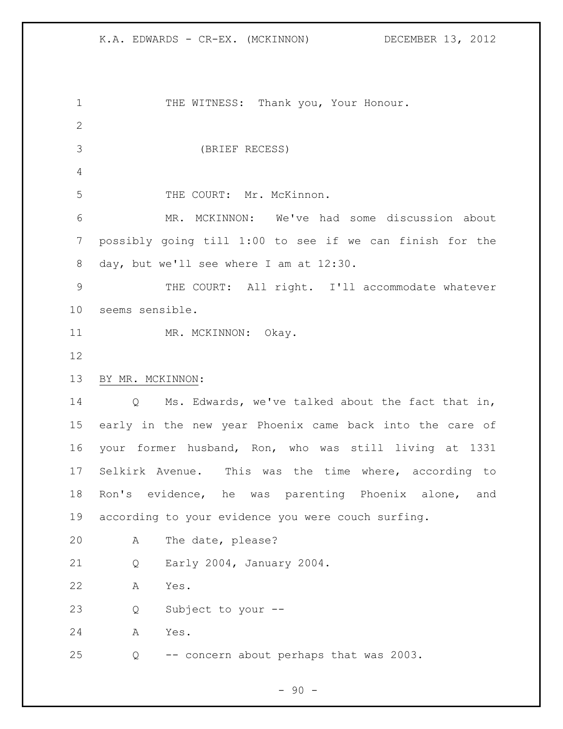1 THE WITNESS: Thank you, Your Honour. (BRIEF RECESS) THE COURT: Mr. McKinnon. MR. MCKINNON: We've had some discussion about possibly going till 1:00 to see if we can finish for the day, but we'll see where I am at 12:30. THE COURT: All right. I'll accommodate whatever seems sensible. 11 MR. MCKINNON: Okay. BY MR. MCKINNON: Q Ms. Edwards, we've talked about the fact that in, early in the new year Phoenix came back into the care of your former husband, Ron, who was still living at 1331 Selkirk Avenue. This was the time where, according to Ron's evidence, he was parenting Phoenix alone, and according to your evidence you were couch surfing. A The date, please? Q Early 2004, January 2004. A Yes. Q Subject to your -- A Yes. Q -- concern about perhaps that was 2003.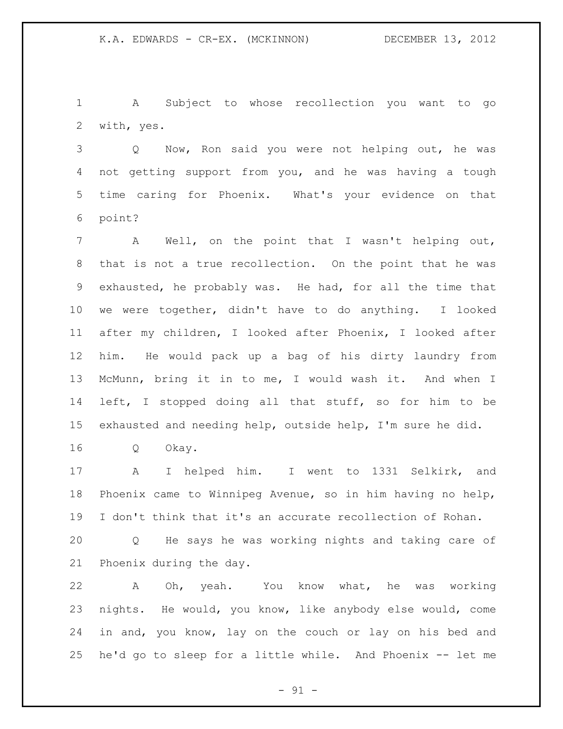A Subject to whose recollection you want to go with, yes.

 Q Now, Ron said you were not helping out, he was not getting support from you, and he was having a tough time caring for Phoenix. What's your evidence on that point?

 A Well, on the point that I wasn't helping out, that is not a true recollection. On the point that he was exhausted, he probably was. He had, for all the time that we were together, didn't have to do anything. I looked after my children, I looked after Phoenix, I looked after him. He would pack up a bag of his dirty laundry from McMunn, bring it in to me, I would wash it. And when I left, I stopped doing all that stuff, so for him to be exhausted and needing help, outside help, I'm sure he did.

Q Okay.

 A I helped him. I went to 1331 Selkirk, and Phoenix came to Winnipeg Avenue, so in him having no help, I don't think that it's an accurate recollection of Rohan.

 Q He says he was working nights and taking care of Phoenix during the day.

 A Oh, yeah. You know what, he was working nights. He would, you know, like anybody else would, come in and, you know, lay on the couch or lay on his bed and he'd go to sleep for a little while. And Phoenix -- let me

 $- 91 -$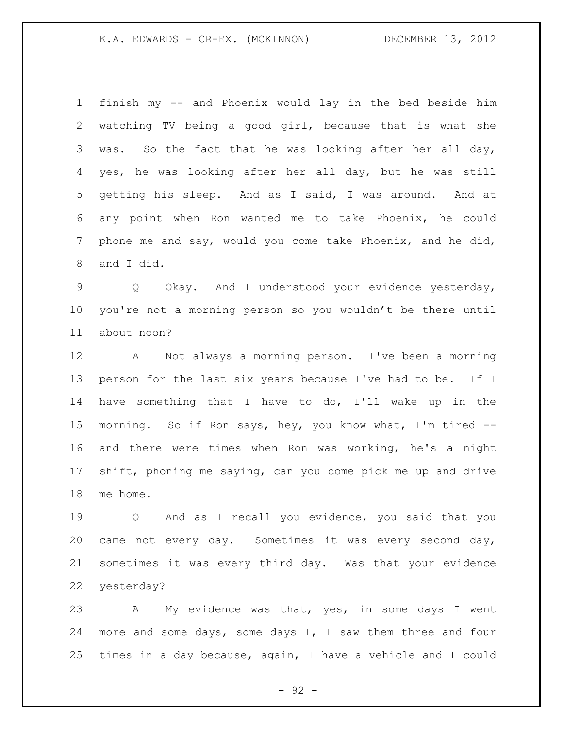finish my -- and Phoenix would lay in the bed beside him watching TV being a good girl, because that is what she was. So the fact that he was looking after her all day, yes, he was looking after her all day, but he was still getting his sleep. And as I said, I was around. And at any point when Ron wanted me to take Phoenix, he could phone me and say, would you come take Phoenix, and he did, and I did.

 Q Okay. And I understood your evidence yesterday, you're not a morning person so you wouldn't be there until about noon?

 A Not always a morning person. I've been a morning person for the last six years because I've had to be. If I have something that I have to do, I'll wake up in the morning. So if Ron says, hey, you know what, I'm tired -- and there were times when Ron was working, he's a night shift, phoning me saying, can you come pick me up and drive me home.

 Q And as I recall you evidence, you said that you came not every day. Sometimes it was every second day, sometimes it was every third day. Was that your evidence yesterday?

 A My evidence was that, yes, in some days I went more and some days, some days I, I saw them three and four times in a day because, again, I have a vehicle and I could

- 92 -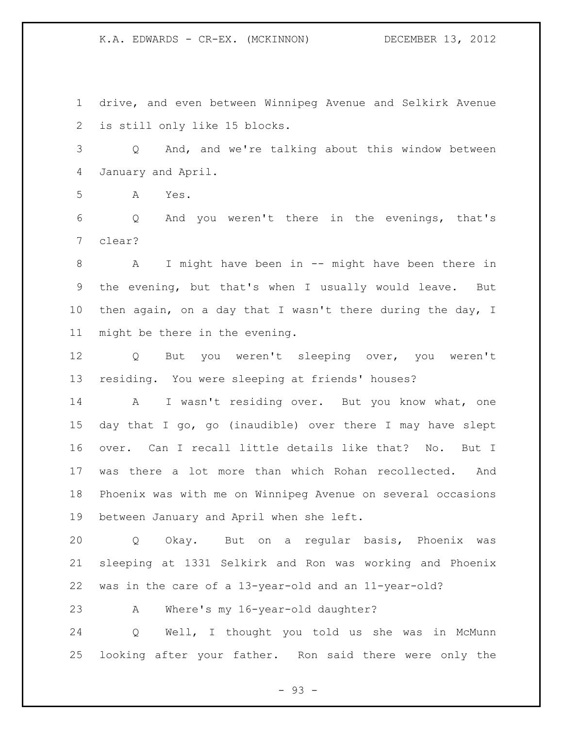drive, and even between Winnipeg Avenue and Selkirk Avenue is still only like 15 blocks.

 Q And, and we're talking about this window between January and April.

A Yes.

 Q And you weren't there in the evenings, that's clear?

 A I might have been in -- might have been there in the evening, but that's when I usually would leave. But 10 then again, on a day that I wasn't there during the day, I might be there in the evening.

 Q But you weren't sleeping over, you weren't residing. You were sleeping at friends' houses?

14 A I wasn't residing over. But you know what, one day that I go, go (inaudible) over there I may have slept over. Can I recall little details like that? No. But I was there a lot more than which Rohan recollected. And Phoenix was with me on Winnipeg Avenue on several occasions between January and April when she left.

 Q Okay. But on a regular basis, Phoenix was sleeping at 1331 Selkirk and Ron was working and Phoenix was in the care of a 13-year-old and an 11-year-old?

A Where's my 16-year-old daughter?

 Q Well, I thought you told us she was in McMunn looking after your father. Ron said there were only the

- 93 -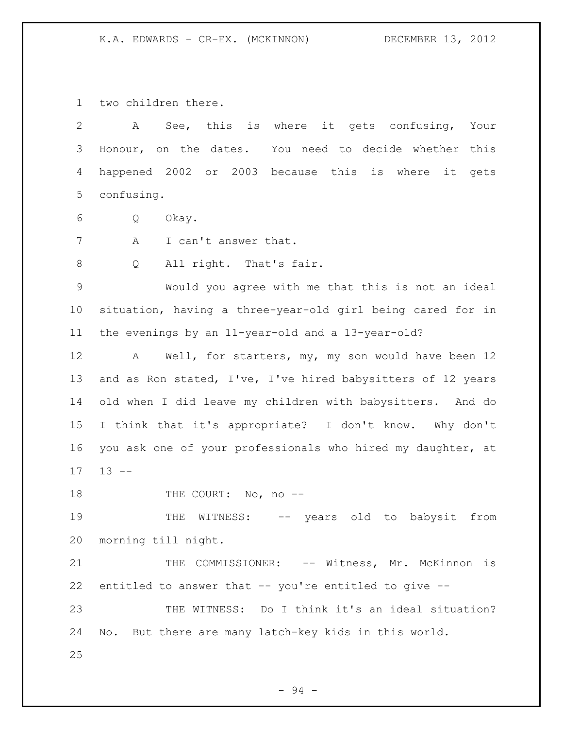two children there.

| 2               | See, this is where it gets confusing, Your<br>A             |
|-----------------|-------------------------------------------------------------|
| 3               | Honour, on the dates. You need to decide whether this       |
| 4               | happened 2002 or 2003 because this is where it<br>gets      |
| 5               | confusing.                                                  |
| 6               | Q<br>Okay.                                                  |
| 7               | Α<br>I can't answer that.                                   |
| 8               | All right. That's fair.<br>Q                                |
| $\mathcal{G}$   | Would you agree with me that this is not an ideal           |
| $10 \,$         | situation, having a three-year-old girl being cared for in  |
| 11              | the evenings by an 11-year-old and a 13-year-old?           |
| 12              | Well, for starters, my, my son would have been 12<br>A      |
| 13              | and as Ron stated, I've, I've hired babysitters of 12 years |
| 14              | old when I did leave my children with babysitters. And do   |
| 15 <sub>1</sub> | I think that it's appropriate? I don't know. Why don't      |
| 16              | you ask one of your professionals who hired my daughter, at |
| 17              | $13 - -$                                                    |
| 18              | THE COURT: No, no --                                        |
| 19              | WITNESS: -- years old to babysit from<br>THE                |
| 20              | morning till night.                                         |
| 21              | COMMISSIONER: -- Witness, Mr. McKinnon is<br>THE            |
| 22              | entitled to answer that -- you're entitled to give --       |
| 23              | THE WITNESS: Do I think it's an ideal situation?            |
| 24              | No. But there are many latch-key kids in this world.        |
| 25              |                                                             |

- 94 -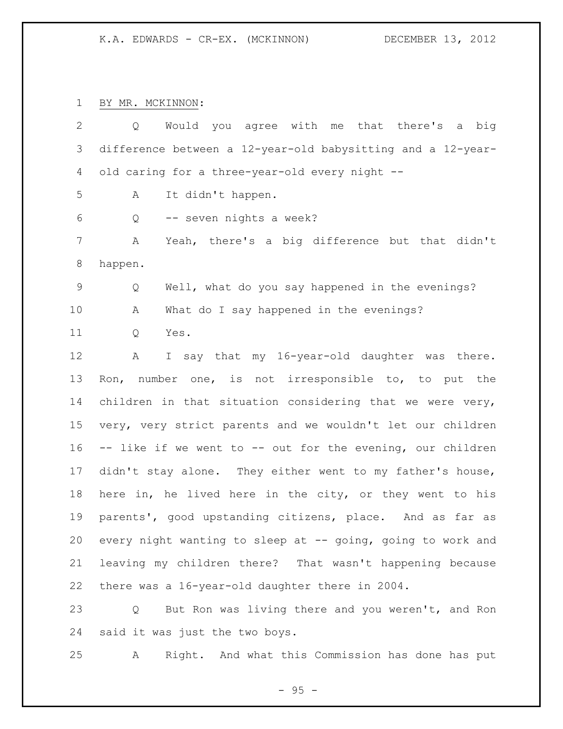BY MR. MCKINNON:

| $\mathbf{2}^{\prime}$ | Would you agree with me that there's a big<br>Q             |
|-----------------------|-------------------------------------------------------------|
| 3                     | difference between a 12-year-old babysitting and a 12-year- |
| 4                     | old caring for a three-year-old every night --              |
| 5                     | It didn't happen.<br>Α                                      |
| 6                     | -- seven nights a week?<br>Q                                |
| $\overline{7}$        | Yeah, there's a big difference but that didn't<br>Α         |
| 8                     | happen.                                                     |
| 9                     | Well, what do you say happened in the evenings?<br>Q        |
| 10                    | What do I say happened in the evenings?<br>Α                |
| 11                    | Q<br>Yes.                                                   |
| 12                    | I say that my 16-year-old daughter was there.<br>A          |
| 13                    | Ron, number one, is not irresponsible to, to put the        |
| 14                    | children in that situation considering that we were very,   |
| 15                    | very, very strict parents and we wouldn't let our children  |
| 16                    | -- like if we went to -- out for the evening, our children  |
| 17                    | didn't stay alone. They either went to my father's house,   |
| 18                    | here in, he lived here in the city, or they went to his     |
| 19                    | parents', good upstanding citizens, place. And as far as    |
| 20                    | every night wanting to sleep at -- going, going to work and |
| 21                    | leaving my children there? That wasn't happening because    |
| 22                    | there was a 16-year-old daughter there in 2004.             |
| 23                    | But Ron was living there and you weren't, and Ron<br>Q      |

said it was just the two boys.

A Right. And what this Commission has done has put

- 95 -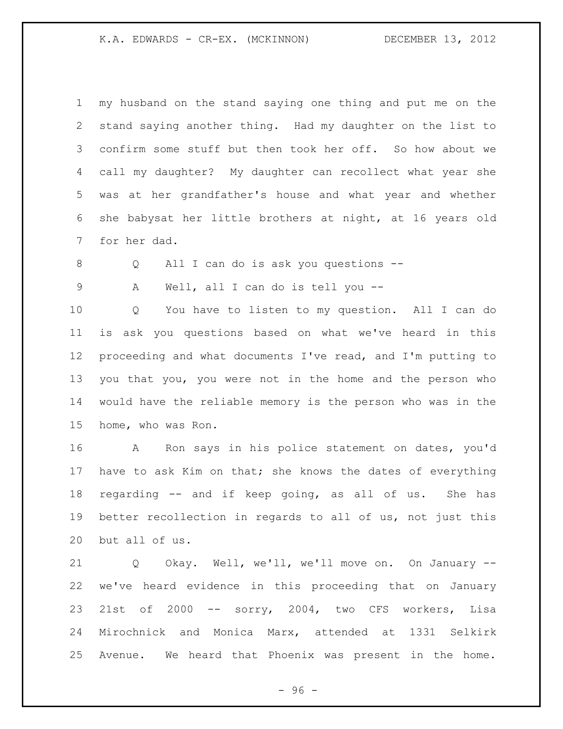my husband on the stand saying one thing and put me on the stand saying another thing. Had my daughter on the list to confirm some stuff but then took her off. So how about we call my daughter? My daughter can recollect what year she was at her grandfather's house and what year and whether she babysat her little brothers at night, at 16 years old for her dad.

Q All I can do is ask you questions --

A Well, all I can do is tell you --

 Q You have to listen to my question. All I can do is ask you questions based on what we've heard in this proceeding and what documents I've read, and I'm putting to you that you, you were not in the home and the person who would have the reliable memory is the person who was in the home, who was Ron.

 A Ron says in his police statement on dates, you'd 17 have to ask Kim on that; she knows the dates of everything regarding -- and if keep going, as all of us. She has better recollection in regards to all of us, not just this but all of us.

 Q Okay. Well, we'll, we'll move on. On January -- we've heard evidence in this proceeding that on January 21st of 2000 -- sorry, 2004, two CFS workers, Lisa Mirochnick and Monica Marx, attended at 1331 Selkirk Avenue. We heard that Phoenix was present in the home.

- 96 -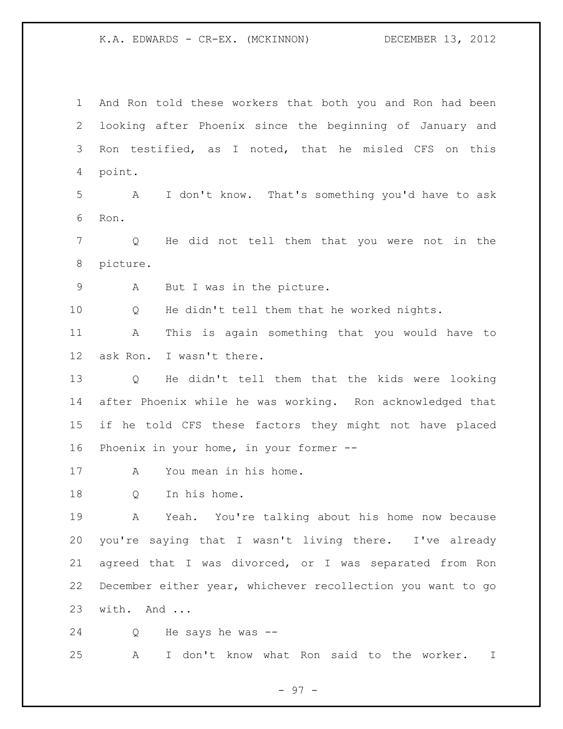And Ron told these workers that both you and Ron had been looking after Phoenix since the beginning of January and Ron testified, as I noted, that he misled CFS on this point.

 A I don't know. That's something you'd have to ask Ron.

 Q He did not tell them that you were not in the picture.

A But I was in the picture.

Q He didn't tell them that he worked nights.

 A This is again something that you would have to ask Ron. I wasn't there.

 Q He didn't tell them that the kids were looking after Phoenix while he was working. Ron acknowledged that if he told CFS these factors they might not have placed Phoenix in your home, in your former --

A You mean in his home.

Q In his home.

 A Yeah. You're talking about his home now because you're saying that I wasn't living there. I've already agreed that I was divorced, or I was separated from Ron December either year, whichever recollection you want to go with. And ...

Q He says he was --

A I don't know what Ron said to the worker. I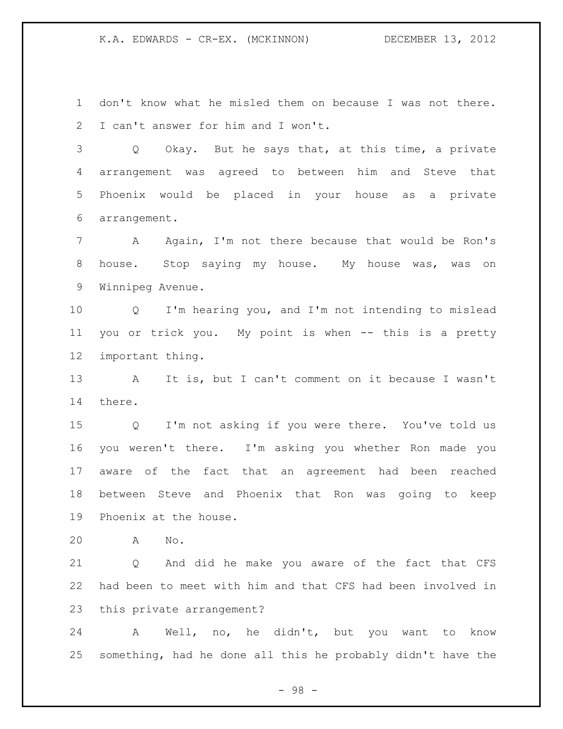don't know what he misled them on because I was not there. I can't answer for him and I won't.

 Q Okay. But he says that, at this time, a private arrangement was agreed to between him and Steve that Phoenix would be placed in your house as a private arrangement.

 A Again, I'm not there because that would be Ron's 8 house. Stop saying my house. My house was, was on Winnipeg Avenue.

 Q I'm hearing you, and I'm not intending to mislead you or trick you. My point is when -- this is a pretty important thing.

 A It is, but I can't comment on it because I wasn't there.

 Q I'm not asking if you were there. You've told us you weren't there. I'm asking you whether Ron made you aware of the fact that an agreement had been reached between Steve and Phoenix that Ron was going to keep Phoenix at the house.

A No.

 Q And did he make you aware of the fact that CFS had been to meet with him and that CFS had been involved in this private arrangement?

 A Well, no, he didn't, but you want to know something, had he done all this he probably didn't have the

- 98 -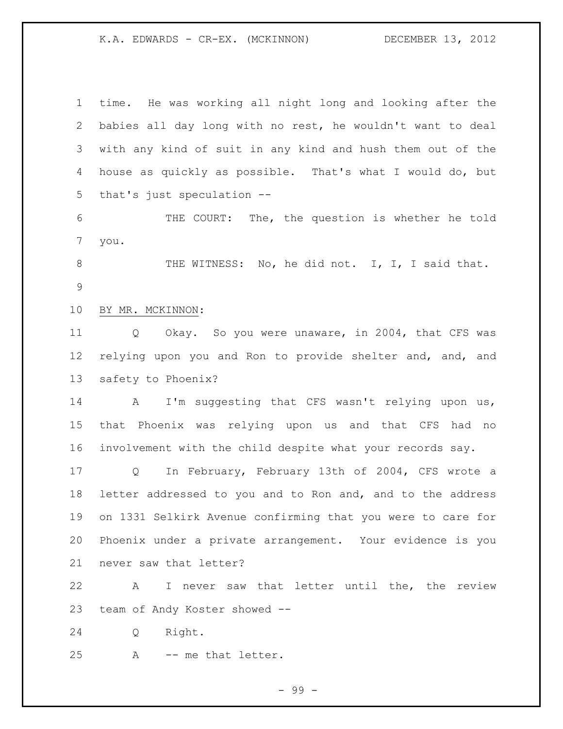time. He was working all night long and looking after the babies all day long with no rest, he wouldn't want to deal with any kind of suit in any kind and hush them out of the house as quickly as possible. That's what I would do, but that's just speculation --

 THE COURT: The, the question is whether he told you.

8 THE WITNESS: No, he did not. I, I, I said that. 

BY MR. MCKINNON:

 Q Okay. So you were unaware, in 2004, that CFS was relying upon you and Ron to provide shelter and, and, and safety to Phoenix?

14 A I'm suggesting that CFS wasn't relying upon us, that Phoenix was relying upon us and that CFS had no involvement with the child despite what your records say.

 Q In February, February 13th of 2004, CFS wrote a letter addressed to you and to Ron and, and to the address on 1331 Selkirk Avenue confirming that you were to care for Phoenix under a private arrangement. Your evidence is you never saw that letter?

 A I never saw that letter until the, the review team of Andy Koster showed --

Q Right.

A -- me that letter.

- 99 -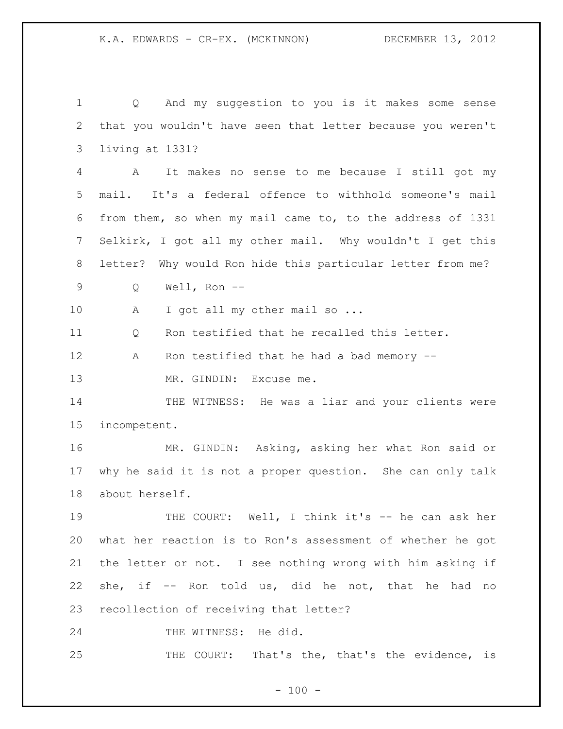Q And my suggestion to you is it makes some sense that you wouldn't have seen that letter because you weren't living at 1331? A It makes no sense to me because I still got my mail. It's a federal offence to withhold someone's mail from them, so when my mail came to, to the address of 1331 Selkirk, I got all my other mail. Why wouldn't I get this letter? Why would Ron hide this particular letter from me? Q Well, Ron -- 10 A I got all my other mail so ... Q Ron testified that he recalled this letter. 12 A Ron testified that he had a bad memory --13 MR. GINDIN: Excuse me. 14 THE WITNESS: He was a liar and your clients were incompetent. MR. GINDIN: Asking, asking her what Ron said or why he said it is not a proper question. She can only talk about herself. 19 THE COURT: Well, I think it's -- he can ask her what her reaction is to Ron's assessment of whether he got the letter or not. I see nothing wrong with him asking if she, if -- Ron told us, did he not, that he had no recollection of receiving that letter? THE WITNESS: He did. THE COURT: That's the, that's the evidence, is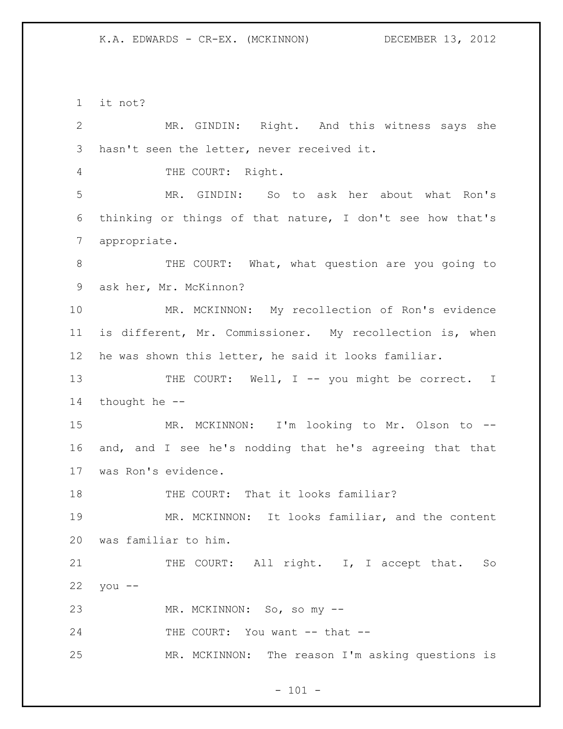it not?

 MR. GINDIN: Right. And this witness says she hasn't seen the letter, never received it. 4 THE COURT: Right. MR. GINDIN: So to ask her about what Ron's thinking or things of that nature, I don't see how that's appropriate. 8 THE COURT: What, what question are you going to ask her, Mr. McKinnon? MR. MCKINNON: My recollection of Ron's evidence is different, Mr. Commissioner. My recollection is, when he was shown this letter, he said it looks familiar. 13 THE COURT: Well, I -- you might be correct. I thought he -- MR. MCKINNON: I'm looking to Mr. Olson to -- and, and I see he's nodding that he's agreeing that that was Ron's evidence. 18 THE COURT: That it looks familiar? MR. MCKINNON: It looks familiar, and the content was familiar to him. 21 THE COURT: All right. I, I accept that. So you -- MR. MCKINNON: So, so my -- 24 THE COURT: You want -- that --MR. MCKINNON: The reason I'm asking questions is

 $- 101 -$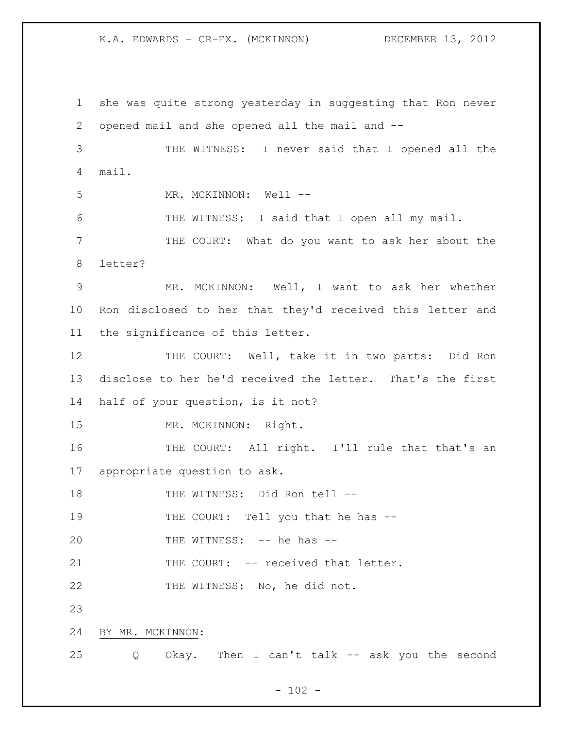1 she was quite strong yesterday in suggesting that Ron never 2 opened mail and she opened all the mail and -- 3 THE WITNESS: I never said that I opened all the 4 mail. 5 MR. MCKINNON: Well --6 THE WITNESS: I said that I open all my mail. 7 THE COURT: What do you want to ask her about the 8 letter? 9 MR. MCKINNON: Well, I want to ask her whether 10 Ron disclosed to her that they'd received this letter and 11 the significance of this letter. 12 THE COURT: Well, take it in two parts: Did Ron 13 disclose to her he'd received the letter. That's the first 14 half of your question, is it not? 15 MR. MCKINNON: Right. 16 THE COURT: All right. I'll rule that that's an 17 appropriate question to ask. 18 THE WITNESS: Did Ron tell --19 THE COURT: Tell you that he has --20 THE WITNESS: -- he has --21 THE COURT: -- received that letter. 22 THE WITNESS: No, he did not. 23 24 BY MR. MCKINNON: 25 Q Okay. Then I can't talk -- ask you the second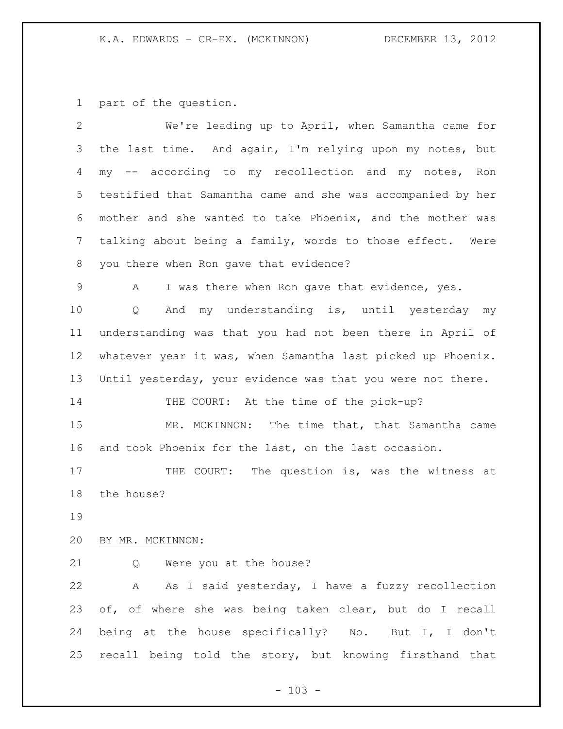part of the question.

| $\overline{2}$ | We're leading up to April, when Samantha came for                |
|----------------|------------------------------------------------------------------|
| 3              | the last time. And again, I'm relying upon my notes, but         |
| 4              | -- according to my recollection and my notes, Ron<br>$m_{\rm V}$ |
| 5              | testified that Samantha came and she was accompanied by her      |
| 6              | mother and she wanted to take Phoenix, and the mother was        |
| 7              | talking about being a family, words to those effect. Were        |
| 8              | you there when Ron gave that evidence?                           |
| 9              | I was there when Ron gave that evidence, yes.<br>A               |
| 10             | And my understanding is, until yesterday my<br>Q                 |
| 11             | understanding was that you had not been there in April of        |
| 12             | whatever year it was, when Samantha last picked up Phoenix.      |
| 13             | Until yesterday, your evidence was that you were not there.      |
| 14             | THE COURT: At the time of the pick-up?                           |
| 15             | MR. MCKINNON: The time that, that Samantha came                  |
| 16             | and took Phoenix for the last, on the last occasion.             |
| 17             | The question is, was the witness at<br>THE COURT:                |
| 18             | the house?                                                       |
| 19             |                                                                  |
| 20             | BY MR. MCKINNON:                                                 |
| 21             | Were you at the house?<br>Q                                      |
| 22             | A As I said yesterday, I have a fuzzy recollection               |
| 23             | of, of where she was being taken clear, but do I recall          |
| 24             | being at the house specifically? No. But I, I don't              |
| 25             | recall being told the story, but knowing firsthand that          |
|                |                                                                  |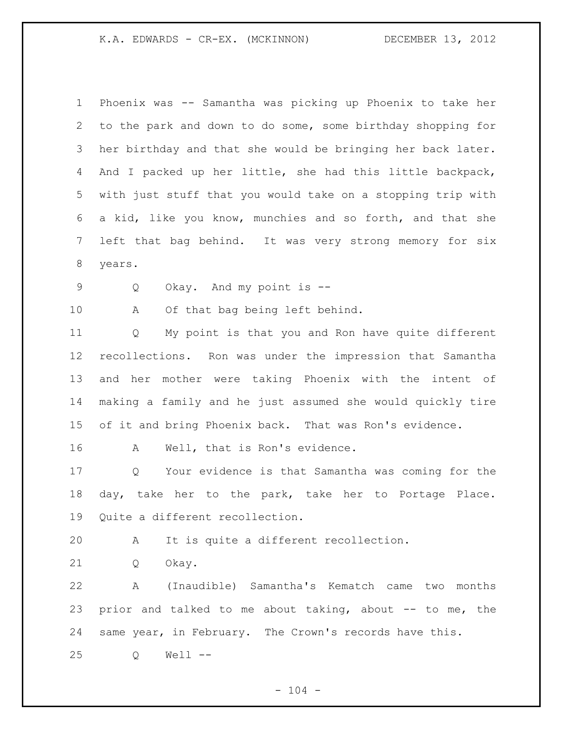Phoenix was -- Samantha was picking up Phoenix to take her to the park and down to do some, some birthday shopping for her birthday and that she would be bringing her back later. And I packed up her little, she had this little backpack, with just stuff that you would take on a stopping trip with a kid, like you know, munchies and so forth, and that she left that bag behind. It was very strong memory for six years.

Q Okay. And my point is --

A Of that bag being left behind.

 Q My point is that you and Ron have quite different recollections. Ron was under the impression that Samantha and her mother were taking Phoenix with the intent of making a family and he just assumed she would quickly tire of it and bring Phoenix back. That was Ron's evidence.

A Well, that is Ron's evidence.

 Q Your evidence is that Samantha was coming for the day, take her to the park, take her to Portage Place. Quite a different recollection.

A It is quite a different recollection.

Q Okay.

 A (Inaudible) Samantha's Kematch came two months prior and talked to me about taking, about -- to me, the same year, in February. The Crown's records have this.

Q Well --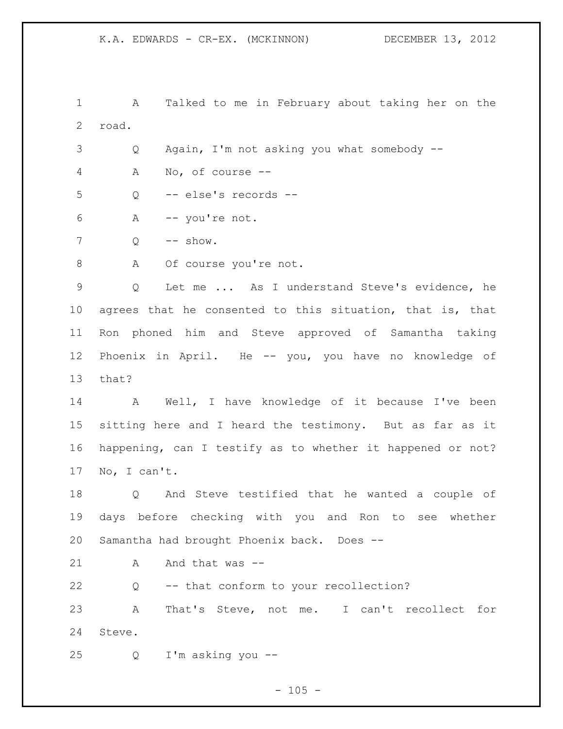A Talked to me in February about taking her on the road.

Q Again, I'm not asking you what somebody --

A No, of course --

Q -- else's records --

A -- you're not.

 $7 \qquad Q \qquad -- \text{ show.}$ 

8 A Of course you're not.

 Q Let me ... As I understand Steve's evidence, he agrees that he consented to this situation, that is, that Ron phoned him and Steve approved of Samantha taking Phoenix in April. He -- you, you have no knowledge of that?

 A Well, I have knowledge of it because I've been sitting here and I heard the testimony. But as far as it happening, can I testify as to whether it happened or not? No, I can't.

 Q And Steve testified that he wanted a couple of days before checking with you and Ron to see whether Samantha had brought Phoenix back. Does --

21 A And that was --

Q -- that conform to your recollection?

 A That's Steve, not me. I can't recollect for Steve.

Q I'm asking you --

 $- 105 -$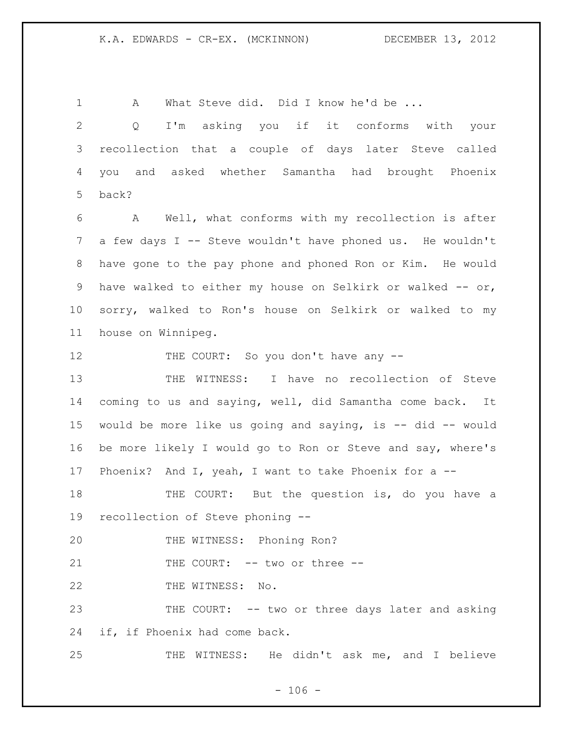A What Steve did. Did I know he'd be ... Q I'm asking you if it conforms with your recollection that a couple of days later Steve called you and asked whether Samantha had brought Phoenix back? A Well, what conforms with my recollection is after 7 a few days I -- Steve wouldn't have phoned us. He wouldn't have gone to the pay phone and phoned Ron or Kim. He would 9 have walked to either my house on Selkirk or walked -- or, sorry, walked to Ron's house on Selkirk or walked to my house on Winnipeg. 12 THE COURT: So you don't have any -- THE WITNESS: I have no recollection of Steve coming to us and saying, well, did Samantha come back. It would be more like us going and saying, is -- did -- would be more likely I would go to Ron or Steve and say, where's 17 Phoenix? And I, yeah, I want to take Phoenix for a -- THE COURT: But the question is, do you have a recollection of Steve phoning -- THE WITNESS: Phoning Ron?

21 THE COURT: -- two or three --

22 THE WITNESS: No.

 THE COURT: -- two or three days later and asking if, if Phoenix had come back.

THE WITNESS: He didn't ask me, and I believe

 $- 106 -$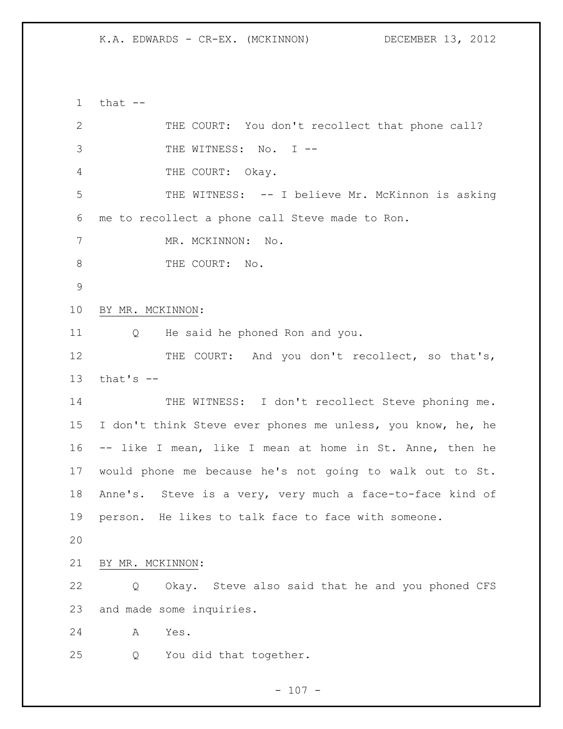that  $-$  THE COURT: You don't recollect that phone call? 3 THE WITNESS: No. I --4 THE COURT: Okay. THE WITNESS: -- I believe Mr. McKinnon is asking me to recollect a phone call Steve made to Ron. 7 MR. MCKINNON: No. 8 THE COURT: No. BY MR. MCKINNON: Q He said he phoned Ron and you. 12 THE COURT: And you don't recollect, so that's, that's  $-$ 14 THE WITNESS: I don't recollect Steve phoning me. I don't think Steve ever phones me unless, you know, he, he -- like I mean, like I mean at home in St. Anne, then he would phone me because he's not going to walk out to St. Anne's. Steve is a very, very much a face-to-face kind of person. He likes to talk face to face with someone. BY MR. MCKINNON: Q Okay. Steve also said that he and you phoned CFS and made some inquiries. A Yes. Q You did that together.

 $- 107 -$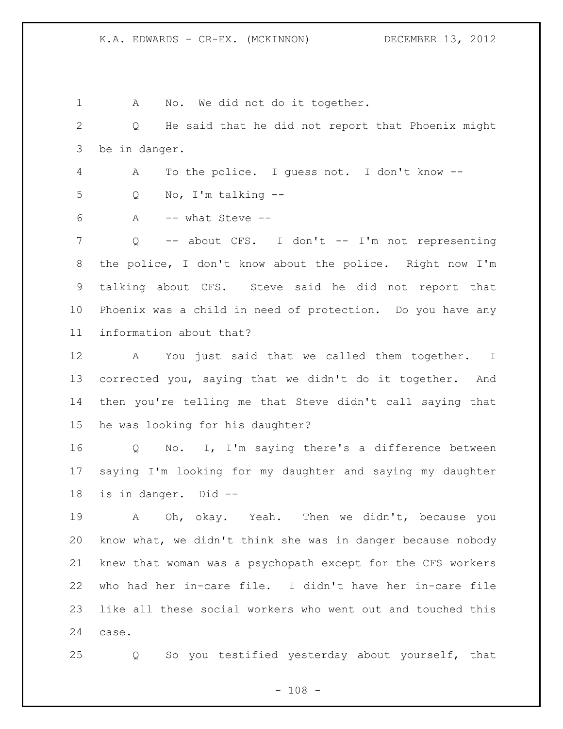1 A No. We did not do it together. Q He said that he did not report that Phoenix might be in danger. A To the police. I guess not. I don't know -- Q No, I'm talking -- A -- what Steve -- Q -- about CFS. I don't -- I'm not representing the police, I don't know about the police. Right now I'm talking about CFS. Steve said he did not report that Phoenix was a child in need of protection. Do you have any information about that? A You just said that we called them together. I corrected you, saying that we didn't do it together. And then you're telling me that Steve didn't call saying that he was looking for his daughter? Q No. I, I'm saying there's a difference between saying I'm looking for my daughter and saying my daughter is in danger. Did -- A Oh, okay. Yeah. Then we didn't, because you know what, we didn't think she was in danger because nobody knew that woman was a psychopath except for the CFS workers who had her in-care file. I didn't have her in-care file like all these social workers who went out and touched this case. Q So you testified yesterday about yourself, that

 $- 108 -$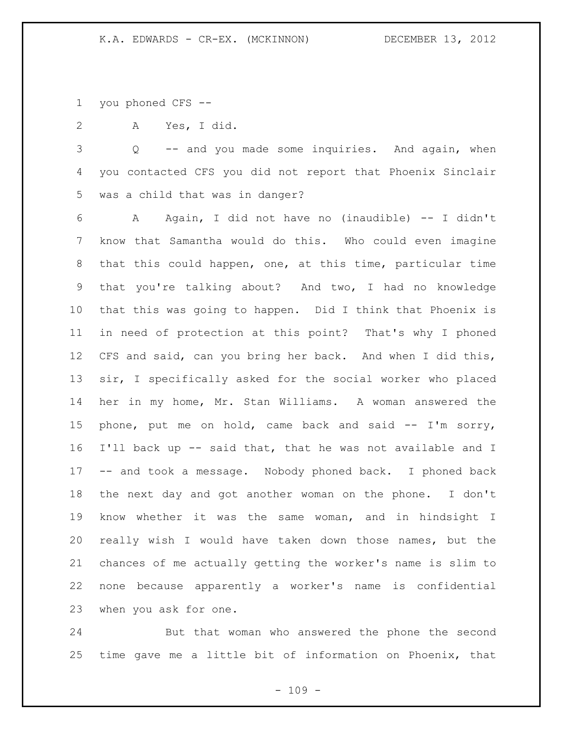you phoned CFS --

A Yes, I did.

 Q -- and you made some inquiries. And again, when you contacted CFS you did not report that Phoenix Sinclair was a child that was in danger?

 A Again, I did not have no (inaudible) -- I didn't know that Samantha would do this. Who could even imagine that this could happen, one, at this time, particular time that you're talking about? And two, I had no knowledge that this was going to happen. Did I think that Phoenix is in need of protection at this point? That's why I phoned CFS and said, can you bring her back. And when I did this, sir, I specifically asked for the social worker who placed her in my home, Mr. Stan Williams. A woman answered the phone, put me on hold, came back and said -- I'm sorry, I'll back up -- said that, that he was not available and I -- and took a message. Nobody phoned back. I phoned back the next day and got another woman on the phone. I don't know whether it was the same woman, and in hindsight I really wish I would have taken down those names, but the chances of me actually getting the worker's name is slim to none because apparently a worker's name is confidential when you ask for one.

 But that woman who answered the phone the second time gave me a little bit of information on Phoenix, that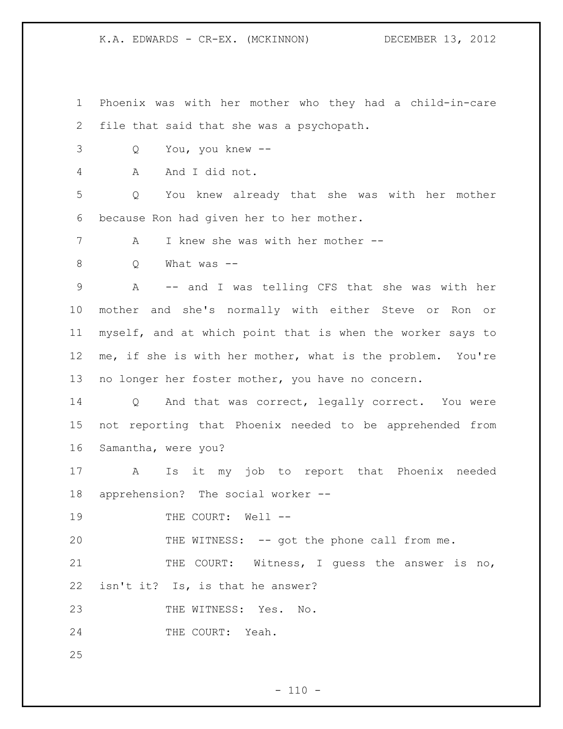Phoenix was with her mother who they had a child-in-care file that said that she was a psychopath.

Q You, you knew --

A And I did not.

 Q You knew already that she was with her mother because Ron had given her to her mother.

7 A I knew she was with her mother --

Q What was --

 A -- and I was telling CFS that she was with her mother and she's normally with either Steve or Ron or myself, and at which point that is when the worker says to me, if she is with her mother, what is the problem. You're no longer her foster mother, you have no concern.

 Q And that was correct, legally correct. You were not reporting that Phoenix needed to be apprehended from Samantha, were you?

 A Is it my job to report that Phoenix needed apprehension? The social worker --

19 THE COURT: Well --

20 THE WITNESS: -- got the phone call from me.

21 THE COURT: Witness, I guess the answer is no, isn't it? Is, is that he answer?

23 THE WITNESS: Yes. No.

24 THE COURT: Yeah.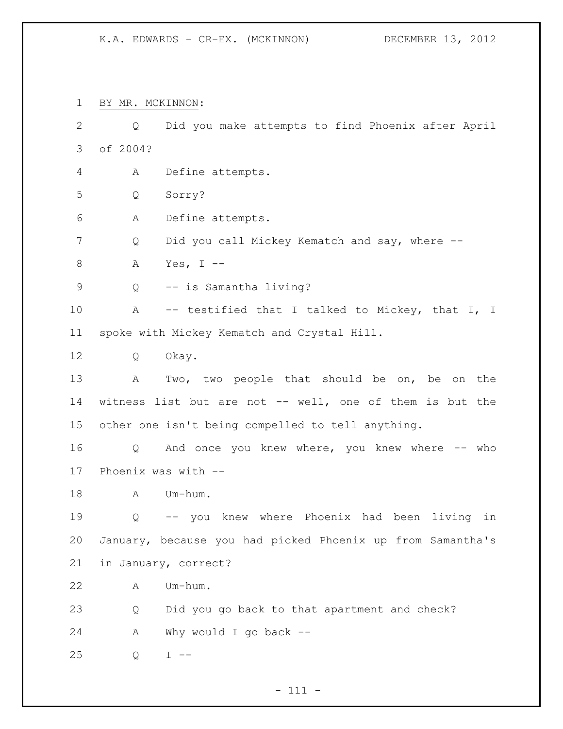BY MR. MCKINNON:

 Q Did you make attempts to find Phoenix after April of 2004? A Define attempts. Q Sorry? A Define attempts. 7 Q Did you call Mickey Kematch and say, where -- A Yes, I -- Q -- is Samantha living? A -- testified that I talked to Mickey, that I, I spoke with Mickey Kematch and Crystal Hill. Q Okay. A Two, two people that should be on, be on the witness list but are not -- well, one of them is but the other one isn't being compelled to tell anything. Q And once you knew where, you knew where -- who Phoenix was with -- 18 A Um-hum. Q -- you knew where Phoenix had been living in January, because you had picked Phoenix up from Samantha's in January, correct? A Um-hum. Q Did you go back to that apartment and check? A Why would I go back -- Q I --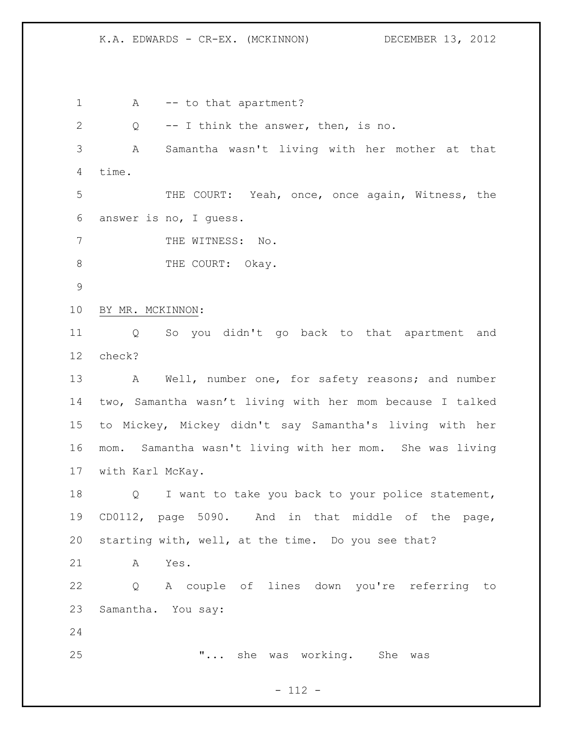1 A -- to that apartment? Q -- I think the answer, then, is no. A Samantha wasn't living with her mother at that time. THE COURT: Yeah, once, once again, Witness, the answer is no, I guess. 7 THE WITNESS: No. 8 THE COURT: Okay. BY MR. MCKINNON: Q So you didn't go back to that apartment and check? 13 A Well, number one, for safety reasons; and number two, Samantha wasn't living with her mom because I talked to Mickey, Mickey didn't say Samantha's living with her mom. Samantha wasn't living with her mom. She was living with Karl McKay. Q I want to take you back to your police statement, CD0112, page 5090. And in that middle of the page, starting with, well, at the time. Do you see that? A Yes. Q A couple of lines down you're referring to Samantha. You say: "... she was working. She was

### $- 112 -$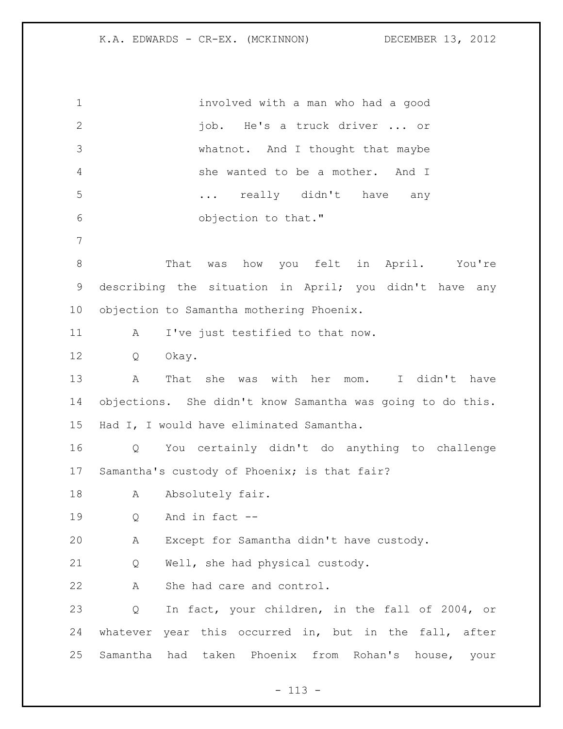involved with a man who had a good job. He's a truck driver ... or whatnot. And I thought that maybe she wanted to be a mother. And I 5 ... really didn't have any objection to that." That was how you felt in April. You're describing the situation in April; you didn't have any objection to Samantha mothering Phoenix. 11 A I've just testified to that now. Q Okay. A That she was with her mom. I didn't have objections. She didn't know Samantha was going to do this. Had I, I would have eliminated Samantha. Q You certainly didn't do anything to challenge Samantha's custody of Phoenix; is that fair? 18 A Absolutely fair. Q And in fact -- A Except for Samantha didn't have custody. Q Well, she had physical custody. A She had care and control. Q In fact, your children, in the fall of 2004, or whatever year this occurred in, but in the fall, after Samantha had taken Phoenix from Rohan's house, your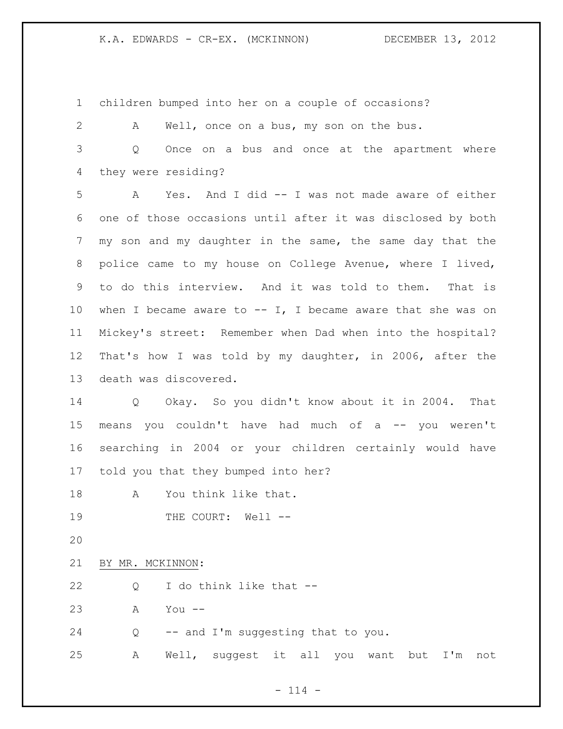children bumped into her on a couple of occasions?

A Well, once on a bus, my son on the bus.

 Q Once on a bus and once at the apartment where they were residing?

 A Yes. And I did -- I was not made aware of either one of those occasions until after it was disclosed by both my son and my daughter in the same, the same day that the police came to my house on College Avenue, where I lived, to do this interview. And it was told to them. That is 10 when I became aware to  $--$  I, I became aware that she was on Mickey's street: Remember when Dad when into the hospital? That's how I was told by my daughter, in 2006, after the death was discovered.

 Q Okay. So you didn't know about it in 2004. That means you couldn't have had much of a -- you weren't searching in 2004 or your children certainly would have told you that they bumped into her?

A You think like that.

19 THE COURT: Well --

BY MR. MCKINNON:

Q I do think like that --

A You --

Q -- and I'm suggesting that to you.

A Well, suggest it all you want but I'm not

 $- 114 -$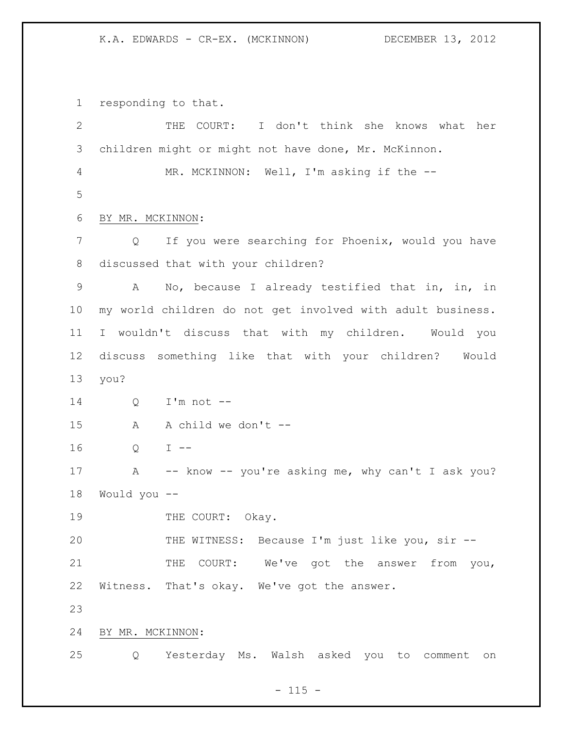responding to that.

| $\mathbf{2}$ |                  | THE COURT: I don't think she knows what her                |
|--------------|------------------|------------------------------------------------------------|
| 3            |                  | children might or might not have done, Mr. McKinnon.       |
| 4            |                  | MR. MCKINNON: Well, I'm asking if the --                   |
| 5            |                  |                                                            |
| 6            | BY MR. MCKINNON: |                                                            |
| 7            | Q                | If you were searching for Phoenix, would you have          |
| 8            |                  | discussed that with your children?                         |
| $\mathsf 9$  | A                | No, because I already testified that in, in, in            |
| 10           |                  | my world children do not get involved with adult business. |
| 11           | $\mathbb{I}$     | wouldn't discuss that with my children. Would you          |
| 12           |                  | discuss something like that with your children?<br>Would   |
| 13           | you?             |                                                            |
| 14           | Q                | $I'm not --$                                               |
| 15           | A                | A child we don't --                                        |
| 16           | Q                | $I$ $-$                                                    |
| 17           | Α                | -- know -- you're asking me, why can't I ask you?          |
| 18           | Would you --     |                                                            |
| 19           |                  | THE COURT: Okay.                                           |
| 20           |                  | THE WITNESS: Because I'm just like you, sir --             |
| 21           |                  | THE COURT: We've got the answer from you,                  |
| 22           |                  | Witness. That's okay. We've got the answer.                |
| 23           |                  |                                                            |
| 24           | BY MR. MCKINNON: |                                                            |
| 25           | Q                | Yesterday Ms. Walsh asked you to comment<br>on             |

- 115 -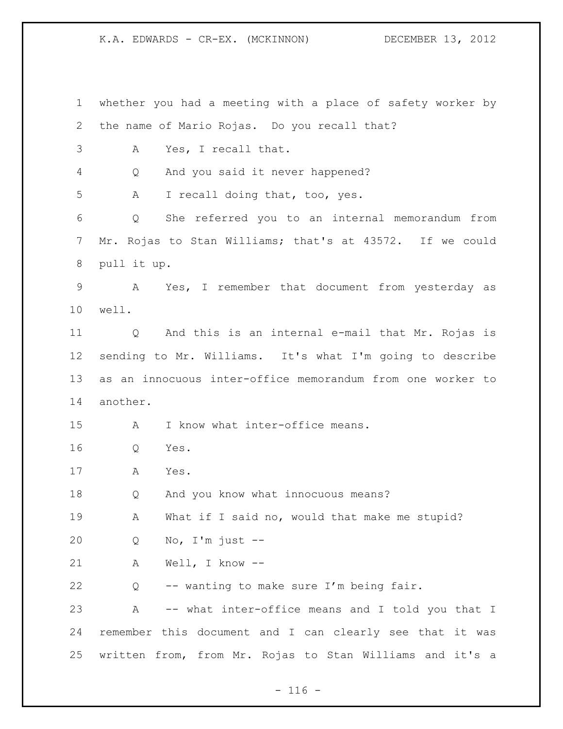whether you had a meeting with a place of safety worker by the name of Mario Rojas. Do you recall that? A Yes, I recall that. Q And you said it never happened? A I recall doing that, too, yes. Q She referred you to an internal memorandum from Mr. Rojas to Stan Williams; that's at 43572. If we could pull it up. A Yes, I remember that document from yesterday as well. Q And this is an internal e-mail that Mr. Rojas is sending to Mr. Williams. It's what I'm going to describe as an innocuous inter-office memorandum from one worker to another. A I know what inter-office means. Q Yes. A Yes. Q And you know what innocuous means? 19 A What if I said no, would that make me stupid? Q No, I'm just -- A Well, I know -- Q -- wanting to make sure I'm being fair. A -- what inter-office means and I told you that I remember this document and I can clearly see that it was written from, from Mr. Rojas to Stan Williams and it's a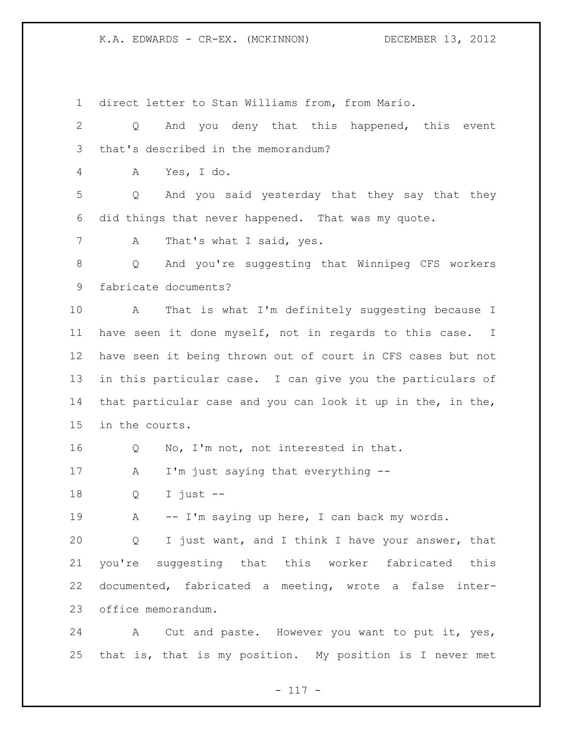direct letter to Stan Williams from, from Mario.

 Q And you deny that this happened, this event that's described in the memorandum? A Yes, I do. Q And you said yesterday that they say that they did things that never happened. That was my quote. 7 A That's what I said, yes. Q And you're suggesting that Winnipeg CFS workers fabricate documents? A That is what I'm definitely suggesting because I have seen it done myself, not in regards to this case. I have seen it being thrown out of court in CFS cases but not in this particular case. I can give you the particulars of that particular case and you can look it up in the, in the, in the courts. Q No, I'm not, not interested in that. 17 A I'm just saying that everything -- Q I just -- 19 A -- I'm saying up here, I can back my words. Q I just want, and I think I have your answer, that you're suggesting that this worker fabricated this

 documented, fabricated a meeting, wrote a false inter-office memorandum.

 A Cut and paste. However you want to put it, yes, that is, that is my position. My position is I never met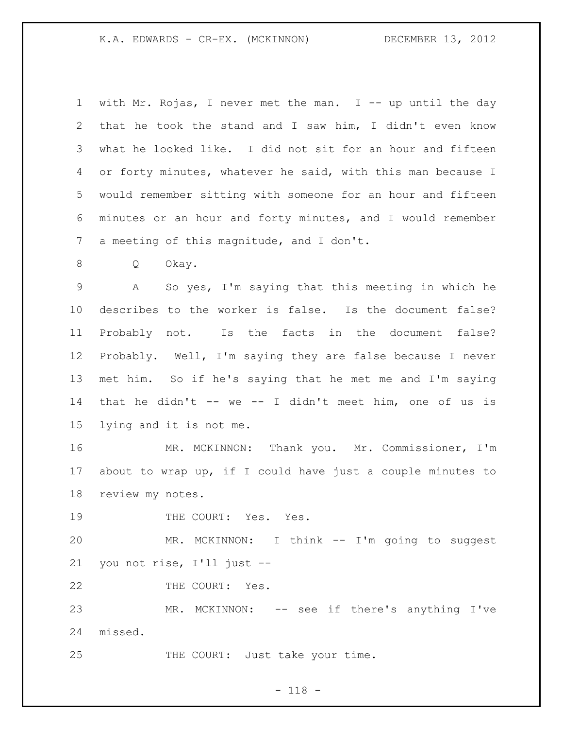| $\mathbf{1}$ | with Mr. Rojas, I never met the man. I -- up until the day  |
|--------------|-------------------------------------------------------------|
| 2            | that he took the stand and I saw him, I didn't even know    |
| 3            | what he looked like. I did not sit for an hour and fifteen  |
| 4            | or forty minutes, whatever he said, with this man because I |
| 5            | would remember sitting with someone for an hour and fifteen |
| 6            | minutes or an hour and forty minutes, and I would remember  |
| 7            | a meeting of this magnitude, and I don't.                   |
| 8            | Q<br>Okay.                                                  |
| $\mathsf 9$  | Α<br>So yes, I'm saying that this meeting in which he       |
| 10           | describes to the worker is false. Is the document false?    |
| 11           | Probably not. Is the facts in the document false?           |
| 12           | Probably. Well, I'm saying they are false because I never   |
| 13           | met him. So if he's saying that he met me and I'm saying    |
| 14           | that he didn't -- we -- I didn't meet him, one of us is     |
| 15           | lying and it is not me.                                     |
| 16           | MR. MCKINNON: Thank you. Mr. Commissioner, I'm              |
| 17           | about to wrap up, if I could have just a couple minutes to  |
| 18           | review my notes.                                            |
| 19           | THE COURT: Yes. Yes.                                        |
| 20           | MR. MCKINNON: I think -- I'm going to suggest               |
| 21           | you not rise, I'll just --                                  |
| 22           | THE COURT: Yes.                                             |
| 23           | MR. MCKINNON: -- see if there's anything I've               |
| 24           | missed.                                                     |
| 25           | THE COURT: Just take your time.                             |

## - 118 -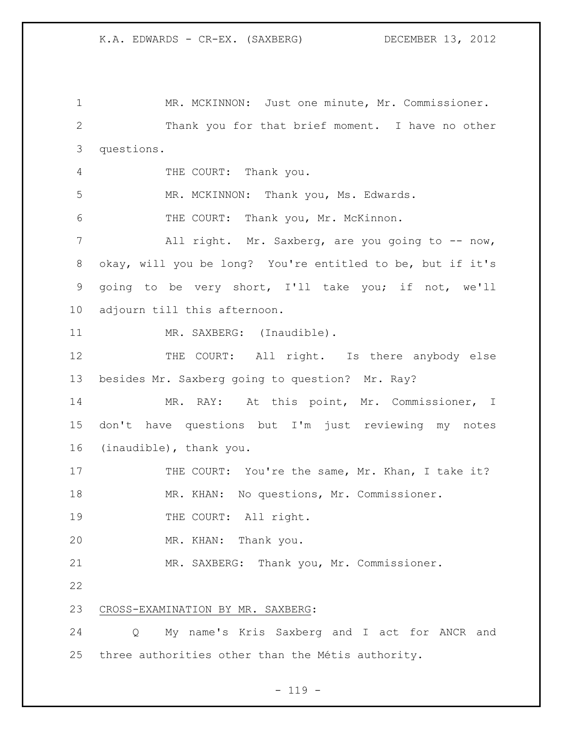1 MR. MCKINNON: Just one minute, Mr. Commissioner. Thank you for that brief moment. I have no other questions. THE COURT: Thank you. 5 MR. MCKINNON: Thank you, Ms. Edwards. THE COURT: Thank you, Mr. McKinnon. All right. Mr. Saxberg, are you going to -- now, okay, will you be long? You're entitled to be, but if it's going to be very short, I'll take you; if not, we'll adjourn till this afternoon. 11 MR. SAXBERG: (Inaudible). 12 THE COURT: All right. Is there anybody else besides Mr. Saxberg going to question? Mr. Ray? MR. RAY: At this point, Mr. Commissioner, I don't have questions but I'm just reviewing my notes (inaudible), thank you. 17 THE COURT: You're the same, Mr. Khan, I take it? MR. KHAN: No questions, Mr. Commissioner. 19 THE COURT: All right. MR. KHAN: Thank you. MR. SAXBERG: Thank you, Mr. Commissioner. CROSS-EXAMINATION BY MR. SAXBERG: Q My name's Kris Saxberg and I act for ANCR and three authorities other than the Métis authority.

### $- 119 -$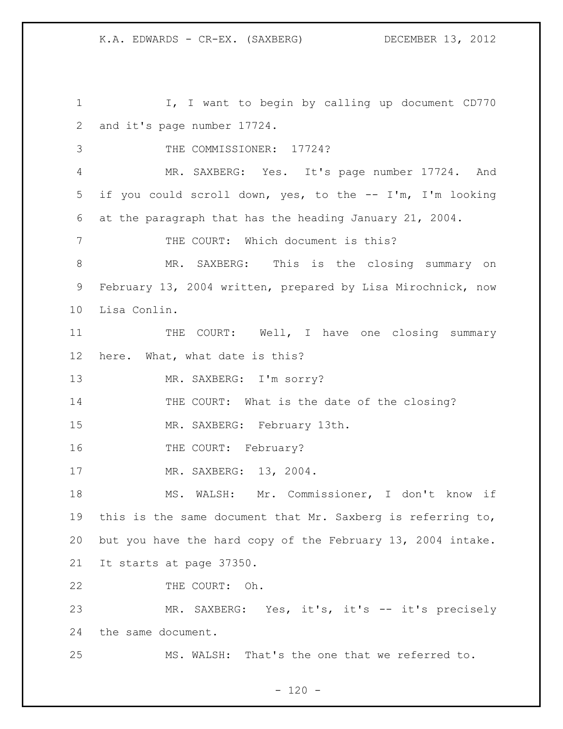I, I want to begin by calling up document CD770 and it's page number 17724. 3 THE COMMISSIONER: 17724? MR. SAXBERG: Yes. It's page number 17724. And if you could scroll down, yes, to the -- I'm, I'm looking at the paragraph that has the heading January 21, 2004. THE COURT: Which document is this? MR. SAXBERG: This is the closing summary on February 13, 2004 written, prepared by Lisa Mirochnick, now Lisa Conlin. 11 THE COURT: Well, I have one closing summary here. What, what date is this? 13 MR. SAXBERG: I'm sorry? THE COURT: What is the date of the closing? MR. SAXBERG: February 13th. 16 THE COURT: February? 17 MR. SAXBERG: 13, 2004. MS. WALSH: Mr. Commissioner, I don't know if this is the same document that Mr. Saxberg is referring to, but you have the hard copy of the February 13, 2004 intake. It starts at page 37350. 22 THE COURT: Oh. MR. SAXBERG: Yes, it's, it's -- it's precisely the same document. MS. WALSH: That's the one that we referred to.

 $- 120 -$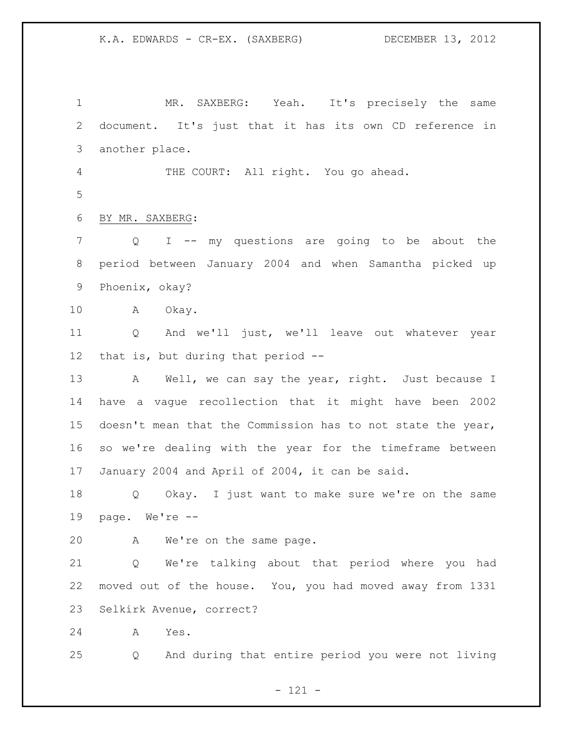1 MR. SAXBERG: Yeah. It's precisely the same document. It's just that it has its own CD reference in another place. THE COURT: All right. You go ahead. BY MR. SAXBERG: Q I -- my questions are going to be about the period between January 2004 and when Samantha picked up Phoenix, okay? A Okay. Q And we'll just, we'll leave out whatever year that is, but during that period -- 13 A Well, we can say the year, right. Just because I have a vague recollection that it might have been 2002 doesn't mean that the Commission has to not state the year, so we're dealing with the year for the timeframe between January 2004 and April of 2004, it can be said. Q Okay. I just want to make sure we're on the same page. We're -- A We're on the same page. Q We're talking about that period where you had moved out of the house. You, you had moved away from 1331 Selkirk Avenue, correct? A Yes. Q And during that entire period you were not living

- 121 -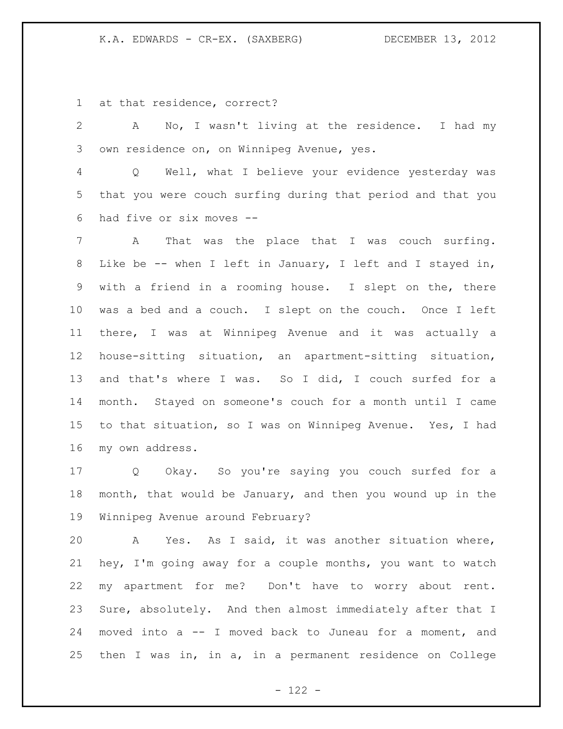at that residence, correct?

 A No, I wasn't living at the residence. I had my own residence on, on Winnipeg Avenue, yes. Q Well, what I believe your evidence yesterday was

 that you were couch surfing during that period and that you had five or six moves --

 A That was the place that I was couch surfing. Like be -- when I left in January, I left and I stayed in, with a friend in a rooming house. I slept on the, there was a bed and a couch. I slept on the couch. Once I left there, I was at Winnipeg Avenue and it was actually a house-sitting situation, an apartment-sitting situation, and that's where I was. So I did, I couch surfed for a month. Stayed on someone's couch for a month until I came to that situation, so I was on Winnipeg Avenue. Yes, I had my own address.

 Q Okay. So you're saying you couch surfed for a month, that would be January, and then you wound up in the Winnipeg Avenue around February?

 A Yes. As I said, it was another situation where, hey, I'm going away for a couple months, you want to watch my apartment for me? Don't have to worry about rent. Sure, absolutely. And then almost immediately after that I moved into a -- I moved back to Juneau for a moment, and then I was in, in a, in a permanent residence on College

 $- 122 -$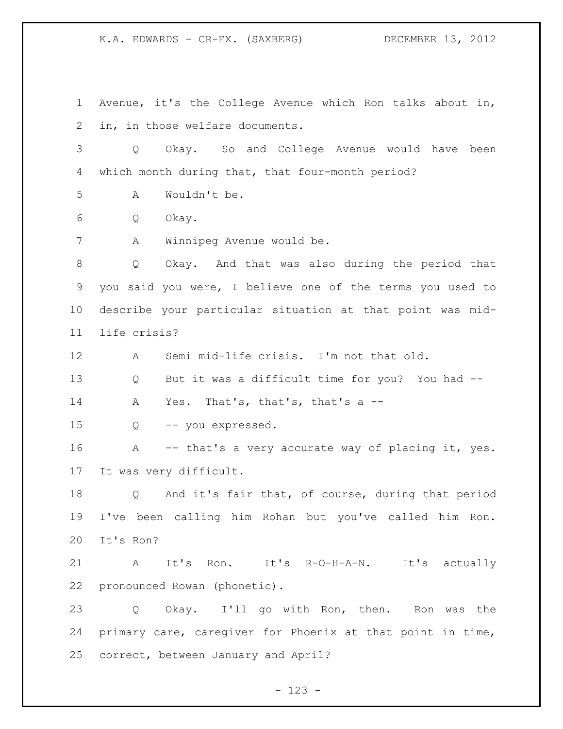Avenue, it's the College Avenue which Ron talks about in, in, in those welfare documents.

 Q Okay. So and College Avenue would have been which month during that, that four-month period?

A Wouldn't be.

Q Okay.

A Winnipeg Avenue would be.

 Q Okay. And that was also during the period that you said you were, I believe one of the terms you used to describe your particular situation at that point was mid-life crisis?

A Semi mid-life crisis. I'm not that old.

 Q But it was a difficult time for you? You had -- A Yes. That's, that's, that's a --

Q -- you expressed.

16 A -- that's a very accurate way of placing it, yes. It was very difficult.

 Q And it's fair that, of course, during that period I've been calling him Rohan but you've called him Ron. It's Ron?

 A It's Ron. It's R-O-H-A-N. It's actually pronounced Rowan (phonetic).

 Q Okay. I'll go with Ron, then. Ron was the primary care, caregiver for Phoenix at that point in time, correct, between January and April?

- 123 -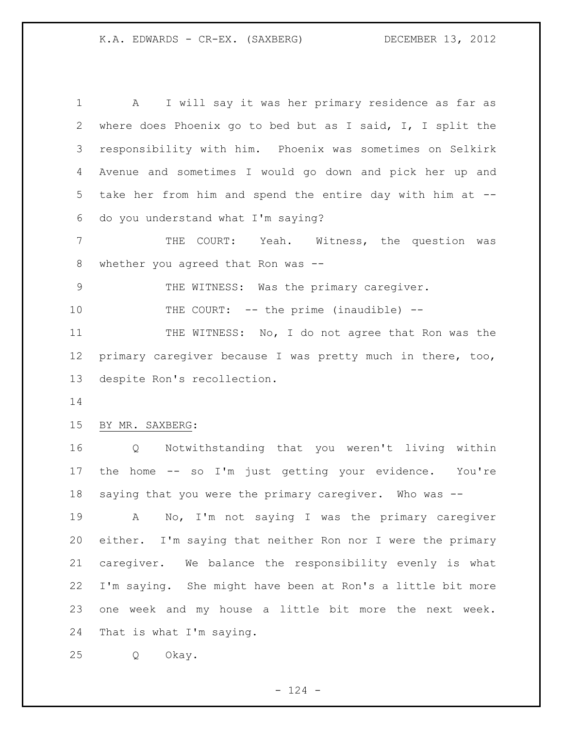A I will say it was her primary residence as far as where does Phoenix go to bed but as I said, I, I split the responsibility with him. Phoenix was sometimes on Selkirk Avenue and sometimes I would go down and pick her up and take her from him and spend the entire day with him at -- do you understand what I'm saying?

 THE COURT: Yeah. Witness, the question was whether you agreed that Ron was --

THE WITNESS: Was the primary caregiver.

10 THE COURT: -- the prime (inaudible) --

 THE WITNESS: No, I do not agree that Ron was the primary caregiver because I was pretty much in there, too, despite Ron's recollection.

### BY MR. SAXBERG:

 Q Notwithstanding that you weren't living within the home -- so I'm just getting your evidence. You're saying that you were the primary caregiver. Who was --

 A No, I'm not saying I was the primary caregiver either. I'm saying that neither Ron nor I were the primary caregiver. We balance the responsibility evenly is what I'm saying. She might have been at Ron's a little bit more one week and my house a little bit more the next week. That is what I'm saying.

Q Okay.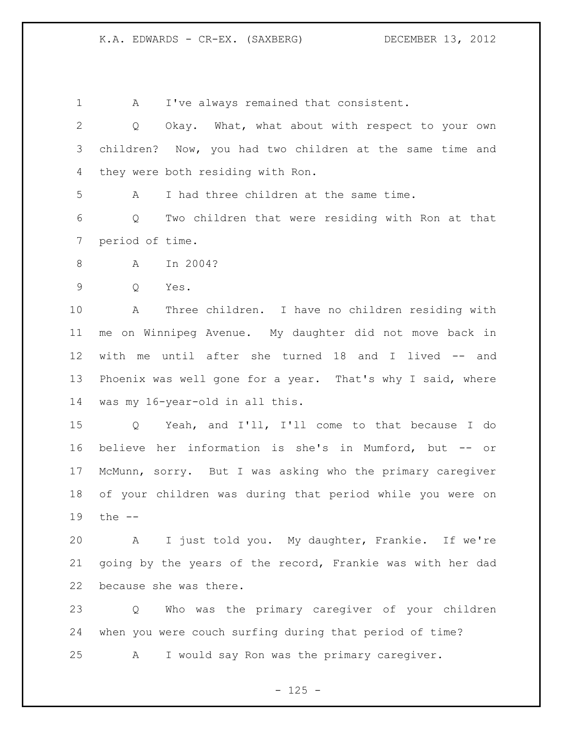A I've always remained that consistent. Q Okay. What, what about with respect to your own children? Now, you had two children at the same time and they were both residing with Ron. A I had three children at the same time. Q Two children that were residing with Ron at that period of time. A In 2004? Q Yes. A Three children. I have no children residing with me on Winnipeg Avenue. My daughter did not move back in with me until after she turned 18 and I lived -- and Phoenix was well gone for a year. That's why I said, where was my 16-year-old in all this. Q Yeah, and I'll, I'll come to that because I do believe her information is she's in Mumford, but -- or McMunn, sorry. But I was asking who the primary caregiver of your children was during that period while you were on the -- A I just told you. My daughter, Frankie. If we're going by the years of the record, Frankie was with her dad because she was there. Q Who was the primary caregiver of your children when you were couch surfing during that period of time? A I would say Ron was the primary caregiver.

 $- 125 -$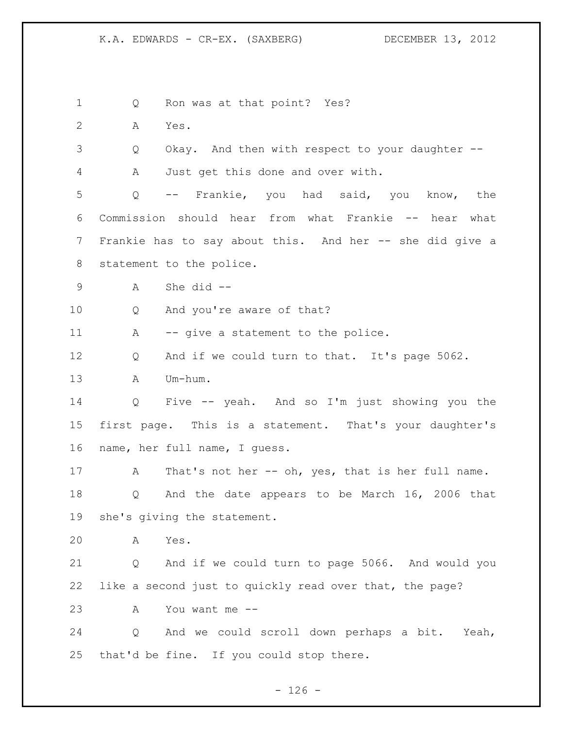1 Q Ron was at that point? Yes? A Yes. Q Okay. And then with respect to your daughter -- A Just get this done and over with. Q -- Frankie, you had said, you know, the Commission should hear from what Frankie -- hear what Frankie has to say about this. And her -- she did give a statement to the police. A She did -- Q And you're aware of that? 11 A -- give a statement to the police. Q And if we could turn to that. It's page 5062. A Um-hum. Q Five -- yeah. And so I'm just showing you the first page. This is a statement. That's your daughter's name, her full name, I guess. 17 A That's not her -- oh, yes, that is her full name. Q And the date appears to be March 16, 2006 that she's giving the statement. A Yes. Q And if we could turn to page 5066. And would you like a second just to quickly read over that, the page? A You want me -- Q And we could scroll down perhaps a bit. Yeah, that'd be fine. If you could stop there.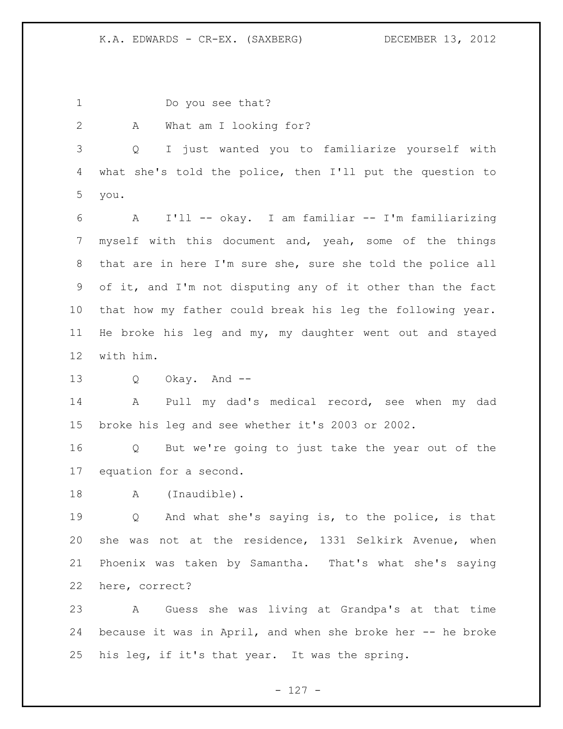Do you see that? A What am I looking for? Q I just wanted you to familiarize yourself with what she's told the police, then I'll put the question to you. A I'll -- okay. I am familiar -- I'm familiarizing myself with this document and, yeah, some of the things that are in here I'm sure she, sure she told the police all of it, and I'm not disputing any of it other than the fact that how my father could break his leg the following year. He broke his leg and my, my daughter went out and stayed with him. Q Okay. And -- A Pull my dad's medical record, see when my dad broke his leg and see whether it's 2003 or 2002. Q But we're going to just take the year out of the equation for a second. 18 A (Inaudible). Q And what she's saying is, to the police, is that she was not at the residence, 1331 Selkirk Avenue, when Phoenix was taken by Samantha. That's what she's saying here, correct? A Guess she was living at Grandpa's at that time because it was in April, and when she broke her -- he broke his leg, if it's that year. It was the spring.

- 127 -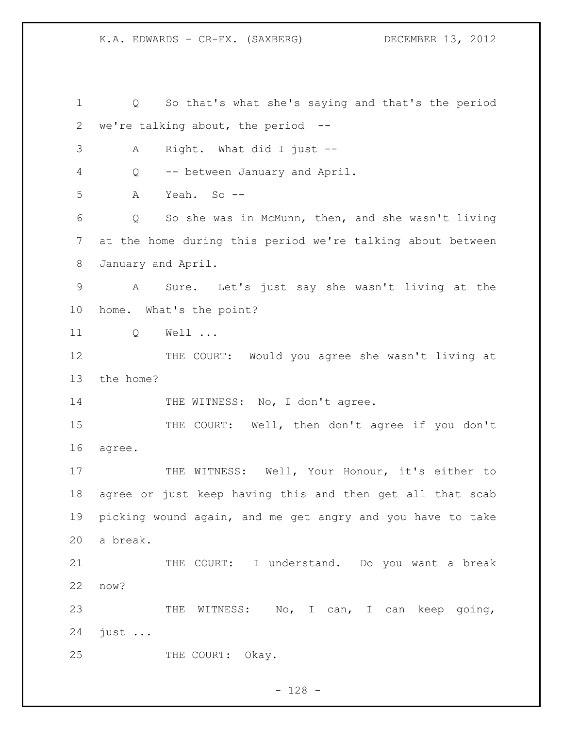Q So that's what she's saying and that's the period we're talking about, the period -- A Right. What did I just -- Q -- between January and April. A Yeah. So -- Q So she was in McMunn, then, and she wasn't living at the home during this period we're talking about between January and April. A Sure. Let's just say she wasn't living at the home. What's the point? Q Well ... THE COURT: Would you agree she wasn't living at the home? 14 THE WITNESS: No, I don't agree. 15 THE COURT: Well, then don't agree if you don't agree. 17 THE WITNESS: Well, Your Honour, it's either to agree or just keep having this and then get all that scab picking wound again, and me get angry and you have to take a break. THE COURT: I understand. Do you want a break now? 23 THE WITNESS: No, I can, I can keep going, just ... 25 THE COURT: Okay.

- 128 -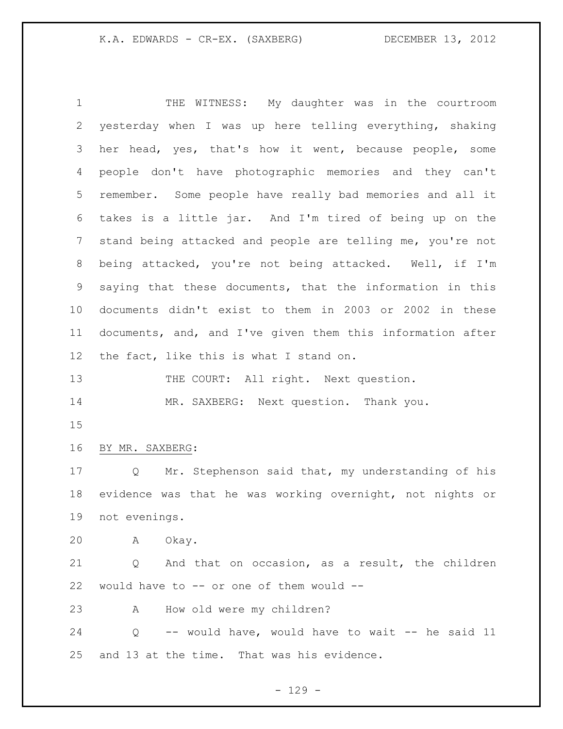THE WITNESS: My daughter was in the courtroom yesterday when I was up here telling everything, shaking her head, yes, that's how it went, because people, some people don't have photographic memories and they can't remember. Some people have really bad memories and all it takes is a little jar. And I'm tired of being up on the stand being attacked and people are telling me, you're not being attacked, you're not being attacked. Well, if I'm saying that these documents, that the information in this documents didn't exist to them in 2003 or 2002 in these documents, and, and I've given them this information after 12 the fact, like this is what I stand on. 13 THE COURT: All right. Next question. 14 MR. SAXBERG: Next question. Thank you. BY MR. SAXBERG: Q Mr. Stephenson said that, my understanding of his evidence was that he was working overnight, not nights or not evenings. A Okay. Q And that on occasion, as a result, the children would have to -- or one of them would -- A How old were my children? Q -- would have, would have to wait -- he said 11 and 13 at the time. That was his evidence.

 $- 129 -$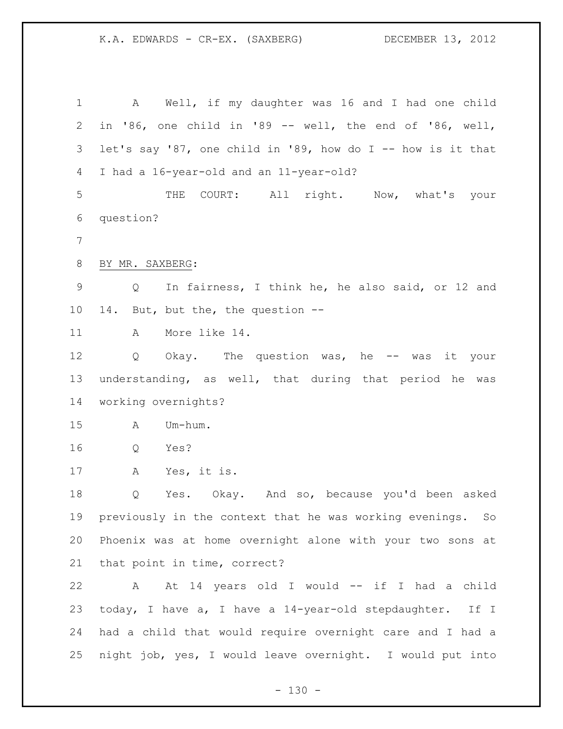A Well, if my daughter was 16 and I had one child in '86, one child in '89 -- well, the end of '86, well, let's say '87, one child in '89, how do I -- how is it that I had a 16-year-old and an 11-year-old? THE COURT: All right. Now, what's your question? BY MR. SAXBERG: Q In fairness, I think he, he also said, or 12 and 14. But, but the, the question -- A More like 14. Q Okay. The question was, he -- was it your understanding, as well, that during that period he was working overnights? A Um-hum. Q Yes? A Yes, it is. Q Yes. Okay. And so, because you'd been asked previously in the context that he was working evenings. So Phoenix was at home overnight alone with your two sons at that point in time, correct? A At 14 years old I would -- if I had a child today, I have a, I have a 14-year-old stepdaughter. If I had a child that would require overnight care and I had a night job, yes, I would leave overnight. I would put into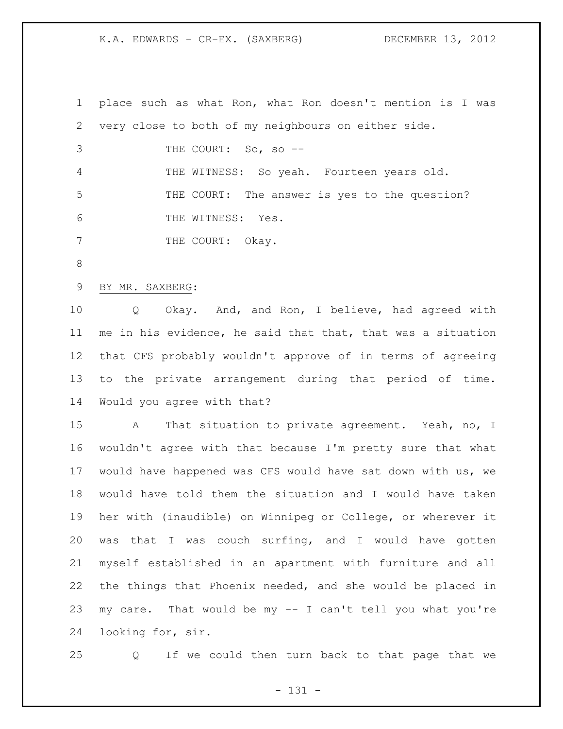place such as what Ron, what Ron doesn't mention is I was very close to both of my neighbours on either side. THE COURT: So, so -- THE WITNESS: So yeah. Fourteen years old. THE COURT: The answer is yes to the question? 6 THE WITNESS: Yes. 7 THE COURT: Okay. BY MR. SAXBERG: Q Okay. And, and Ron, I believe, had agreed with me in his evidence, he said that that, that was a situation that CFS probably wouldn't approve of in terms of agreeing to the private arrangement during that period of time. Would you agree with that? A That situation to private agreement. Yeah, no, I wouldn't agree with that because I'm pretty sure that what would have happened was CFS would have sat down with us, we would have told them the situation and I would have taken her with (inaudible) on Winnipeg or College, or wherever it was that I was couch surfing, and I would have gotten myself established in an apartment with furniture and all the things that Phoenix needed, and she would be placed in my care. That would be my -- I can't tell you what you're

looking for, sir.

Q If we could then turn back to that page that we

- 131 -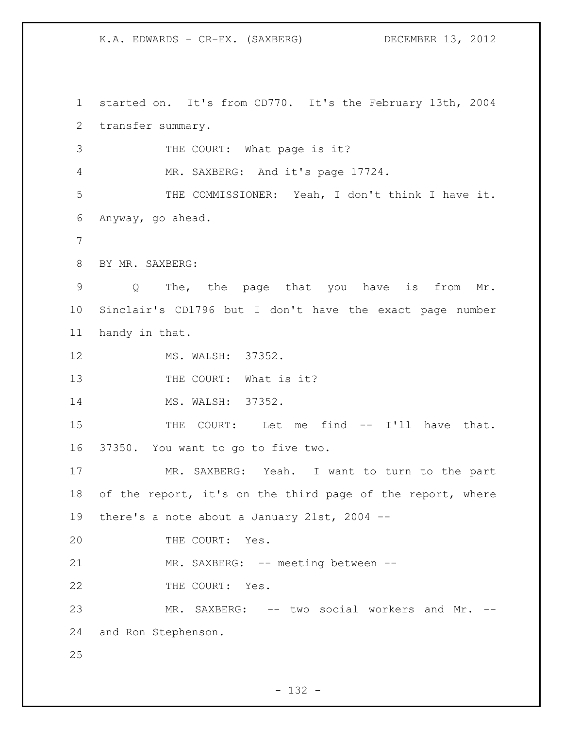started on. It's from CD770. It's the February 13th, 2004 transfer summary. THE COURT: What page is it? MR. SAXBERG: And it's page 17724. THE COMMISSIONER: Yeah, I don't think I have it. Anyway, go ahead. BY MR. SAXBERG: Q The, the page that you have is from Mr. Sinclair's CD1796 but I don't have the exact page number handy in that. MS. WALSH: 37352. 13 THE COURT: What is it? MS. WALSH: 37352. 15 THE COURT: Let me find -- I'll have that. 37350. You want to go to five two. MR. SAXBERG: Yeah. I want to turn to the part 18 of the report, it's on the third page of the report, where there's a note about a January 21st, 2004 -- 20 THE COURT: Yes. 21 MR. SAXBERG: -- meeting between --22 THE COURT: Yes. MR. SAXBERG: -- two social workers and Mr. -- and Ron Stephenson.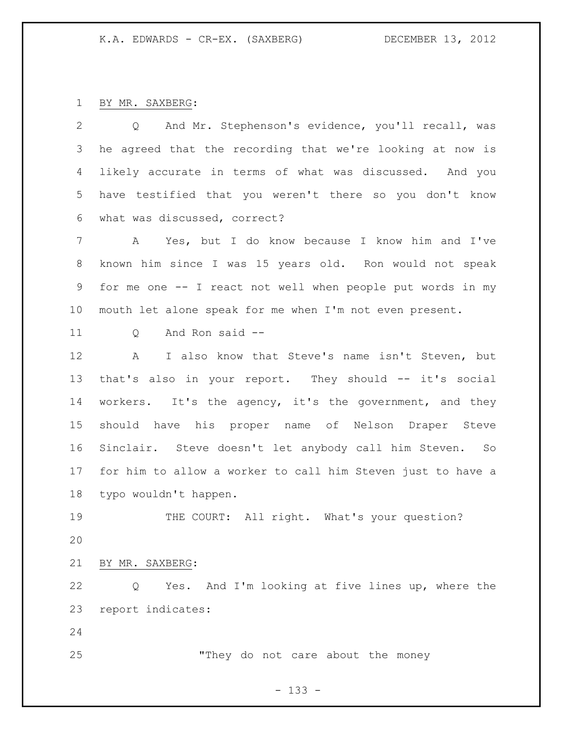BY MR. SAXBERG:

| 2  | Q And Mr. Stephenson's evidence, you'll recall, was         |
|----|-------------------------------------------------------------|
| 3  | he agreed that the recording that we're looking at now is   |
| 4  | likely accurate in terms of what was discussed. And you     |
| 5  | have testified that you weren't there so you don't know     |
| 6  | what was discussed, correct?                                |
| 7  | A Yes, but I do know because I know him and I've            |
| 8  | known him since I was 15 years old. Ron would not speak     |
| 9  | for me one -- I react not well when people put words in my  |
| 10 | mouth let alone speak for me when I'm not even present.     |
| 11 | And Ron said --<br>Q                                        |
| 12 | I also know that Steve's name isn't Steven, but<br>A        |
| 13 | that's also in your report. They should -- it's social      |
| 14 | workers. It's the agency, it's the government, and they     |
| 15 | should have his proper name of Nelson Draper Steve          |
| 16 | Sinclair. Steve doesn't let anybody call him Steven. So     |
| 17 | for him to allow a worker to call him Steven just to have a |
| 18 | typo wouldn't happen.                                       |
| 19 | THE COURT: All right. What's your question?                 |
| 20 |                                                             |
| 21 | BY MR. SAXBERG:                                             |
| 22 | Yes. And I'm looking at five lines up, where the<br>Q       |
| 23 | report indicates:                                           |
| 24 |                                                             |
| 25 | "They do not care about the money                           |
|    | $-133 -$                                                    |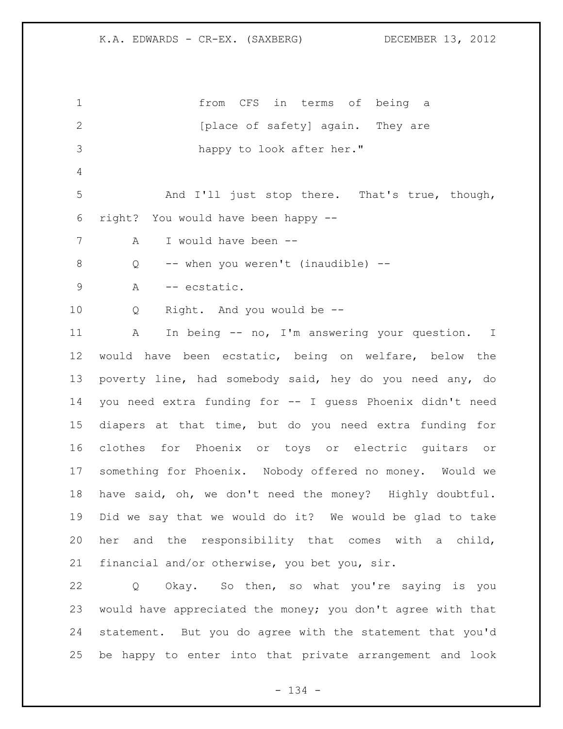| $\mathbf 1$     | from CFS in terms of being a                                |
|-----------------|-------------------------------------------------------------|
| 2               | [place of safety] again. They are                           |
| 3               | happy to look after her."                                   |
| 4               |                                                             |
| 5               | And I'll just stop there. That's true, though,              |
| 6               | right? You would have been happy --                         |
| $7\phantom{.0}$ | I would have been --<br>Α                                   |
| 8               | -- when you weren't (inaudible) --<br>Q                     |
| $\overline{9}$  | Α<br>-- ecstatic.                                           |
| 10              | Right. And you would be --<br>Q                             |
| 11              | In being -- no, I'm answering your question. I<br>A         |
| 12              | would have been ecstatic, being on welfare, below the       |
| 13              | poverty line, had somebody said, hey do you need any, do    |
| 14              | you need extra funding for -- I guess Phoenix didn't need   |
| 15              | diapers at that time, but do you need extra funding for     |
| 16              | clothes for Phoenix or toys or electric guitars or          |
| 17              | something for Phoenix. Nobody offered no money. Would we    |
| 18              | have said, oh, we don't need the money? Highly doubtful.    |
| 19              | Did we say that we would do it? We would be glad to take    |
| 20              | her and the responsibility that comes with a child,         |
| 21              | financial and/or otherwise, you bet you, sir.               |
| 22              | Okay. So then, so what you're saying is you<br>Q            |
| 23              | would have appreciated the money; you don't agree with that |
| 24              | statement. But you do agree with the statement that you'd   |

- 134 -

be happy to enter into that private arrangement and look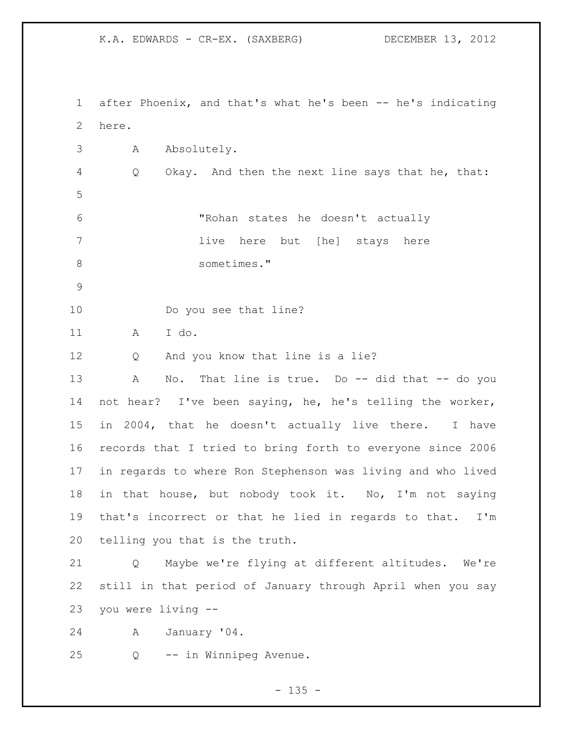after Phoenix, and that's what he's been -- he's indicating here. A Absolutely. Q Okay. And then the next line says that he, that: "Rohan states he doesn't actually 7 11ve here but [he] stays here sometimes." 10 Do you see that line? A I do. Q And you know that line is a lie? 13 A No. That line is true. Do -- did that -- do you not hear? I've been saying, he, he's telling the worker, in 2004, that he doesn't actually live there. I have records that I tried to bring forth to everyone since 2006 in regards to where Ron Stephenson was living and who lived in that house, but nobody took it. No, I'm not saying that's incorrect or that he lied in regards to that. I'm telling you that is the truth. Q Maybe we're flying at different altitudes. We're still in that period of January through April when you say you were living -- A January '04. Q -- in Winnipeg Avenue.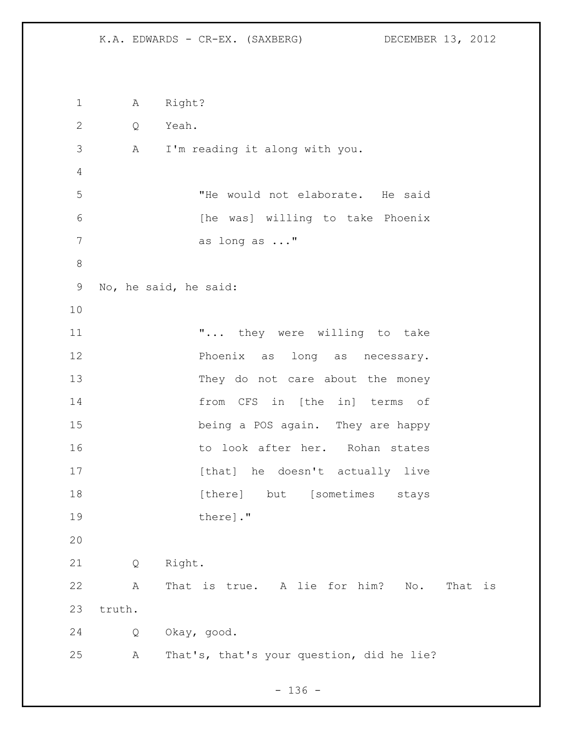A Right? Q Yeah. A I'm reading it along with you. "He would not elaborate. He said 6 [he was] willing to take Phoenix as long as ..." No, he said, he said: **...** they were willing to take Phoenix as long as necessary. They do not care about the money from CFS in [the in] terms of being a POS again. They are happy 16 16 to look after her. Rohan states 17 [that] he doesn't actually live **18** [there] but [sometimes stays 19 there  $\vert$ ." Q Right. A That is true. A lie for him? No. That is truth. Q Okay, good. A That's, that's your question, did he lie?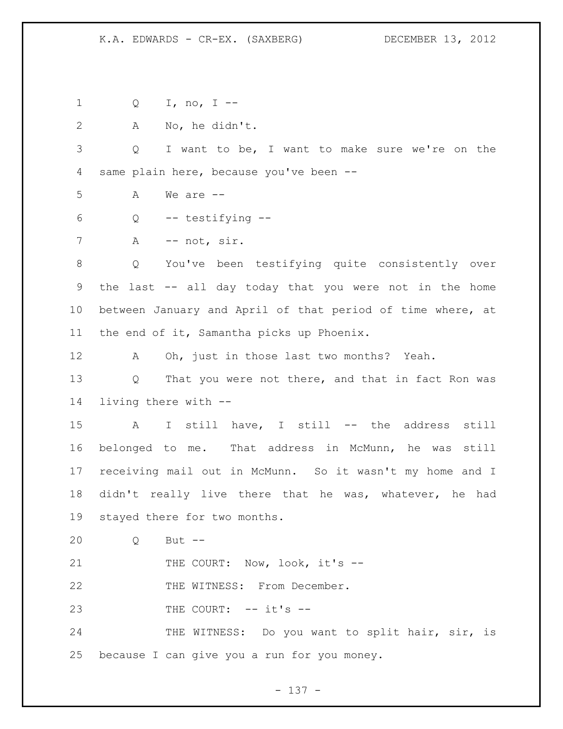Q I, no, I -- A No, he didn't. Q I want to be, I want to make sure we're on the same plain here, because you've been -- A We are -- Q -- testifying -- 7 A -- not, sir. Q You've been testifying quite consistently over the last -- all day today that you were not in the home between January and April of that period of time where, at the end of it, Samantha picks up Phoenix. A Oh, just in those last two months? Yeah. Q That you were not there, and that in fact Ron was living there with -- A I still have, I still -- the address still belonged to me. That address in McMunn, he was still receiving mail out in McMunn. So it wasn't my home and I didn't really live there that he was, whatever, he had stayed there for two months. Q But -- 21 THE COURT: Now, look, it's --22 THE WITNESS: From December. 23 THE COURT: -- it's --24 THE WITNESS: Do you want to split hair, sir, is because I can give you a run for you money.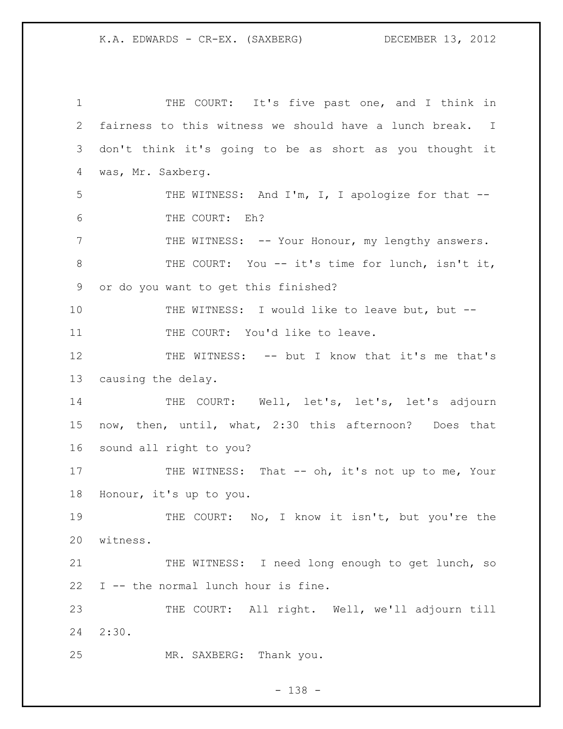THE COURT: It's five past one, and I think in fairness to this witness we should have a lunch break. I don't think it's going to be as short as you thought it was, Mr. Saxberg. 5 THE WITNESS: And I'm, I, I apologize for that -- THE COURT: Eh? 7 THE WITNESS: -- Your Honour, my lengthy answers. THE COURT: You -- it's time for lunch, isn't it, or do you want to get this finished? THE WITNESS: I would like to leave but, but -- 11 THE COURT: You'd like to leave. THE WITNESS: -- but I know that it's me that's causing the delay. 14 THE COURT: Well, let's, let's, let's adjourn now, then, until, what, 2:30 this afternoon? Does that sound all right to you? 17 THE WITNESS: That -- oh, it's not up to me, Your Honour, it's up to you. THE COURT: No, I know it isn't, but you're the witness. THE WITNESS: I need long enough to get lunch, so I -- the normal lunch hour is fine. THE COURT: All right. Well, we'll adjourn till 2:30. MR. SAXBERG: Thank you.

- 138 -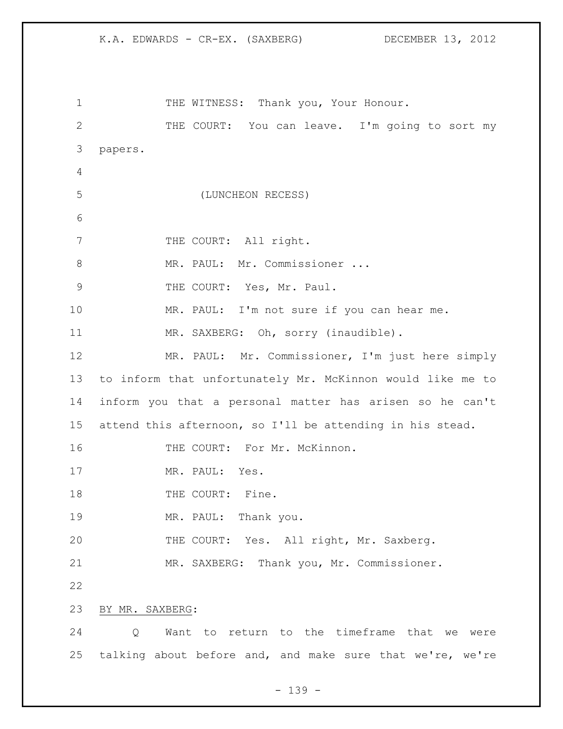K.A. EDWARDS - CR-EX. (SAXBERG) DECEMBER 13, 2012 1 THE WITNESS: Thank you, Your Honour. THE COURT: You can leave. I'm going to sort my papers. (LUNCHEON RECESS) 7 THE COURT: All right. 8 MR. PAUL: Mr. Commissioner ... 9 THE COURT: Yes, Mr. Paul. MR. PAUL: I'm not sure if you can hear me. 11 MR. SAXBERG: Oh, sorry (inaudible). MR. PAUL: Mr. Commissioner, I'm just here simply to inform that unfortunately Mr. McKinnon would like me to inform you that a personal matter has arisen so he can't attend this afternoon, so I'll be attending in his stead. 16 THE COURT: For Mr. McKinnon. 17 MR. PAUL: Yes. 18 THE COURT: Fine. MR. PAUL: Thank you. THE COURT: Yes. All right, Mr. Saxberg. MR. SAXBERG: Thank you, Mr. Commissioner. BY MR. SAXBERG:

 Q Want to return to the timeframe that we were talking about before and, and make sure that we're, we're

- 139 -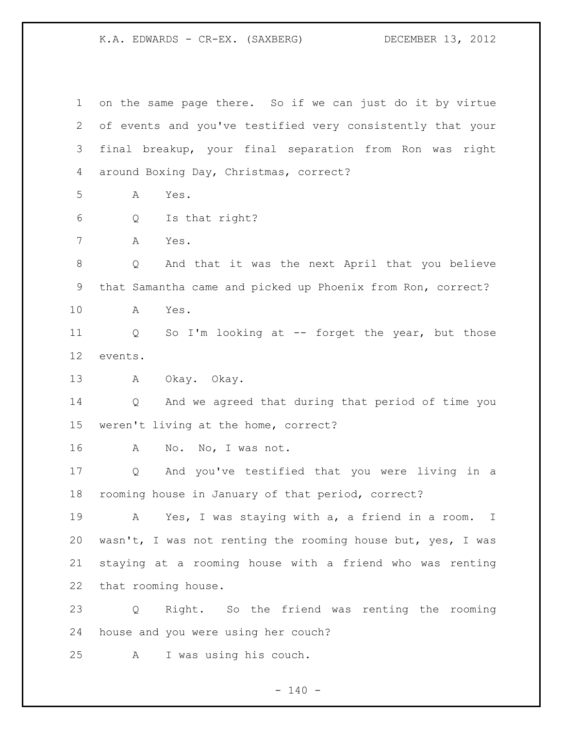on the same page there. So if we can just do it by virtue of events and you've testified very consistently that your final breakup, your final separation from Ron was right around Boxing Day, Christmas, correct? A Yes. Q Is that right? A Yes. Q And that it was the next April that you believe that Samantha came and picked up Phoenix from Ron, correct? A Yes. Q So I'm looking at -- forget the year, but those events. A Okay. Okay. Q And we agreed that during that period of time you weren't living at the home, correct? A No. No, I was not. Q And you've testified that you were living in a rooming house in January of that period, correct? A Yes, I was staying with a, a friend in a room. I wasn't, I was not renting the rooming house but, yes, I was staying at a rooming house with a friend who was renting that rooming house. Q Right. So the friend was renting the rooming house and you were using her couch? A I was using his couch.

 $- 140 -$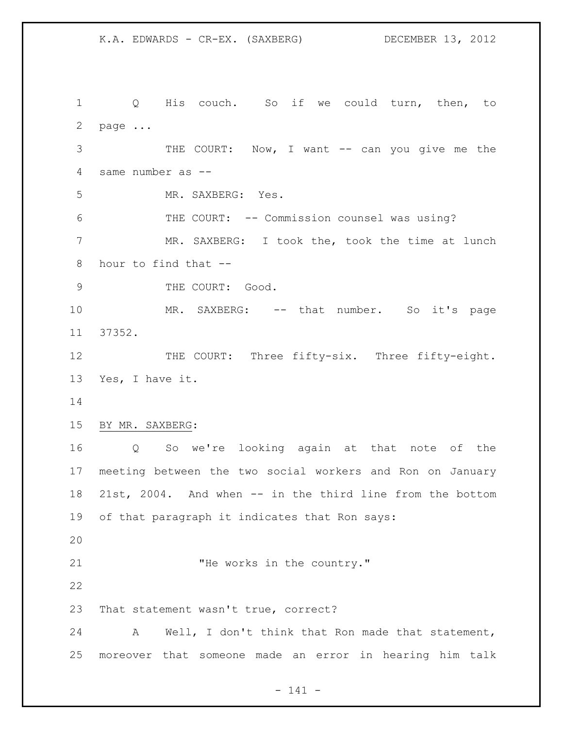1 Q His couch. So if we could turn, then, to page ... 3 THE COURT: Now, I want -- can you give me the same number as -- MR. SAXBERG: Yes. THE COURT: -- Commission counsel was using? MR. SAXBERG: I took the, took the time at lunch hour to find that -- 9 THE COURT: Good. 10 MR. SAXBERG: -- that number. So it's page 37352. 12 THE COURT: Three fifty-six. Three fifty-eight. Yes, I have it. BY MR. SAXBERG: Q So we're looking again at that note of the meeting between the two social workers and Ron on January 21st, 2004. And when -- in the third line from the bottom of that paragraph it indicates that Ron says: 21 THe works in the country." That statement wasn't true, correct? A Well, I don't think that Ron made that statement, moreover that someone made an error in hearing him talk

- 141 -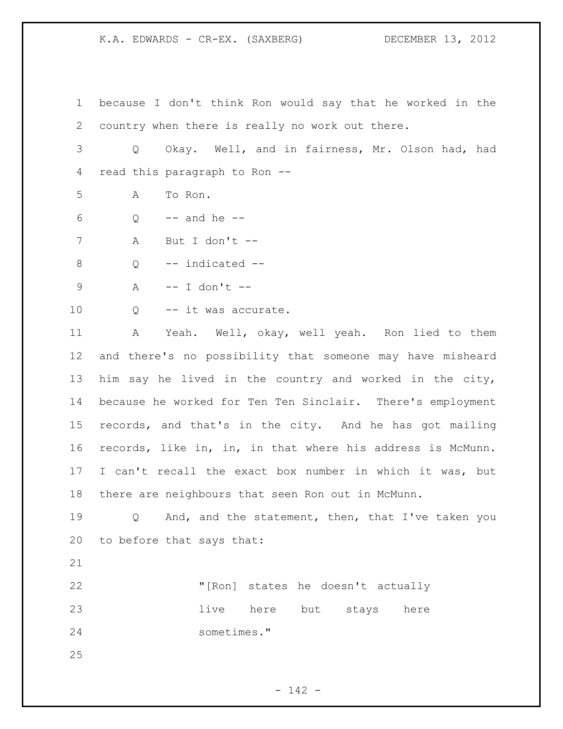because I don't think Ron would say that he worked in the country when there is really no work out there.

 Q Okay. Well, and in fairness, Mr. Olson had, had read this paragraph to Ron --

A To Ron.

Q  $-$  and he  $-$ 

A But I don't --

Q -- indicated --

A -- I don't --

10 0 -- it was accurate.

 A Yeah. Well, okay, well yeah. Ron lied to them and there's no possibility that someone may have misheard him say he lived in the country and worked in the city, because he worked for Ten Ten Sinclair. There's employment records, and that's in the city. And he has got mailing records, like in, in, in that where his address is McMunn. I can't recall the exact box number in which it was, but there are neighbours that seen Ron out in McMunn.

19 0 And, and the statement, then, that I've taken you to before that says that:

 "[Ron] states he doesn't actually **live** here but stays here sometimes."

- 142 -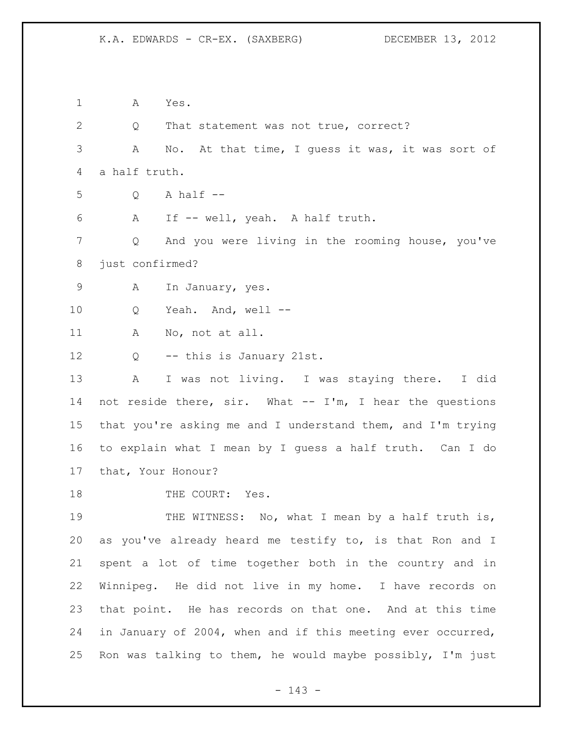A Yes. Q That statement was not true, correct? A No. At that time, I guess it was, it was sort of a half truth. Q A half  $-$  A If -- well, yeah. A half truth. Q And you were living in the rooming house, you've just confirmed? A In January, yes. Q Yeah. And, well -- A No, not at all. Q -- this is January 21st. A I was not living. I was staying there. I did not reside there, sir. What -- I'm, I hear the questions that you're asking me and I understand them, and I'm trying to explain what I mean by I guess a half truth. Can I do that, Your Honour? 18 THE COURT: Yes. 19 THE WITNESS: No, what I mean by a half truth is, as you've already heard me testify to, is that Ron and I spent a lot of time together both in the country and in Winnipeg. He did not live in my home. I have records on that point. He has records on that one. And at this time in January of 2004, when and if this meeting ever occurred, Ron was talking to them, he would maybe possibly, I'm just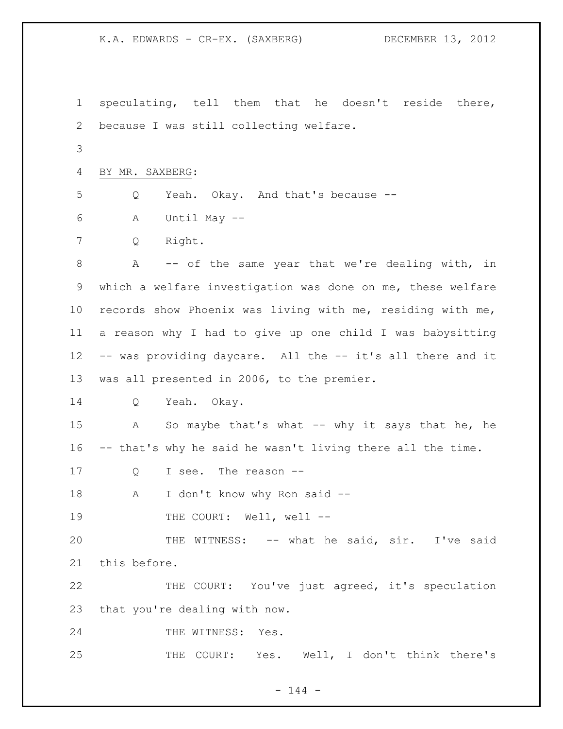speculating, tell them that he doesn't reside there, because I was still collecting welfare. BY MR. SAXBERG: Q Yeah. Okay. And that's because -- A Until May -- Q Right. A -- of the same year that we're dealing with, in which a welfare investigation was done on me, these welfare records show Phoenix was living with me, residing with me, a reason why I had to give up one child I was babysitting -- was providing daycare. All the -- it's all there and it was all presented in 2006, to the premier. Q Yeah. Okay. A So maybe that's what -- why it says that he, he -- that's why he said he wasn't living there all the time. Q I see. The reason -- 18 A I don't know why Ron said --19 THE COURT: Well, well -- THE WITNESS: -- what he said, sir. I've said this before. THE COURT: You've just agreed, it's speculation that you're dealing with now. 24 THE WITNESS: Yes. THE COURT: Yes. Well, I don't think there's

 $- 144 -$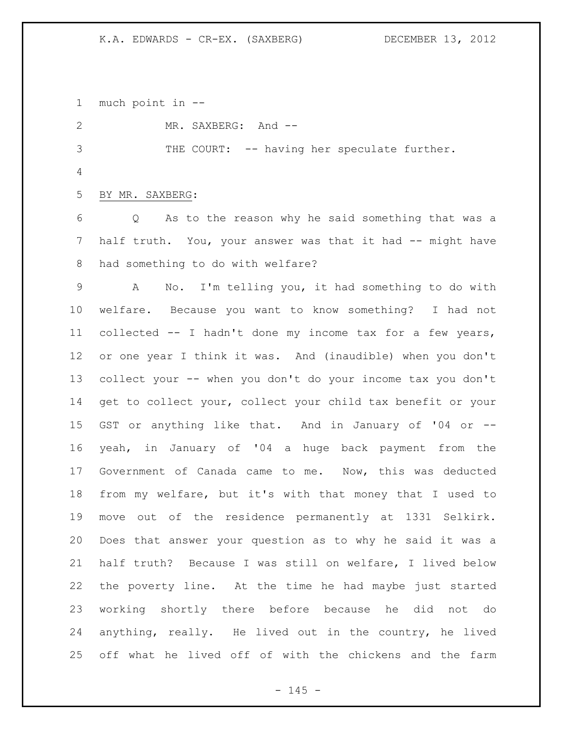much point in --

 MR. SAXBERG: And -- THE COURT: -- having her speculate further. BY MR. SAXBERG: Q As to the reason why he said something that was a 7 half truth. You, your answer was that it had -- might have had something to do with welfare? A No. I'm telling you, it had something to do with welfare. Because you want to know something? I had not collected -- I hadn't done my income tax for a few years, or one year I think it was. And (inaudible) when you don't collect your -- when you don't do your income tax you don't get to collect your, collect your child tax benefit or your GST or anything like that. And in January of '04 or -- yeah, in January of '04 a huge back payment from the Government of Canada came to me. Now, this was deducted from my welfare, but it's with that money that I used to move out of the residence permanently at 1331 Selkirk. Does that answer your question as to why he said it was a half truth? Because I was still on welfare, I lived below the poverty line. At the time he had maybe just started

 working shortly there before because he did not do anything, really. He lived out in the country, he lived off what he lived off of with the chickens and the farm

 $- 145 -$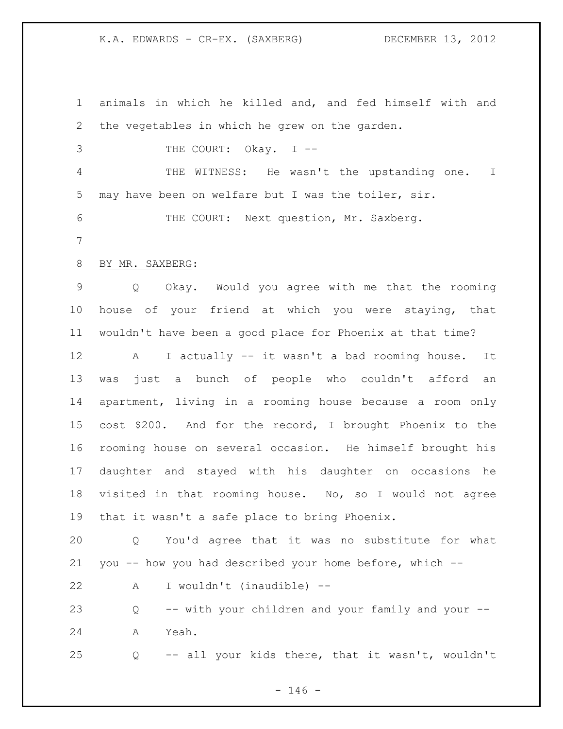animals in which he killed and, and fed himself with and the vegetables in which he grew on the garden. 3 THE COURT: Okay. I -- THE WITNESS: He wasn't the upstanding one. I may have been on welfare but I was the toiler, sir. THE COURT: Next question, Mr. Saxberg. BY MR. SAXBERG: Q Okay. Would you agree with me that the rooming house of your friend at which you were staying, that wouldn't have been a good place for Phoenix at that time? A I actually -- it wasn't a bad rooming house. It was just a bunch of people who couldn't afford an apartment, living in a rooming house because a room only cost \$200. And for the record, I brought Phoenix to the rooming house on several occasion. He himself brought his daughter and stayed with his daughter on occasions he visited in that rooming house. No, so I would not agree that it wasn't a safe place to bring Phoenix. Q You'd agree that it was no substitute for what you -- how you had described your home before, which -- A I wouldn't (inaudible) -- Q -- with your children and your family and your -- A Yeah. Q -- all your kids there, that it wasn't, wouldn't

 $- 146 -$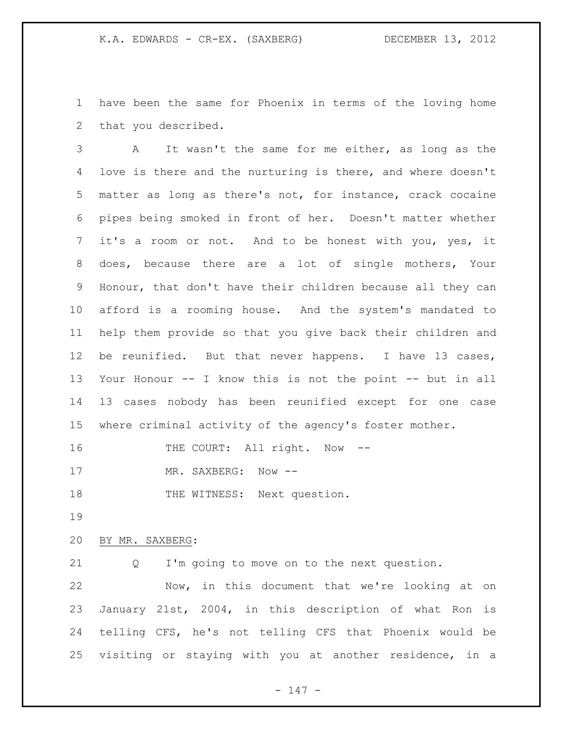have been the same for Phoenix in terms of the loving home that you described.

 A It wasn't the same for me either, as long as the love is there and the nurturing is there, and where doesn't matter as long as there's not, for instance, crack cocaine pipes being smoked in front of her. Doesn't matter whether it's a room or not. And to be honest with you, yes, it does, because there are a lot of single mothers, Your Honour, that don't have their children because all they can afford is a rooming house. And the system's mandated to help them provide so that you give back their children and be reunified. But that never happens. I have 13 cases, Your Honour -- I know this is not the point -- but in all 13 cases nobody has been reunified except for one case where criminal activity of the agency's foster mother.

16 THE COURT: All right. Now --

17 MR. SAXBERG: Now --

18 THE WITNESS: Next question.

## BY MR. SAXBERG:

Q I'm going to move on to the next question.

 Now, in this document that we're looking at on January 21st, 2004, in this description of what Ron is telling CFS, he's not telling CFS that Phoenix would be visiting or staying with you at another residence, in a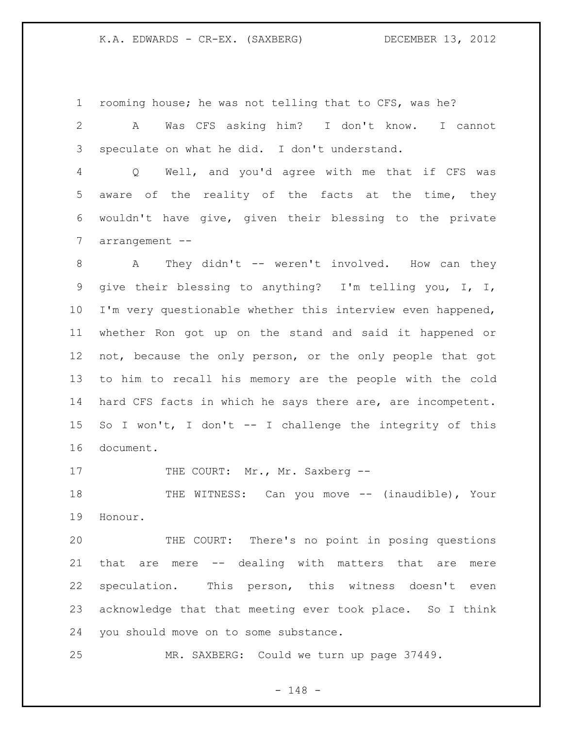rooming house; he was not telling that to CFS, was he?

 A Was CFS asking him? I don't know. I cannot speculate on what he did. I don't understand.

 Q Well, and you'd agree with me that if CFS was aware of the reality of the facts at the time, they wouldn't have give, given their blessing to the private arrangement --

8 A They didn't -- weren't involved. How can they give their blessing to anything? I'm telling you, I, I, I'm very questionable whether this interview even happened, whether Ron got up on the stand and said it happened or not, because the only person, or the only people that got to him to recall his memory are the people with the cold 14 hard CFS facts in which he says there are, are incompetent. So I won't, I don't -- I challenge the integrity of this document.

17 THE COURT: Mr., Mr. Saxberg --

 THE WITNESS: Can you move -- (inaudible), Your Honour.

 THE COURT: There's no point in posing questions that are mere -- dealing with matters that are mere speculation. This person, this witness doesn't even acknowledge that that meeting ever took place. So I think you should move on to some substance.

MR. SAXBERG: Could we turn up page 37449.

- 148 -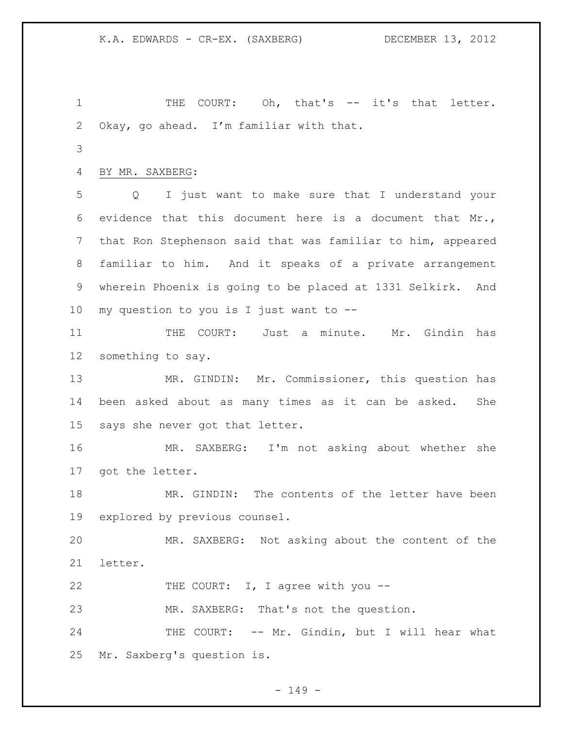1 THE COURT: Oh, that's -- it's that letter. Okay, go ahead. I'm familiar with that. BY MR. SAXBERG: Q I just want to make sure that I understand your evidence that this document here is a document that Mr., that Ron Stephenson said that was familiar to him, appeared familiar to him. And it speaks of a private arrangement wherein Phoenix is going to be placed at 1331 Selkirk. And my question to you is I just want to -- 11 THE COURT: Just a minute. Mr. Gindin has something to say. MR. GINDIN: Mr. Commissioner, this question has been asked about as many times as it can be asked. She says she never got that letter. MR. SAXBERG: I'm not asking about whether she got the letter. MR. GINDIN: The contents of the letter have been explored by previous counsel. MR. SAXBERG: Not asking about the content of the letter. 22 THE COURT: I, I agree with you -- MR. SAXBERG: That's not the question. 24 THE COURT: -- Mr. Gindin, but I will hear what Mr. Saxberg's question is.

 $- 149 -$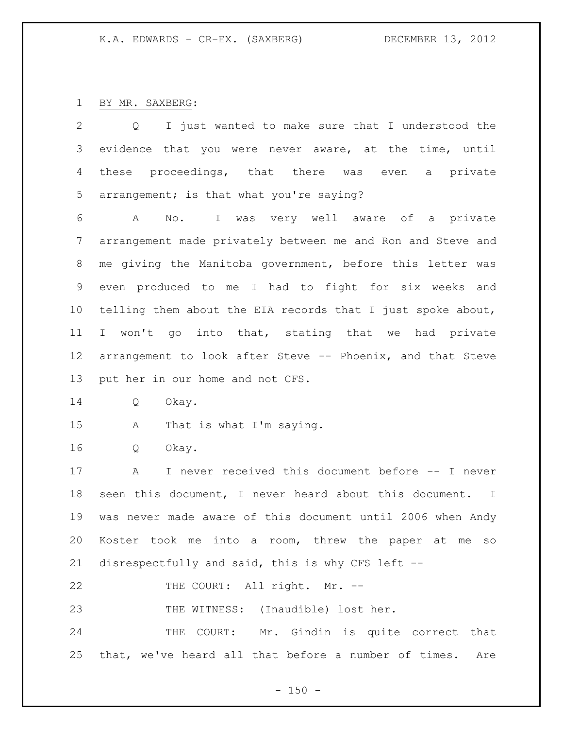BY MR. SAXBERG:

| 2               | I just wanted to make sure that I understood the<br>Q           |
|-----------------|-----------------------------------------------------------------|
| 3               | evidence that you were never aware, at the time, until          |
| 4               | these proceedings, that there was even a private                |
| 5               | arrangement; is that what you're saying?                        |
| 6               | I was very well aware of a private<br>A<br>$\mathbb N$ o.       |
| 7               | arrangement made privately between me and Ron and Steve and     |
| 8               | me giving the Manitoba government, before this letter was       |
| 9               | even produced to me I had to fight for six weeks and            |
| 10 <sub>o</sub> | telling them about the EIA records that I just spoke about,     |
| 11              | won't go into that, stating that we had private<br>$\mathbf{I}$ |
| 12 <sup>°</sup> | arrangement to look after Steve -- Phoenix, and that Steve      |
| 13              | put her in our home and not CFS.                                |
| 14              | Okay.<br>Q                                                      |
| 15              | That is what I'm saying.<br>A                                   |
| 16              | Q<br>Okay.                                                      |
| 17              | I never received this document before -- I never<br>Α           |
| 18              | seen this document, I never heard about this document. I        |
| 19              | was never made aware of this document until 2006 when Andy      |
| 20              | Koster took me into a room, threw the paper at me<br>SO         |
| 21              | disrespectfully and said, this is why CFS left --               |
| 22              | THE COURT: All right. Mr. --                                    |
| 23              | THE WITNESS: (Inaudible) lost her.                              |
| 24              | THE COURT: Mr. Gindin is quite correct that                     |
| 25              | that, we've heard all that before a number of times.<br>Are     |

- 150 -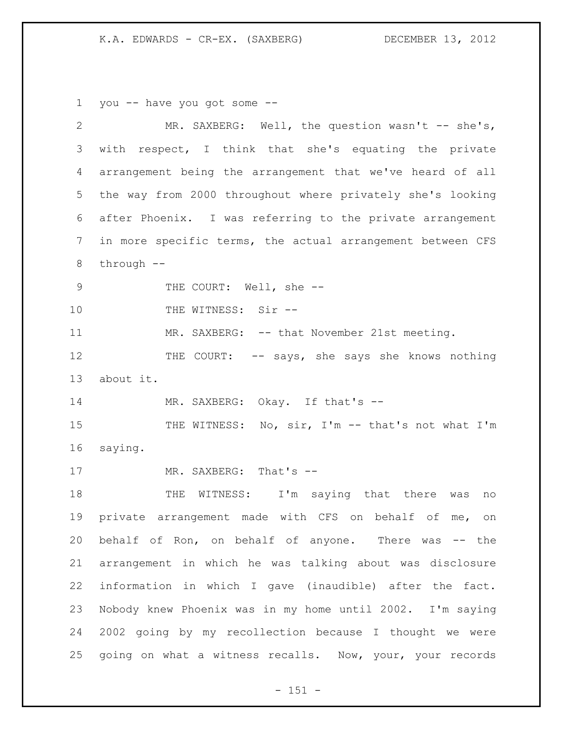you -- have you got some --

| $\mathbf{2}$   | MR. SAXBERG: Well, the question wasn't -- she's,            |
|----------------|-------------------------------------------------------------|
| 3              | with respect, I think that she's equating the private       |
| 4              | arrangement being the arrangement that we've heard of all   |
| 5              | the way from 2000 throughout where privately she's looking  |
| 6              | after Phoenix. I was referring to the private arrangement   |
| $\overline{7}$ | in more specific terms, the actual arrangement between CFS  |
| $\,8\,$        | through $--$                                                |
| $\mathcal{G}$  | THE COURT: Well, she --                                     |
| 10             | THE WITNESS: Sir --                                         |
| 11             | MR. SAXBERG: -- that November 21st meeting.                 |
| 12             | THE COURT: -- says, she says she knows nothing              |
| 13             | about it.                                                   |
| 14             | MR. SAXBERG: Okay. If that's --                             |
| 15             | THE WITNESS: No, sir, I'm -- that's not what I'm            |
| 16             | saying.                                                     |
| 17             | MR. SAXBERG: That's --                                      |
| 18             | THE WITNESS: I'm saying that there<br>was<br>no             |
| 19             | private arrangement made with CFS on behalf of<br>me,<br>on |
| 20             | behalf of Ron, on behalf of anyone. There was -- the        |
| 21             | arrangement in which he was talking about was disclosure    |
| 22             | information in which I gave (inaudible) after the fact.     |
| 23             | Nobody knew Phoenix was in my home until 2002. I'm saying   |
| 24             | 2002 going by my recollection because I thought we were     |
| 25             | going on what a witness recalls. Now, your, your records    |

- 151 -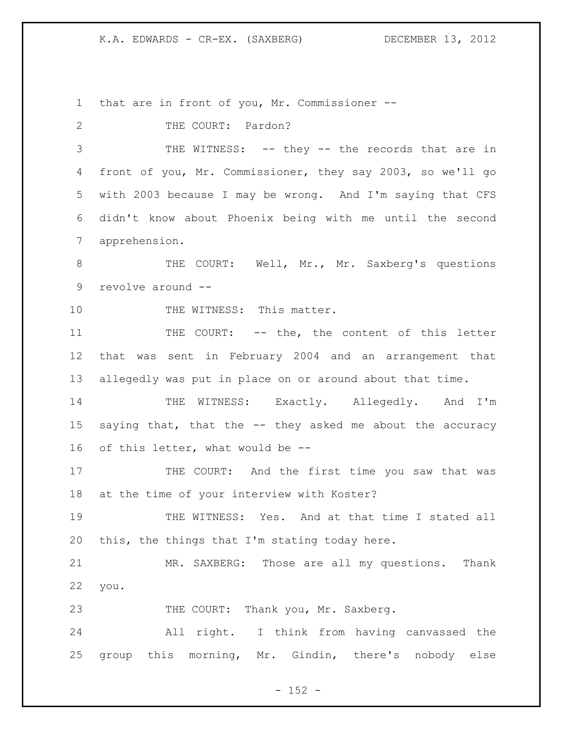that are in front of you, Mr. Commissioner --

2 THE COURT: Pardon? THE WITNESS: -- they -- the records that are in front of you, Mr. Commissioner, they say 2003, so we'll go with 2003 because I may be wrong. And I'm saying that CFS didn't know about Phoenix being with me until the second apprehension. 8 THE COURT: Well, Mr., Mr. Saxberg's questions revolve around -- 10 THE WITNESS: This matter. THE COURT: -- the, the content of this letter that was sent in February 2004 and an arrangement that allegedly was put in place on or around about that time. THE WITNESS: Exactly. Allegedly. And I'm saying that, that the -- they asked me about the accuracy of this letter, what would be -- 17 THE COURT: And the first time you saw that was at the time of your interview with Koster? THE WITNESS: Yes. And at that time I stated all this, the things that I'm stating today here. MR. SAXBERG: Those are all my questions. Thank you. 23 THE COURT: Thank you, Mr. Saxberg. All right. I think from having canvassed the group this morning, Mr. Gindin, there's nobody else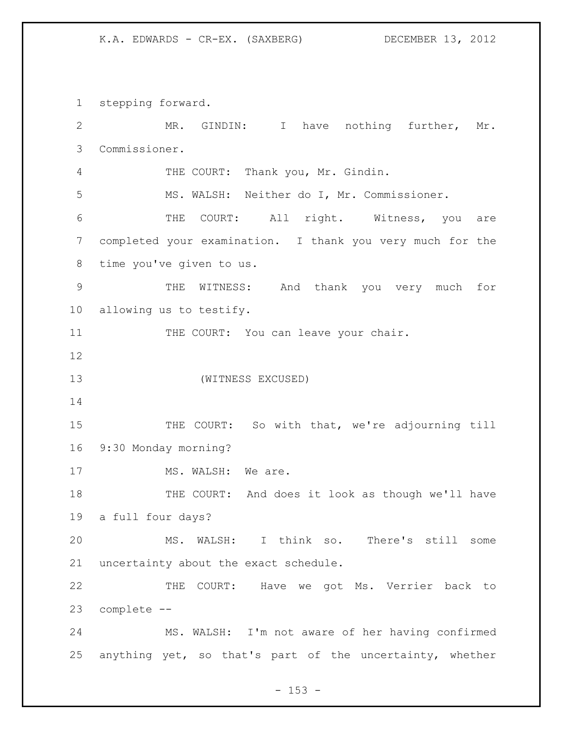stepping forward. MR. GINDIN: I have nothing further, Mr. Commissioner. THE COURT: Thank you, Mr. Gindin. MS. WALSH: Neither do I, Mr. Commissioner. THE COURT: All right. Witness, you are completed your examination. I thank you very much for the time you've given to us. THE WITNESS: And thank you very much for allowing us to testify. 11 THE COURT: You can leave your chair. (WITNESS EXCUSED) 15 THE COURT: So with that, we're adjourning till 9:30 Monday morning? 17 MS. WALSH: We are. THE COURT: And does it look as though we'll have a full four days? MS. WALSH: I think so. There's still some uncertainty about the exact schedule. THE COURT: Have we got Ms. Verrier back to complete -- MS. WALSH: I'm not aware of her having confirmed anything yet, so that's part of the uncertainty, whether